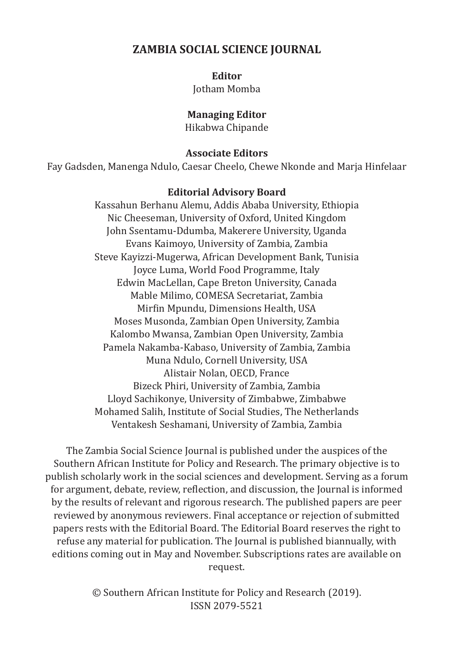# **ZAMBIA SOCIAL SCIENCE JOURNAL**

**Editor**

Jotham Momba

# **Managing Editor**

Hikabwa Chipande

# **Associate Editors**

Fay Gadsden, Manenga Ndulo, Caesar Cheelo, Chewe Nkonde and Marja Hinfelaar

# **Editorial Advisory Board**

Kassahun Berhanu Alemu, Addis Ababa University, Ethiopia Nic Cheeseman, University of Oxford, United Kingdom John Ssentamu-Ddumba, Makerere University, Uganda Evans Kaimoyo, University of Zambia, Zambia Steve Kayizzi-Mugerwa, African Development Bank, Tunisia Joyce Luma, World Food Programme, Italy Edwin MacLellan, Cape Breton University, Canada Mable Milimo, COMESA Secretariat, Zambia Mirfin Mpundu, Dimensions Health, USA Moses Musonda, Zambian Open University, Zambia Kalombo Mwansa, Zambian Open University, Zambia Pamela Nakamba-Kabaso, University of Zambia, Zambia Muna Ndulo, Cornell University, USA Alistair Nolan, OECD, France Bizeck Phiri, University of Zambia, Zambia Lloyd Sachikonye, University of Zimbabwe, Zimbabwe Mohamed Salih, Institute of Social Studies, The Netherlands Ventakesh Seshamani, University of Zambia, Zambia

The Zambia Social Science Journal is published under the auspices of the Southern African Institute for Policy and Research. The primary objective is to publish scholarly work in the social sciences and development. Serving as a forum for argument, debate, review, reflection, and discussion, the Journal is informed by the results of relevant and rigorous research. The published papers are peer reviewed by anonymous reviewers. Final acceptance or rejection of submitted papers rests with the Editorial Board. The Editorial Board reserves the right to refuse any material for publication. The Journal is published biannually, with editions coming out in May and November. Subscriptions rates are available on request.

> © Southern African Institute for Policy and Research (2019). ISSN 2079-5521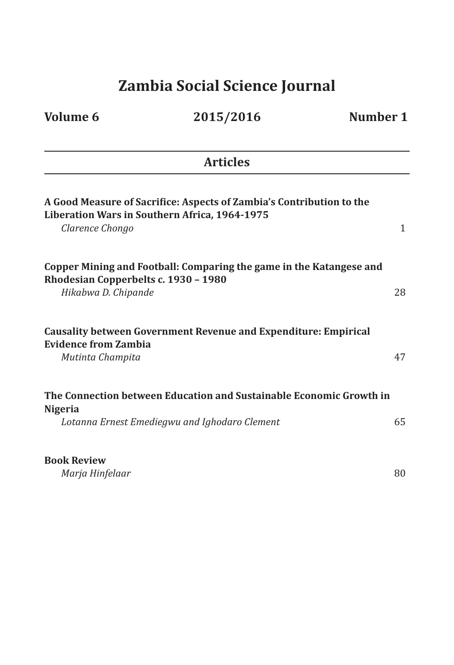# **Zambia Social Science Journal**

| <b>Volume 6</b>                                             | 2015/2016                                                                                                             | Number 1 |
|-------------------------------------------------------------|-----------------------------------------------------------------------------------------------------------------------|----------|
|                                                             | <b>Articles</b>                                                                                                       |          |
| Clarence Chongo                                             | A Good Measure of Sacrifice: Aspects of Zambia's Contribution to the<br>Liberation Wars in Southern Africa, 1964-1975 | 1        |
| Rhodesian Copperbelts c. 1930 - 1980<br>Hikabwa D. Chipande | Copper Mining and Football: Comparing the game in the Katangese and                                                   | 28       |
| <b>Evidence from Zambia</b><br>Mutinta Champita             | <b>Causality between Government Revenue and Expenditure: Empirical</b>                                                | 47       |
| <b>Nigeria</b>                                              | The Connection between Education and Sustainable Economic Growth in<br>Lotanna Ernest Emediegwu and Ighodaro Clement  | 65       |
| <b>Book Review</b><br>Marja Hinfelaar                       |                                                                                                                       | 80       |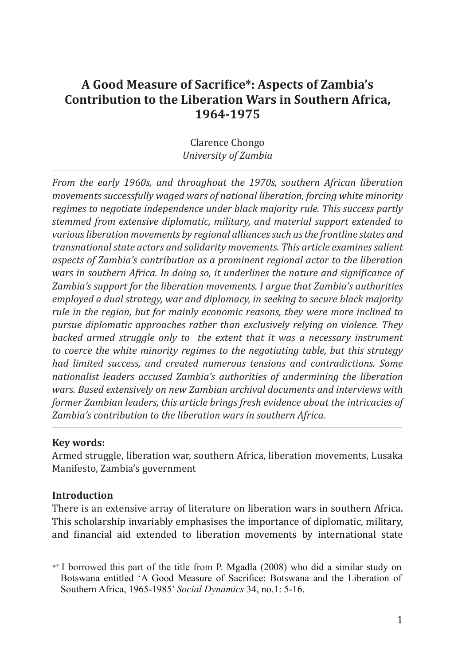# **A Good Measure of Sacrifice\*: Aspects of Zambia's Contribution to the Liberation Wars in Southern Africa, 1964-1975**

Clarence Chongo *University of Zambia*

*From the early 1960s, and throughout the 1970s, southern African liberation movements successfully waged wars of national liberation, forcing white minority regimes to negotiate independence under black majority rule. This success partly stemmed from extensive diplomatic, military, and material support extended to various liberation movements by regional alliances such as the frontline states and transnational state actors and solidarity movements. This article examines salient aspects of Zambia's contribution as a prominent regional actor to the liberation wars in southern Africa. In doing so, it underlines the nature and significance of Zambia's support for the liberation movements. I argue that Zambia's authorities employed a dual strategy, war and diplomacy, in seeking to secure black majority rule in the region, but for mainly economic reasons, they were more inclined to pursue diplomatic approaches rather than exclusively relying on violence. They backed armed struggle only to the extent that it was a necessary instrument to coerce the white minority regimes to the negotiating table, but this strategy had limited success, and created numerous tensions and contradictions. Some nationalist leaders accused Zambia's authorities of undermining the liberation wars. Based extensively on new Zambian archival documents and interviews with former Zambian leaders, this article brings fresh evidence about the intricacies of Zambia's contribution to the liberation wars in southern Africa.* 

# **Key words:**

Armed struggle, liberation war, southern Africa, liberation movements, Lusaka Manifesto, Zambia's government

# **Introduction**

There is an extensive array of literature on liberation wars in southern Africa. This scholarship invariably emphasises the importance of diplomatic, military, and financial aid extended to liberation movements by international state

<sup>\*</sup>\* I borrowed this part of the title from P. Mgadla (2008) who did a similar study on Botswana entitled 'A Good Measure of Sacrifice: Botswana and the Liberation of Southern Africa, 1965-1985' *Social Dynamics* 34, no.1: 5-16.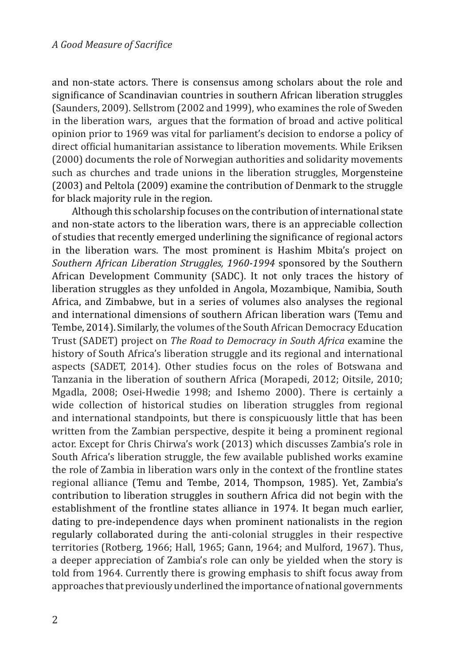and non-state actors. There is consensus among scholars about the role and significance of Scandinavian countries in southern African liberation struggles (Saunders, 2009). Sellstrom (2002 and 1999), who examines the role of Sweden in the liberation wars, argues that the formation of broad and active political opinion prior to 1969 was vital for parliament's decision to endorse a policy of direct official humanitarian assistance to liberation movements. While Eriksen (2000) documents the role of Norwegian authorities and solidarity movements such as churches and trade unions in the liberation struggles, Morgensteine (2003) and Peltola (2009) examine the contribution of Denmark to the struggle for black majority rule in the region.

Although this scholarship focuses on the contribution of international state and non-state actors to the liberation wars, there is an appreciable collection of studies that recently emerged underlining the significance of regional actors in the liberation wars. The most prominent is Hashim Mbita's project on *Southern African Liberation Struggles, 1960-1994* sponsored by the Southern African Development Community (SADC). It not only traces the history of liberation struggles as they unfolded in Angola, Mozambique, Namibia, South Africa, and Zimbabwe, but in a series of volumes also analyses the regional and international dimensions of southern African liberation wars (Temu and Tembe, 2014). Similarly, the volumes of the South African Democracy Education Trust (SADET) project on *The Road to Democracy in South Africa* examine the history of South Africa's liberation struggle and its regional and international aspects (SADET, 2014). Other studies focus on the roles of Botswana and Tanzania in the liberation of southern Africa (Morapedi, 2012; Oitsile, 2010; Mgadla, 2008; Osei-Hwedie 1998; and Ishemo 2000). There is certainly a wide collection of historical studies on liberation struggles from regional and international standpoints, but there is conspicuously little that has been written from the Zambian perspective, despite it being a prominent regional actor. Except for Chris Chirwa's work (2013) which discusses Zambia's role in South Africa's liberation struggle, the few available published works examine the role of Zambia in liberation wars only in the context of the frontline states regional alliance (Temu and Tembe, 2014, Thompson, 1985). Yet, Zambia's contribution to liberation struggles in southern Africa did not begin with the establishment of the frontline states alliance in 1974. It began much earlier, dating to pre-independence days when prominent nationalists in the region regularly collaborated during the anti-colonial struggles in their respective territories (Rotberg, 1966; Hall, 1965; Gann, 1964; and Mulford, 1967). Thus, a deeper appreciation of Zambia's role can only be yielded when the story is told from 1964. Currently there is growing emphasis to shift focus away from approaches that previously underlined the importance of national governments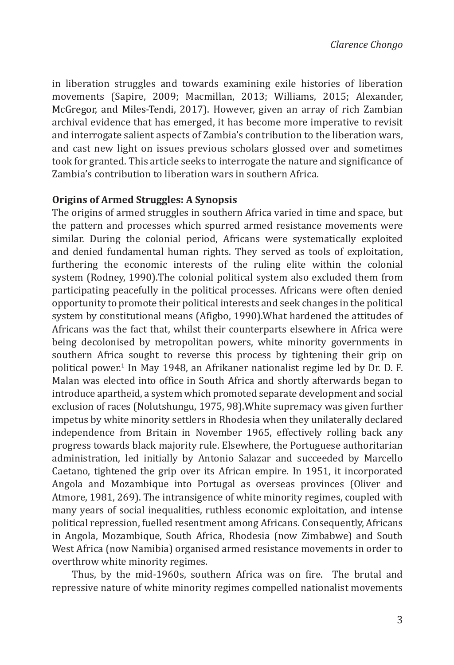in liberation struggles and towards examining exile histories of liberation movements (Sapire, 2009; Macmillan, 2013; Williams, 2015; Alexander, McGregor, and Miles-Tendi, 2017). However, given an array of rich Zambian archival evidence that has emerged, it has become more imperative to revisit and interrogate salient aspects of Zambia's contribution to the liberation wars, and cast new light on issues previous scholars glossed over and sometimes took for granted. This article seeks to interrogate the nature and significance of Zambia's contribution to liberation wars in southern Africa.

#### **Origins of Armed Struggles: A Synopsis**

The origins of armed struggles in southern Africa varied in time and space, but the pattern and processes which spurred armed resistance movements were similar. During the colonial period, Africans were systematically exploited and denied fundamental human rights. They served as tools of exploitation, furthering the economic interests of the ruling elite within the colonial system (Rodney, 1990).The colonial political system also excluded them from participating peacefully in the political processes. Africans were often denied opportunity to promote their political interests and seek changes in the political system by constitutional means (Afigbo, 1990).What hardened the attitudes of Africans was the fact that, whilst their counterparts elsewhere in Africa were being decolonised by metropolitan powers, white minority governments in southern Africa sought to reverse this process by tightening their grip on political power.1 In May 1948, an Afrikaner nationalist regime led by Dr. D. F. Malan was elected into office in South Africa and shortly afterwards began to introduce apartheid, a system which promoted separate development and social exclusion of races (Nolutshungu, 1975, 98).White supremacy was given further impetus by white minority settlers in Rhodesia when they unilaterally declared independence from Britain in November 1965, effectively rolling back any progress towards black majority rule. Elsewhere, the Portuguese authoritarian administration, led initially by Antonio Salazar and succeeded by Marcello Caetano, tightened the grip over its African empire. In 1951, it incorporated Angola and Mozambique into Portugal as overseas provinces (Oliver and Atmore, 1981, 269). The intransigence of white minority regimes, coupled with many years of social inequalities, ruthless economic exploitation, and intense political repression, fuelled resentment among Africans. Consequently, Africans in Angola, Mozambique, South Africa, Rhodesia (now Zimbabwe) and South West Africa (now Namibia) organised armed resistance movements in order to overthrow white minority regimes.

Thus, by the mid-1960s, southern Africa was on fire. The brutal and repressive nature of white minority regimes compelled nationalist movements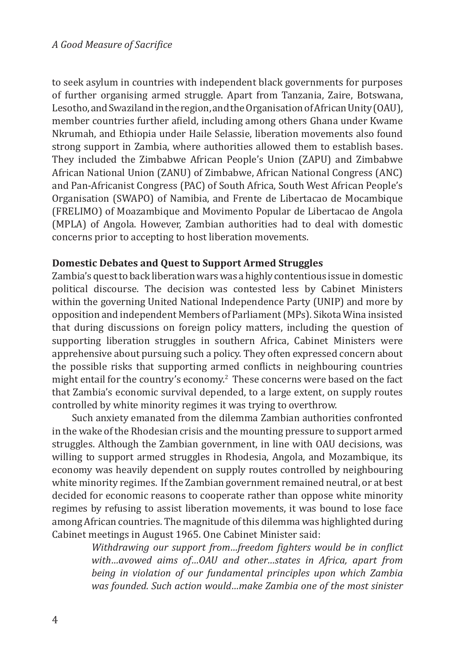to seek asylum in countries with independent black governments for purposes of further organising armed struggle. Apart from Tanzania, Zaire, Botswana, Lesotho, and Swaziland in the region, and the Organisation of African Unity (OAU), member countries further afield, including among others Ghana under Kwame Nkrumah, and Ethiopia under Haile Selassie, liberation movements also found strong support in Zambia, where authorities allowed them to establish bases. They included the Zimbabwe African People's Union (ZAPU) and Zimbabwe African National Union (ZANU) of Zimbabwe, African National Congress (ANC) and Pan-Africanist Congress (PAC) of South Africa, South West African People's Organisation (SWAPO) of Namibia, and Frente de Libertacao de Mocambique (FRELIMO) of Moazambique and Movimento Popular de Libertacao de Angola (MPLA) of Angola. However, Zambian authorities had to deal with domestic concerns prior to accepting to host liberation movements.

# **Domestic Debates and Quest to Support Armed Struggles**

Zambia's quest to back liberation wars was a highly contentious issue in domestic political discourse. The decision was contested less by Cabinet Ministers within the governing United National Independence Party (UNIP) and more by opposition and independent Members of Parliament (MPs). Sikota Wina insisted that during discussions on foreign policy matters, including the question of supporting liberation struggles in southern Africa, Cabinet Ministers were apprehensive about pursuing such a policy. They often expressed concern about the possible risks that supporting armed conflicts in neighbouring countries might entail for the country's economy.2 These concerns were based on the fact that Zambia's economic survival depended, to a large extent, on supply routes controlled by white minority regimes it was trying to overthrow.

Such anxiety emanated from the dilemma Zambian authorities confronted in the wake of the Rhodesian crisis and the mounting pressure to support armed struggles. Although the Zambian government, in line with OAU decisions, was willing to support armed struggles in Rhodesia, Angola, and Mozambique, its economy was heavily dependent on supply routes controlled by neighbouring white minority regimes. If the Zambian government remained neutral, or at best decided for economic reasons to cooperate rather than oppose white minority regimes by refusing to assist liberation movements, it was bound to lose face among African countries. The magnitude of this dilemma was highlighted during Cabinet meetings in August 1965. One Cabinet Minister said:

> *Withdrawing our support from…freedom fighters would be in conflict with…avowed aims of…OAU and other…states in Africa, apart from being in violation of our fundamental principles upon which Zambia was founded. Such action would…make Zambia one of the most sinister*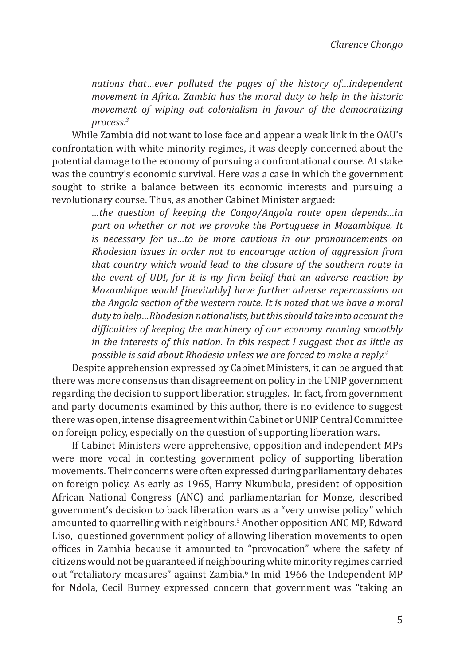*nations that…ever polluted the pages of the history of…independent movement in Africa. Zambia has the moral duty to help in the historic movement of wiping out colonialism in favour of the democratizing process.3*

While Zambia did not want to lose face and appear a weak link in the OAU's confrontation with white minority regimes, it was deeply concerned about the potential damage to the economy of pursuing a confrontational course. At stake was the country's economic survival. Here was a case in which the government sought to strike a balance between its economic interests and pursuing a revolutionary course. Thus, as another Cabinet Minister argued:

> *…the question of keeping the Congo/Angola route open depends…in part on whether or not we provoke the Portuguese in Mozambique. It is necessary for us…to be more cautious in our pronouncements on Rhodesian issues in order not to encourage action of aggression from that country which would lead to the closure of the southern route in the event of UDI, for it is my firm belief that an adverse reaction by Mozambique would [inevitably] have further adverse repercussions on the Angola section of the western route. It is noted that we have a moral duty to help…Rhodesian nationalists, but this should take into account the difficulties of keeping the machinery of our economy running smoothly in the interests of this nation. In this respect I suggest that as little as possible is said about Rhodesia unless we are forced to make a reply.4*

Despite apprehension expressed by Cabinet Ministers, it can be argued that there was more consensus than disagreement on policy in the UNIP government regarding the decision to support liberation struggles. In fact, from government and party documents examined by this author, there is no evidence to suggest there was open, intense disagreement within Cabinet or UNIP Central Committee on foreign policy, especially on the question of supporting liberation wars.

If Cabinet Ministers were apprehensive, opposition and independent MPs were more vocal in contesting government policy of supporting liberation movements. Their concerns were often expressed during parliamentary debates on foreign policy. As early as 1965, Harry Nkumbula, president of opposition African National Congress (ANC) and parliamentarian for Monze, described government's decision to back liberation wars as a "very unwise policy" which amounted to quarrelling with neighbours.5 Another opposition ANC MP, Edward Liso, questioned government policy of allowing liberation movements to open offices in Zambia because it amounted to "provocation" where the safety of citizens would not be guaranteed if neighbouring white minority regimes carried out "retaliatory measures" against Zambia.<sup>6</sup> In mid-1966 the Independent MP for Ndola, Cecil Burney expressed concern that government was "taking an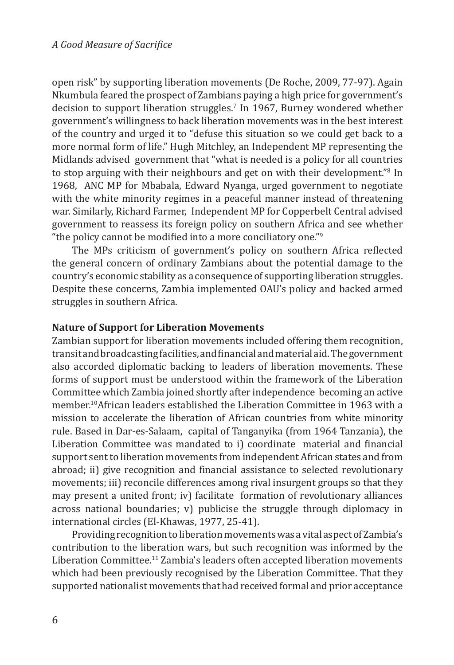open risk" by supporting liberation movements (De Roche, 2009, 77-97). Again Nkumbula feared the prospect of Zambians paying a high price for government's decision to support liberation struggles.7 In 1967, Burney wondered whether government's willingness to back liberation movements was in the best interest of the country and urged it to "defuse this situation so we could get back to a more normal form of life." Hugh Mitchley, an Independent MP representing the Midlands advised government that "what is needed is a policy for all countries to stop arguing with their neighbours and get on with their development."<sup>8</sup> In 1968, ANC MP for Mbabala, Edward Nyanga, urged government to negotiate with the white minority regimes in a peaceful manner instead of threatening war. Similarly, Richard Farmer, Independent MP for Copperbelt Central advised government to reassess its foreign policy on southern Africa and see whether "the policy cannot be modified into a more conciliatory one."<sup>9</sup>

The MPs criticism of government's policy on southern Africa reflected the general concern of ordinary Zambians about the potential damage to the country's economic stability as a consequence of supporting liberation struggles. Despite these concerns, Zambia implemented OAU's policy and backed armed struggles in southern Africa.

# **Nature of Support for Liberation Movements**

Zambian support for liberation movements included offering them recognition, transit and broadcasting facilities, and financial and material aid. The government also accorded diplomatic backing to leaders of liberation movements. These forms of support must be understood within the framework of the Liberation Committee which Zambia joined shortly after independence becoming an active member.10African leaders established the Liberation Committee in 1963 with a mission to accelerate the liberation of African countries from white minority rule. Based in Dar-es-Salaam, capital of Tanganyika (from 1964 Tanzania), the Liberation Committee was mandated to i) coordinate material and financial support sent to liberation movements from independent African states and from abroad; ii) give recognition and financial assistance to selected revolutionary movements; iii) reconcile differences among rival insurgent groups so that they may present a united front; iv) facilitate formation of revolutionary alliances across national boundaries; v) publicise the struggle through diplomacy in international circles (El-Khawas, 1977, 25-41).

Providing recognition to liberation movements was a vital aspect of Zambia's contribution to the liberation wars, but such recognition was informed by the Liberation Committee.<sup>11</sup> Zambia's leaders often accepted liberation movements which had been previously recognised by the Liberation Committee. That they supported nationalist movements that had received formal and prior acceptance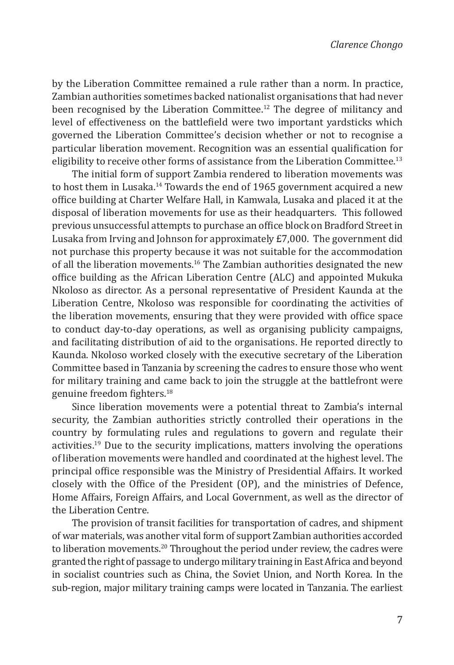by the Liberation Committee remained a rule rather than a norm. In practice, Zambian authorities sometimes backed nationalist organisations that had never been recognised by the Liberation Committee.<sup>12</sup> The degree of militancy and level of effectiveness on the battlefield were two important yardsticks which governed the Liberation Committee's decision whether or not to recognise a particular liberation movement. Recognition was an essential qualification for eligibility to receive other forms of assistance from the Liberation Committee.<sup>13</sup>

The initial form of support Zambia rendered to liberation movements was to host them in Lusaka.<sup>14</sup> Towards the end of 1965 government acquired a new office building at Charter Welfare Hall, in Kamwala, Lusaka and placed it at the disposal of liberation movements for use as their headquarters. This followed previous unsuccessful attempts to purchase an office block on Bradford Street in Lusaka from Irving and Johnson for approximately £7,000. The government did not purchase this property because it was not suitable for the accommodation of all the liberation movements.<sup>16</sup> The Zambian authorities designated the new office building as the African Liberation Centre (ALC) and appointed Mukuka Nkoloso as director. As a personal representative of President Kaunda at the Liberation Centre, Nkoloso was responsible for coordinating the activities of the liberation movements, ensuring that they were provided with office space to conduct day-to-day operations, as well as organising publicity campaigns, and facilitating distribution of aid to the organisations. He reported directly to Kaunda. Nkoloso worked closely with the executive secretary of the Liberation Committee based in Tanzania by screening the cadres to ensure those who went for military training and came back to join the struggle at the battlefront were genuine freedom fighters.<sup>18</sup>

Since liberation movements were a potential threat to Zambia's internal security, the Zambian authorities strictly controlled their operations in the country by formulating rules and regulations to govern and regulate their activities.19 Due to the security implications, matters involving the operations of liberation movements were handled and coordinated at the highest level. The principal office responsible was the Ministry of Presidential Affairs. It worked closely with the Office of the President (OP), and the ministries of Defence, Home Affairs, Foreign Affairs, and Local Government, as well as the director of the Liberation Centre.

The provision of transit facilities for transportation of cadres, and shipment of war materials, was another vital form of support Zambian authorities accorded to liberation movements.<sup>20</sup> Throughout the period under review, the cadres were granted the right of passage to undergo military training in East Africa and beyond in socialist countries such as China, the Soviet Union, and North Korea. In the sub-region, major military training camps were located in Tanzania. The earliest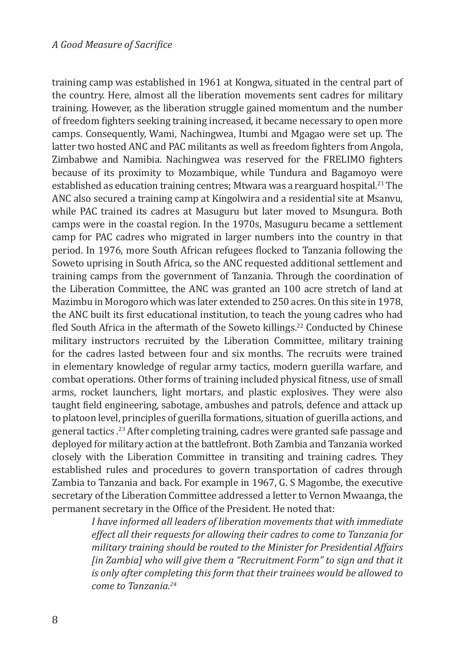training camp was established in 1961 at Kongwa, situated in the central part of the country. Here, almost all the liberation movements sent cadres for military training. However, as the liberation struggle gained momentum and the number of freedom fighters seeking training increased, it became necessary to open more camps. Consequently, Wami, Nachingwea, Itumbi and Mgagao were set up. The latter two hosted ANC and PAC militants as well as freedom fighters from Angola, Zimbabwe and Namibia. Nachingwea was reserved for the FRELIMO fighters because of its proximity to Mozambique, while Tundura and Bagamoyo were established as education training centres; Mtwara was a rearguard hospital.<sup>21</sup> The ANC also secured a training camp at Kingolwira and a residential site at Msanvu, while PAC trained its cadres at Masuguru but later moved to Msungura. Both camps were in the coastal region. In the 1970s, Masuguru became a settlement camp for PAC cadres who migrated in larger numbers into the country in that period. In 1976, more South African refugees flocked to Tanzania following the Soweto uprising in South Africa, so the ANC requested additional settlement and training camps from the government of Tanzania. Through the coordination of the Liberation Committee, the ANC was granted an 100 acre stretch of land at Mazimbu in Morogoro which was later extended to 250 acres. On this site in 1978, the ANC built its first educational institution, to teach the young cadres who had fled South Africa in the aftermath of the Soweto killings.<sup>22</sup> Conducted by Chinese military instructors recruited by the Liberation Committee, military training for the cadres lasted between four and six months. The recruits were trained in elementary knowledge of regular army tactics, modern guerilla warfare, and combat operations. Other forms of training included physical fitness, use of small arms, rocket launchers, light mortars, and plastic explosives. They were also taught field engineering, sabotage, ambushes and patrols, defence and attack up to platoon level, principles of guerilla formations, situation of guerilla actions, and general tactics.<sup>23</sup> After completing training, cadres were granted safe passage and deployed for military action at the battlefront. Both Zambia and Tanzania worked closely with the Liberation Committee in transiting and training cadres. They established rules and procedures to govern transportation of cadres through Zambia to Tanzania and back. For example in 1967, G. S Magombe, the executive secretary of the Liberation Committee addressed a letter to Vernon Mwaanga, the permanent secretary in the Office of the President. He noted that:

> *I have informed all leaders of liberation movements that with immediate effect all their requests for allowing their cadres to come to Tanzania for military training should be routed to the Minister for Presidential Affairs [in Zambia] who will give them a "Recruitment Form" to sign and that it is only after completing this form that their trainees would be allowed to come to Tanzania.24*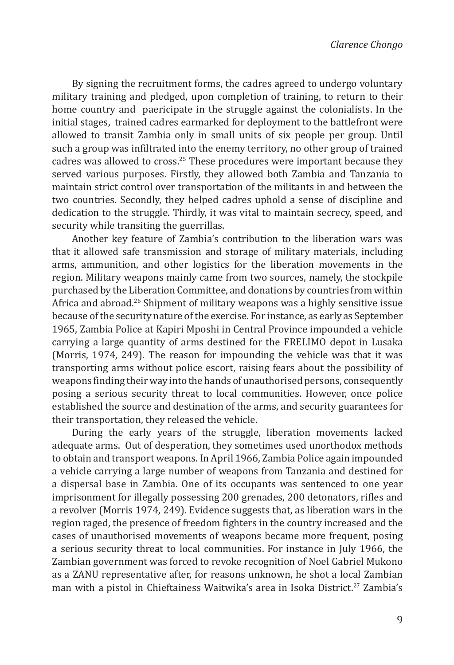By signing the recruitment forms, the cadres agreed to undergo voluntary military training and pledged, upon completion of training, to return to their home country and paericipate in the struggle against the colonialists. In the initial stages, trained cadres earmarked for deployment to the battlefront were allowed to transit Zambia only in small units of six people per group. Until such a group was infiltrated into the enemy territory, no other group of trained cadres was allowed to cross.25 These procedures were important because they served various purposes. Firstly, they allowed both Zambia and Tanzania to maintain strict control over transportation of the militants in and between the two countries. Secondly, they helped cadres uphold a sense of discipline and dedication to the struggle. Thirdly, it was vital to maintain secrecy, speed, and security while transiting the guerrillas.

Another key feature of Zambia's contribution to the liberation wars was that it allowed safe transmission and storage of military materials, including arms, ammunition, and other logistics for the liberation movements in the region. Military weapons mainly came from two sources, namely, the stockpile purchased by the Liberation Committee, and donations by countries from within Africa and abroad.<sup>26</sup> Shipment of military weapons was a highly sensitive issue because of the security nature of the exercise. For instance, as early as September 1965, Zambia Police at Kapiri Mposhi in Central Province impounded a vehicle carrying a large quantity of arms destined for the FRELIMO depot in Lusaka (Morris, 1974, 249). The reason for impounding the vehicle was that it was transporting arms without police escort, raising fears about the possibility of weapons finding their way into the hands of unauthorised persons, consequently posing a serious security threat to local communities. However, once police established the source and destination of the arms, and security guarantees for their transportation, they released the vehicle.

During the early years of the struggle, liberation movements lacked adequate arms. Out of desperation, they sometimes used unorthodox methods to obtain and transport weapons. In April 1966, Zambia Police again impounded a vehicle carrying a large number of weapons from Tanzania and destined for a dispersal base in Zambia. One of its occupants was sentenced to one year imprisonment for illegally possessing 200 grenades, 200 detonators, rifles and a revolver (Morris 1974, 249). Evidence suggests that, as liberation wars in the region raged, the presence of freedom fighters in the country increased and the cases of unauthorised movements of weapons became more frequent, posing a serious security threat to local communities. For instance in July 1966, the Zambian government was forced to revoke recognition of Noel Gabriel Mukono as a ZANU representative after, for reasons unknown, he shot a local Zambian man with a pistol in Chieftainess Waitwika's area in Isoka District.<sup>27</sup> Zambia's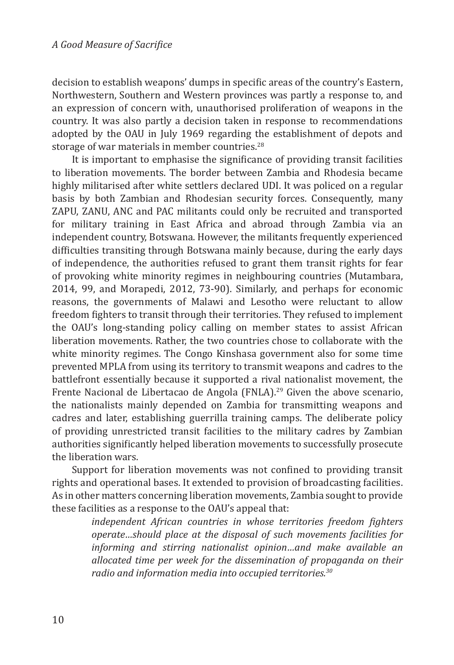decision to establish weapons' dumps in specific areas of the country's Eastern, Northwestern, Southern and Western provinces was partly a response to, and an expression of concern with, unauthorised proliferation of weapons in the country. It was also partly a decision taken in response to recommendations adopted by the OAU in July 1969 regarding the establishment of depots and storage of war materials in member countries.<sup>28</sup>

It is important to emphasise the significance of providing transit facilities to liberation movements. The border between Zambia and Rhodesia became highly militarised after white settlers declared UDI. It was policed on a regular basis by both Zambian and Rhodesian security forces. Consequently, many ZAPU, ZANU, ANC and PAC militants could only be recruited and transported for military training in East Africa and abroad through Zambia via an independent country, Botswana. However, the militants frequently experienced difficulties transiting through Botswana mainly because, during the early days of independence, the authorities refused to grant them transit rights for fear of provoking white minority regimes in neighbouring countries (Mutambara, 2014, 99, and Morapedi, 2012, 73-90). Similarly, and perhaps for economic reasons, the governments of Malawi and Lesotho were reluctant to allow freedom fighters to transit through their territories. They refused to implement the OAU's long-standing policy calling on member states to assist African liberation movements. Rather, the two countries chose to collaborate with the white minority regimes. The Congo Kinshasa government also for some time prevented MPLA from using its territory to transmit weapons and cadres to the battlefront essentially because it supported a rival nationalist movement, the Frente Nacional de Libertacao de Angola (FNLA).<sup>29</sup> Given the above scenario, the nationalists mainly depended on Zambia for transmitting weapons and cadres and later, establishing guerrilla training camps. The deliberate policy of providing unrestricted transit facilities to the military cadres by Zambian authorities significantly helped liberation movements to successfully prosecute the liberation wars.

Support for liberation movements was not confined to providing transit rights and operational bases. It extended to provision of broadcasting facilities. As in other matters concerning liberation movements, Zambia sought to provide these facilities as a response to the OAU's appeal that:

> *independent African countries in whose territories freedom fighters operate…should place at the disposal of such movements facilities for informing and stirring nationalist opinion…and make available an allocated time per week for the dissemination of propaganda on their radio and information media into occupied territories.30*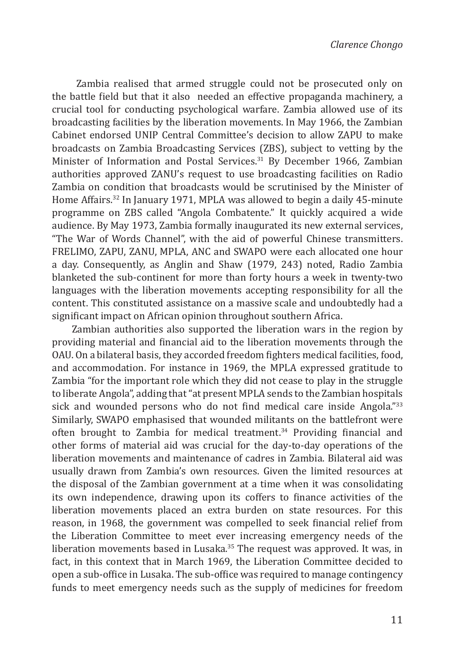Zambia realised that armed struggle could not be prosecuted only on the battle field but that it also needed an effective propaganda machinery, a crucial tool for conducting psychological warfare. Zambia allowed use of its broadcasting facilities by the liberation movements. In May 1966, the Zambian Cabinet endorsed UNIP Central Committee's decision to allow ZAPU to make broadcasts on Zambia Broadcasting Services (ZBS), subject to vetting by the Minister of Information and Postal Services.<sup>31</sup> By December 1966, Zambian authorities approved ZANU's request to use broadcasting facilities on Radio Zambia on condition that broadcasts would be scrutinised by the Minister of Home Affairs.<sup>32</sup> In January 1971, MPLA was allowed to begin a daily 45-minute programme on ZBS called "Angola Combatente." It quickly acquired a wide audience. By May 1973, Zambia formally inaugurated its new external services, "The War of Words Channel", with the aid of powerful Chinese transmitters. FRELIMO, ZAPU, ZANU, MPLA, ANC and SWAPO were each allocated one hour a day. Consequently, as Anglin and Shaw (1979, 243) noted, Radio Zambia blanketed the sub-continent for more than forty hours a week in twenty-two languages with the liberation movements accepting responsibility for all the content. This constituted assistance on a massive scale and undoubtedly had a significant impact on African opinion throughout southern Africa.

Zambian authorities also supported the liberation wars in the region by providing material and financial aid to the liberation movements through the OAU. On a bilateral basis, they accorded freedom fighters medical facilities, food, and accommodation. For instance in 1969, the MPLA expressed gratitude to Zambia "for the important role which they did not cease to play in the struggle to liberate Angola", adding that "at present MPLA sends to the Zambian hospitals sick and wounded persons who do not find medical care inside Angola."33 Similarly, SWAPO emphasised that wounded militants on the battlefront were often brought to Zambia for medical treatment.<sup>34</sup> Providing financial and other forms of material aid was crucial for the day-to-day operations of the liberation movements and maintenance of cadres in Zambia. Bilateral aid was usually drawn from Zambia's own resources. Given the limited resources at the disposal of the Zambian government at a time when it was consolidating its own independence, drawing upon its coffers to finance activities of the liberation movements placed an extra burden on state resources. For this reason, in 1968, the government was compelled to seek financial relief from the Liberation Committee to meet ever increasing emergency needs of the liberation movements based in Lusaka.<sup>35</sup> The request was approved. It was, in fact, in this context that in March 1969, the Liberation Committee decided to open a sub-office in Lusaka. The sub-office was required to manage contingency funds to meet emergency needs such as the supply of medicines for freedom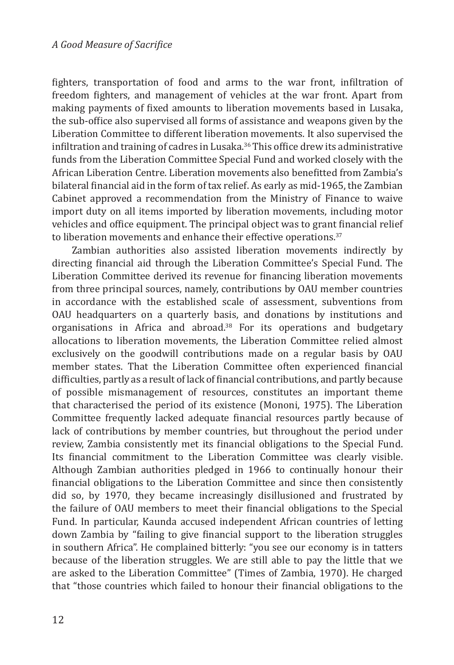fighters, transportation of food and arms to the war front, infiltration of freedom fighters, and management of vehicles at the war front. Apart from making payments of fixed amounts to liberation movements based in Lusaka, the sub-office also supervised all forms of assistance and weapons given by the Liberation Committee to different liberation movements. It also supervised the infiltration and training of cadres in Lusaka.<sup>36</sup> This office drew its administrative funds from the Liberation Committee Special Fund and worked closely with the African Liberation Centre. Liberation movements also benefitted from Zambia's bilateral financial aid in the form of tax relief. As early as mid-1965, the Zambian Cabinet approved a recommendation from the Ministry of Finance to waive import duty on all items imported by liberation movements, including motor vehicles and office equipment. The principal object was to grant financial relief to liberation movements and enhance their effective operations. $37$ 

Zambian authorities also assisted liberation movements indirectly by directing financial aid through the Liberation Committee's Special Fund. The Liberation Committee derived its revenue for financing liberation movements from three principal sources, namely, contributions by OAU member countries in accordance with the established scale of assessment, subventions from OAU headquarters on a quarterly basis, and donations by institutions and organisations in Africa and abroad.<sup>38</sup> For its operations and budgetary allocations to liberation movements, the Liberation Committee relied almost exclusively on the goodwill contributions made on a regular basis by OAU member states. That the Liberation Committee often experienced financial difficulties, partly as a result of lack of financial contributions, and partly because of possible mismanagement of resources, constitutes an important theme that characterised the period of its existence (Mononi, 1975). The Liberation Committee frequently lacked adequate financial resources partly because of lack of contributions by member countries, but throughout the period under review, Zambia consistently met its financial obligations to the Special Fund. Its financial commitment to the Liberation Committee was clearly visible. Although Zambian authorities pledged in 1966 to continually honour their financial obligations to the Liberation Committee and since then consistently did so, by 1970, they became increasingly disillusioned and frustrated by the failure of OAU members to meet their financial obligations to the Special Fund. In particular, Kaunda accused independent African countries of letting down Zambia by "failing to give financial support to the liberation struggles in southern Africa". He complained bitterly: "you see our economy is in tatters because of the liberation struggles. We are still able to pay the little that we are asked to the Liberation Committee" (Times of Zambia, 1970). He charged that "those countries which failed to honour their financial obligations to the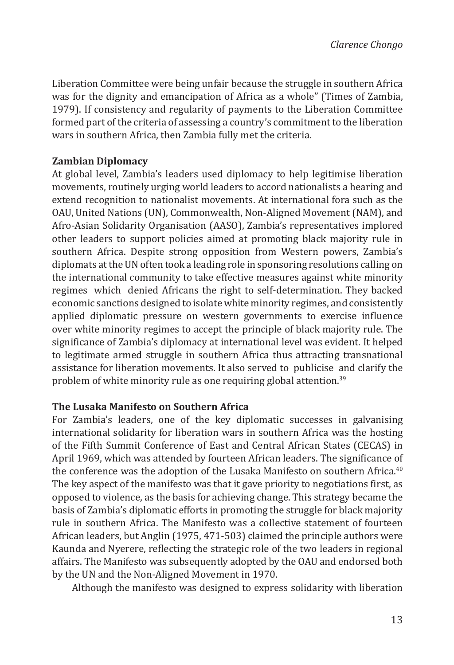Liberation Committee were being unfair because the struggle in southern Africa was for the dignity and emancipation of Africa as a whole" (Times of Zambia, 1979). If consistency and regularity of payments to the Liberation Committee formed part of the criteria of assessing a country's commitment to the liberation wars in southern Africa, then Zambia fully met the criteria.

# **Zambian Diplomacy**

At global level, Zambia's leaders used diplomacy to help legitimise liberation movements, routinely urging world leaders to accord nationalists a hearing and extend recognition to nationalist movements. At international fora such as the OAU, United Nations (UN), Commonwealth, Non-Aligned Movement (NAM), and Afro-Asian Solidarity Organisation (AASO), Zambia's representatives implored other leaders to support policies aimed at promoting black majority rule in southern Africa. Despite strong opposition from Western powers, Zambia's diplomats at the UN often took a leading role in sponsoring resolutions calling on the international community to take effective measures against white minority regimes which denied Africans the right to self-determination. They backed economic sanctions designed to isolate white minority regimes, and consistently applied diplomatic pressure on western governments to exercise influence over white minority regimes to accept the principle of black majority rule. The significance of Zambia's diplomacy at international level was evident. It helped to legitimate armed struggle in southern Africa thus attracting transnational assistance for liberation movements. It also served to publicise and clarify the problem of white minority rule as one requiring global attention.<sup>39</sup>

#### **The Lusaka Manifesto on Southern Africa**

For Zambia's leaders, one of the key diplomatic successes in galvanising international solidarity for liberation wars in southern Africa was the hosting of the Fifth Summit Conference of East and Central African States (CECAS) in April 1969, which was attended by fourteen African leaders. The significance of the conference was the adoption of the Lusaka Manifesto on southern Africa.<sup>40</sup> The key aspect of the manifesto was that it gave priority to negotiations first, as opposed to violence, as the basis for achieving change. This strategy became the basis of Zambia's diplomatic efforts in promoting the struggle for black majority rule in southern Africa. The Manifesto was a collective statement of fourteen African leaders, but Anglin (1975, 471-503) claimed the principle authors were Kaunda and Nyerere, reflecting the strategic role of the two leaders in regional affairs. The Manifesto was subsequently adopted by the OAU and endorsed both by the UN and the Non-Aligned Movement in 1970.

Although the manifesto was designed to express solidarity with liberation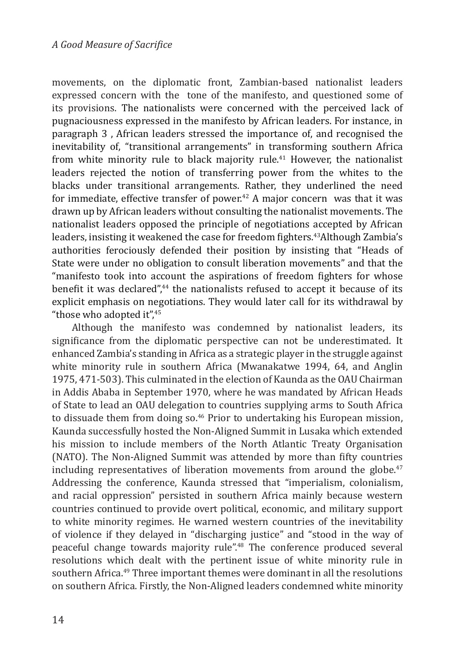movements, on the diplomatic front, Zambian-based nationalist leaders expressed concern with the tone of the manifesto, and questioned some of its provisions. The nationalists were concerned with the perceived lack of pugnaciousness expressed in the manifesto by African leaders. For instance, in paragraph 3 , African leaders stressed the importance of, and recognised the inevitability of, "transitional arrangements" in transforming southern Africa from white minority rule to black majority rule.<sup>41</sup> However, the nationalist leaders rejected the notion of transferring power from the whites to the blacks under transitional arrangements. Rather, they underlined the need for immediate, effective transfer of power.<sup>42</sup> A major concern was that it was drawn up by African leaders without consulting the nationalist movements. The nationalist leaders opposed the principle of negotiations accepted by African leaders, insisting it weakened the case for freedom fighters.<sup>43</sup>Although Zambia's authorities ferociously defended their position by insisting that "Heads of State were under no obligation to consult liberation movements" and that the "manifesto took into account the aspirations of freedom fighters for whose benefit it was declared",<sup>44</sup> the nationalists refused to accept it because of its explicit emphasis on negotiations. They would later call for its withdrawal by "those who adopted it", $45$ 

Although the manifesto was condemned by nationalist leaders, its significance from the diplomatic perspective can not be underestimated. It enhanced Zambia's standing in Africa as a strategic player in the struggle against white minority rule in southern Africa (Mwanakatwe 1994, 64, and Anglin 1975, 471-503). This culminated in the election of Kaunda as the OAU Chairman in Addis Ababa in September 1970, where he was mandated by African Heads of State to lead an OAU delegation to countries supplying arms to South Africa to dissuade them from doing so.<sup>46</sup> Prior to undertaking his European mission, Kaunda successfully hosted the Non-Aligned Summit in Lusaka which extended his mission to include members of the North Atlantic Treaty Organisation (NATO). The Non-Aligned Summit was attended by more than fifty countries including representatives of liberation movements from around the globe.<sup>47</sup> Addressing the conference, Kaunda stressed that "imperialism, colonialism, and racial oppression" persisted in southern Africa mainly because western countries continued to provide overt political, economic, and military support to white minority regimes. He warned western countries of the inevitability of violence if they delayed in "discharging justice" and "stood in the way of peaceful change towards majority rule".48 The conference produced several resolutions which dealt with the pertinent issue of white minority rule in southern Africa.<sup>49</sup> Three important themes were dominant in all the resolutions on southern Africa. Firstly, the Non-Aligned leaders condemned white minority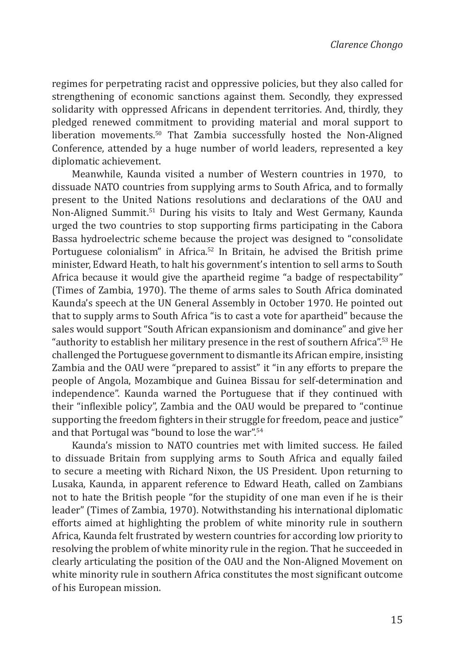regimes for perpetrating racist and oppressive policies, but they also called for strengthening of economic sanctions against them. Secondly, they expressed solidarity with oppressed Africans in dependent territories. And, thirdly, they pledged renewed commitment to providing material and moral support to liberation movements.50 That Zambia successfully hosted the Non-Aligned Conference, attended by a huge number of world leaders, represented a key diplomatic achievement.

Meanwhile, Kaunda visited a number of Western countries in 1970, to dissuade NATO countries from supplying arms to South Africa, and to formally present to the United Nations resolutions and declarations of the OAU and Non-Aligned Summit.51 During his visits to Italy and West Germany, Kaunda urged the two countries to stop supporting firms participating in the Cabora Bassa hydroelectric scheme because the project was designed to "consolidate Portuguese colonialism" in Africa.<sup>52</sup> In Britain, he advised the British prime minister, Edward Heath, to halt his government's intention to sell arms to South Africa because it would give the apartheid regime "a badge of respectability" (Times of Zambia, 1970). The theme of arms sales to South Africa dominated Kaunda's speech at the UN General Assembly in October 1970. He pointed out that to supply arms to South Africa "is to cast a vote for apartheid" because the sales would support "South African expansionism and dominance" and give her "authority to establish her military presence in the rest of southern Africa".53 He challenged the Portuguese government to dismantle its African empire, insisting Zambia and the OAU were "prepared to assist" it "in any efforts to prepare the people of Angola, Mozambique and Guinea Bissau for self-determination and independence". Kaunda warned the Portuguese that if they continued with their "inflexible policy", Zambia and the OAU would be prepared to "continue supporting the freedom fighters in their struggle for freedom, peace and justice" and that Portugal was "bound to lose the war".54

Kaunda's mission to NATO countries met with limited success. He failed to dissuade Britain from supplying arms to South Africa and equally failed to secure a meeting with Richard Nixon, the US President. Upon returning to Lusaka, Kaunda, in apparent reference to Edward Heath, called on Zambians not to hate the British people "for the stupidity of one man even if he is their leader" (Times of Zambia, 1970). Notwithstanding his international diplomatic efforts aimed at highlighting the problem of white minority rule in southern Africa, Kaunda felt frustrated by western countries for according low priority to resolving the problem of white minority rule in the region. That he succeeded in clearly articulating the position of the OAU and the Non-Aligned Movement on white minority rule in southern Africa constitutes the most significant outcome of his European mission.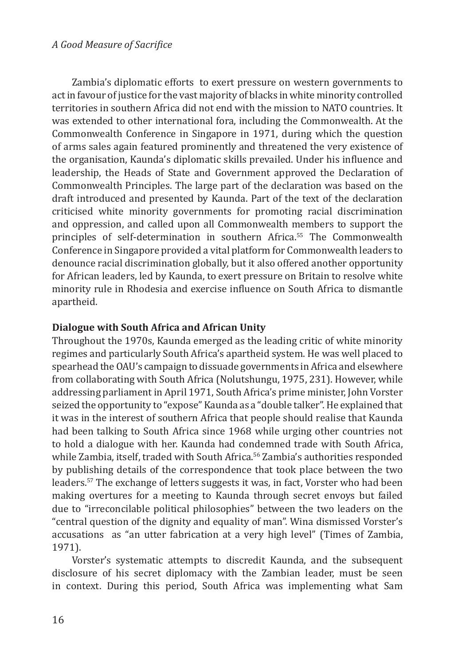Zambia's diplomatic efforts to exert pressure on western governments to act in favour of justice for the vast majority of blacks in white minority controlled territories in southern Africa did not end with the mission to NATO countries. It was extended to other international fora, including the Commonwealth. At the Commonwealth Conference in Singapore in 1971, during which the question of arms sales again featured prominently and threatened the very existence of the organisation, Kaunda's diplomatic skills prevailed. Under his influence and leadership, the Heads of State and Government approved the Declaration of Commonwealth Principles. The large part of the declaration was based on the draft introduced and presented by Kaunda. Part of the text of the declaration criticised white minority governments for promoting racial discrimination and oppression, and called upon all Commonwealth members to support the principles of self-determination in southern Africa.<sup>55</sup> The Commonwealth Conference in Singapore provided a vital platform for Commonwealth leaders to denounce racial discrimination globally, but it also offered another opportunity for African leaders, led by Kaunda, to exert pressure on Britain to resolve white minority rule in Rhodesia and exercise influence on South Africa to dismantle apartheid.

# **Dialogue with South Africa and African Unity**

Throughout the 1970s, Kaunda emerged as the leading critic of white minority regimes and particularly South Africa's apartheid system. He was well placed to spearhead the OAU's campaign to dissuade governments in Africa and elsewhere from collaborating with South Africa (Nolutshungu, 1975, 231). However, while addressing parliament in April 1971, South Africa's prime minister, John Vorster seized the opportunity to "expose" Kaunda as a "double talker". He explained that it was in the interest of southern Africa that people should realise that Kaunda had been talking to South Africa since 1968 while urging other countries not to hold a dialogue with her. Kaunda had condemned trade with South Africa, while Zambia, itself, traded with South Africa.<sup>56</sup> Zambia's authorities responded by publishing details of the correspondence that took place between the two leaders.57 The exchange of letters suggests it was, in fact, Vorster who had been making overtures for a meeting to Kaunda through secret envoys but failed due to "irreconcilable political philosophies" between the two leaders on the "central question of the dignity and equality of man". Wina dismissed Vorster's accusations as "an utter fabrication at a very high level" (Times of Zambia, 1971).

Vorster's systematic attempts to discredit Kaunda, and the subsequent disclosure of his secret diplomacy with the Zambian leader, must be seen in context. During this period, South Africa was implementing what Sam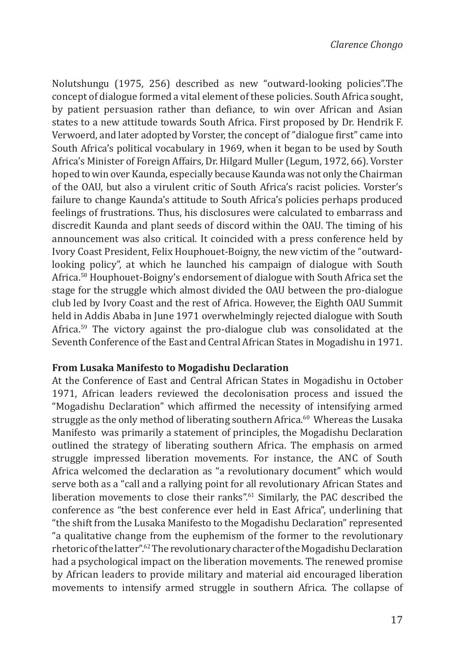Nolutshungu (1975, 256) described as new "outward-looking policies".The concept of dialogue formed a vital element of these policies. South Africa sought, by patient persuasion rather than defiance, to win over African and Asian states to a new attitude towards South Africa. First proposed by Dr. Hendrik F. Verwoerd, and later adopted by Vorster, the concept of "dialogue first" came into South Africa's political vocabulary in 1969, when it began to be used by South Africa's Minister of Foreign Affairs, Dr. Hilgard Muller (Legum, 1972, 66). Vorster hoped to win over Kaunda, especially because Kaunda was not only the Chairman of the OAU, but also a virulent critic of South Africa's racist policies. Vorster's failure to change Kaunda's attitude to South Africa's policies perhaps produced feelings of frustrations. Thus, his disclosures were calculated to embarrass and discredit Kaunda and plant seeds of discord within the OAU. The timing of his announcement was also critical. It coincided with a press conference held by Ivory Coast President, Felix Houphouet-Boigny, the new victim of the "outwardlooking policy", at which he launched his campaign of dialogue with South Africa.58 Houphouet-Boigny's endorsement of dialogue with South Africa set the stage for the struggle which almost divided the OAU between the pro-dialogue club led by Ivory Coast and the rest of Africa. However, the Eighth OAU Summit held in Addis Ababa in June 1971 overwhelmingly rejected dialogue with South Africa.59 The victory against the pro-dialogue club was consolidated at the Seventh Conference of the East and Central African States in Mogadishu in 1971.

#### **From Lusaka Manifesto to Mogadishu Declaration**

At the Conference of East and Central African States in Mogadishu in October 1971, African leaders reviewed the decolonisation process and issued the "Mogadishu Declaration" which affirmed the necessity of intensifying armed struggle as the only method of liberating southern Africa.<sup>60</sup> Whereas the Lusaka Manifesto was primarily a statement of principles, the Mogadishu Declaration outlined the strategy of liberating southern Africa. The emphasis on armed struggle impressed liberation movements. For instance, the ANC of South Africa welcomed the declaration as "a revolutionary document" which would serve both as a "call and a rallying point for all revolutionary African States and liberation movements to close their ranks".<sup>61</sup> Similarly, the PAC described the conference as "the best conference ever held in East Africa", underlining that "the shift from the Lusaka Manifesto to the Mogadishu Declaration" represented "a qualitative change from the euphemism of the former to the revolutionary rhetoric of the latter".62 The revolutionary character of the Mogadishu Declaration had a psychological impact on the liberation movements. The renewed promise by African leaders to provide military and material aid encouraged liberation movements to intensify armed struggle in southern Africa. The collapse of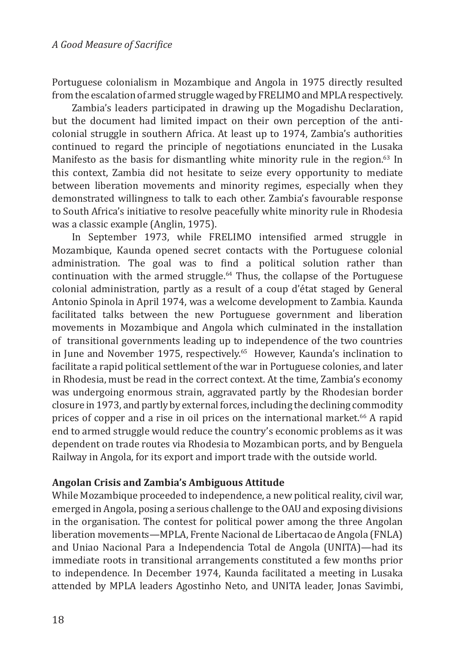Portuguese colonialism in Mozambique and Angola in 1975 directly resulted from the escalation of armed struggle waged by FRELIMO and MPLA respectively.

Zambia's leaders participated in drawing up the Mogadishu Declaration, but the document had limited impact on their own perception of the anticolonial struggle in southern Africa. At least up to 1974, Zambia's authorities continued to regard the principle of negotiations enunciated in the Lusaka Manifesto as the basis for dismantling white minority rule in the region.<sup>63</sup> In this context, Zambia did not hesitate to seize every opportunity to mediate between liberation movements and minority regimes, especially when they demonstrated willingness to talk to each other. Zambia's favourable response to South Africa's initiative to resolve peacefully white minority rule in Rhodesia was a classic example (Anglin, 1975).

In September 1973, while FRELIMO intensified armed struggle in Mozambique, Kaunda opened secret contacts with the Portuguese colonial administration. The goal was to find a political solution rather than continuation with the armed struggle. $64$  Thus, the collapse of the Portuguese colonial administration, partly as a result of a coup d'état staged by General Antonio Spinola in April 1974, was a welcome development to Zambia. Kaunda facilitated talks between the new Portuguese government and liberation movements in Mozambique and Angola which culminated in the installation of transitional governments leading up to independence of the two countries in June and November 1975, respectively.<sup>65</sup> However, Kaunda's inclination to facilitate a rapid political settlement of the war in Portuguese colonies, and later in Rhodesia, must be read in the correct context. At the time, Zambia's economy was undergoing enormous strain, aggravated partly by the Rhodesian border closure in 1973, and partly by external forces, including the declining commodity prices of copper and a rise in oil prices on the international market.<sup>66</sup> A rapid end to armed struggle would reduce the country's economic problems as it was dependent on trade routes via Rhodesia to Mozambican ports, and by Benguela Railway in Angola, for its export and import trade with the outside world.

#### **Angolan Crisis and Zambia's Ambiguous Attitude**

While Mozambique proceeded to independence, a new political reality, civil war, emerged in Angola, posing a serious challenge to the OAU and exposing divisions in the organisation. The contest for political power among the three Angolan liberation movements—MPLA, Frente Nacional de Libertacao de Angola (FNLA) and Uniao Nacional Para a Independencia Total de Angola (UNITA)—had its immediate roots in transitional arrangements constituted a few months prior to independence. In December 1974, Kaunda facilitated a meeting in Lusaka attended by MPLA leaders Agostinho Neto, and UNITA leader, Jonas Savimbi,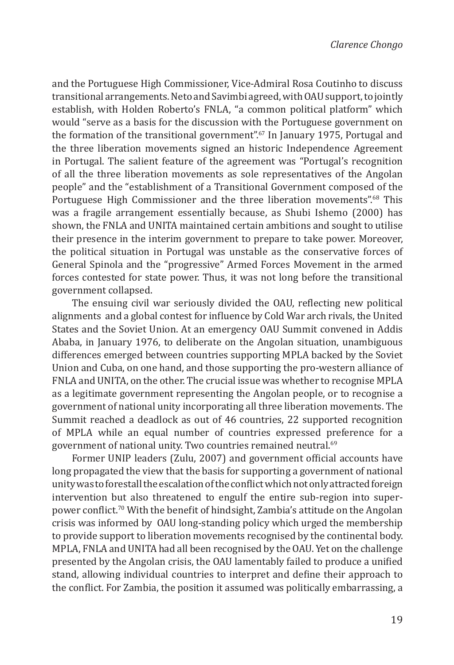and the Portuguese High Commissioner, Vice-Admiral Rosa Coutinho to discuss transitional arrangements. Neto and Savimbi agreed, with OAU support, to jointly establish, with Holden Roberto's FNLA, "a common political platform" which would "serve as a basis for the discussion with the Portuguese government on the formation of the transitional government".<sup>67</sup> In January 1975, Portugal and the three liberation movements signed an historic Independence Agreement in Portugal. The salient feature of the agreement was "Portugal's recognition of all the three liberation movements as sole representatives of the Angolan people" and the "establishment of a Transitional Government composed of the Portuguese High Commissioner and the three liberation movements".<sup>68</sup> This was a fragile arrangement essentially because, as Shubi Ishemo (2000) has shown, the FNLA and UNITA maintained certain ambitions and sought to utilise their presence in the interim government to prepare to take power. Moreover, the political situation in Portugal was unstable as the conservative forces of General Spinola and the "progressive" Armed Forces Movement in the armed forces contested for state power. Thus, it was not long before the transitional government collapsed.

The ensuing civil war seriously divided the OAU, reflecting new political alignments and a global contest for influence by Cold War arch rivals, the United States and the Soviet Union. At an emergency OAU Summit convened in Addis Ababa, in January 1976, to deliberate on the Angolan situation, unambiguous differences emerged between countries supporting MPLA backed by the Soviet Union and Cuba, on one hand, and those supporting the pro-western alliance of FNLA and UNITA, on the other. The crucial issue was whether to recognise MPLA as a legitimate government representing the Angolan people, or to recognise a government of national unity incorporating all three liberation movements. The Summit reached a deadlock as out of 46 countries, 22 supported recognition of MPLA while an equal number of countries expressed preference for a government of national unity. Two countries remained neutral.69

Former UNIP leaders (Zulu, 2007) and government official accounts have long propagated the view that the basis for supporting a government of national unity was to forestall the escalation of the conflict which not only attracted foreign intervention but also threatened to engulf the entire sub-region into superpower conflict.<sup>70</sup> With the benefit of hindsight, Zambia's attitude on the Angolan crisis was informed by OAU long-standing policy which urged the membership to provide support to liberation movements recognised by the continental body. MPLA, FNLA and UNITA had all been recognised by the OAU. Yet on the challenge presented by the Angolan crisis, the OAU lamentably failed to produce a unified stand, allowing individual countries to interpret and define their approach to the conflict. For Zambia, the position it assumed was politically embarrassing, a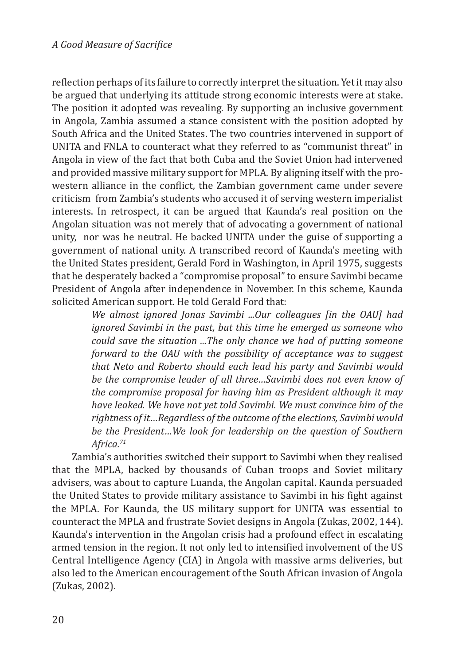reflection perhaps of its failure to correctly interpret the situation. Yet it may also be argued that underlying its attitude strong economic interests were at stake. The position it adopted was revealing. By supporting an inclusive government in Angola, Zambia assumed a stance consistent with the position adopted by South Africa and the United States. The two countries intervened in support of UNITA and FNLA to counteract what they referred to as "communist threat" in Angola in view of the fact that both Cuba and the Soviet Union had intervened and provided massive military support for MPLA. By aligning itself with the prowestern alliance in the conflict, the Zambian government came under severe criticism from Zambia's students who accused it of serving western imperialist interests. In retrospect, it can be argued that Kaunda's real position on the Angolan situation was not merely that of advocating a government of national unity, nor was he neutral. He backed UNITA under the guise of supporting a government of national unity. A transcribed record of Kaunda's meeting with the United States president, Gerald Ford in Washington, in April 1975, suggests that he desperately backed a "compromise proposal" to ensure Savimbi became President of Angola after independence in November. In this scheme, Kaunda solicited American support. He told Gerald Ford that:

> *We almost ignored Jonas Savimbi ...Our colleagues [in the OAU] had ignored Savimbi in the past, but this time he emerged as someone who could save the situation ...The only chance we had of putting someone forward to the OAU with the possibility of acceptance was to suggest that Neto and Roberto should each lead his party and Savimbi would be the compromise leader of all three…Savimbi does not even know of the compromise proposal for having him as President although it may have leaked. We have not yet told Savimbi. We must convince him of the rightness of it…Regardless of the outcome of the elections, Savimbi would be the President…We look for leadership on the question of Southern Africa.71*

Zambia's authorities switched their support to Savimbi when they realised that the MPLA, backed by thousands of Cuban troops and Soviet military advisers, was about to capture Luanda, the Angolan capital. Kaunda persuaded the United States to provide military assistance to Savimbi in his fight against the MPLA. For Kaunda, the US military support for UNITA was essential to counteract the MPLA and frustrate Soviet designs in Angola (Zukas, 2002, 144). Kaunda's intervention in the Angolan crisis had a profound effect in escalating armed tension in the region. It not only led to intensified involvement of the US Central Intelligence Agency (CIA) in Angola with massive arms deliveries, but also led to the American encouragement of the South African invasion of Angola (Zukas, 2002).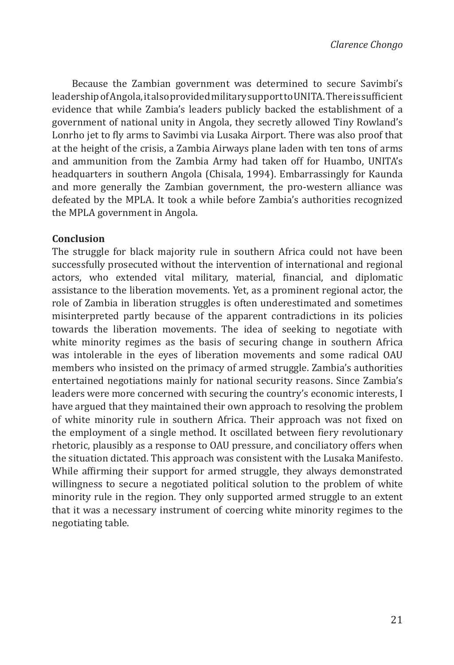Because the Zambian government was determined to secure Savimbi's leadership of Angola, it also provided military support to UNITA. There is sufficient evidence that while Zambia's leaders publicly backed the establishment of a government of national unity in Angola, they secretly allowed Tiny Rowland's Lonrho jet to fly arms to Savimbi via Lusaka Airport. There was also proof that at the height of the crisis, a Zambia Airways plane laden with ten tons of arms and ammunition from the Zambia Army had taken off for Huambo, UNITA's headquarters in southern Angola (Chisala, 1994). Embarrassingly for Kaunda and more generally the Zambian government, the pro-western alliance was defeated by the MPLA. It took a while before Zambia's authorities recognized the MPLA government in Angola.

#### **Conclusion**

The struggle for black majority rule in southern Africa could not have been successfully prosecuted without the intervention of international and regional actors, who extended vital military, material, financial, and diplomatic assistance to the liberation movements. Yet, as a prominent regional actor, the role of Zambia in liberation struggles is often underestimated and sometimes misinterpreted partly because of the apparent contradictions in its policies towards the liberation movements. The idea of seeking to negotiate with white minority regimes as the basis of securing change in southern Africa was intolerable in the eyes of liberation movements and some radical OAU members who insisted on the primacy of armed struggle. Zambia's authorities entertained negotiations mainly for national security reasons. Since Zambia's leaders were more concerned with securing the country's economic interests, I have argued that they maintained their own approach to resolving the problem of white minority rule in southern Africa. Their approach was not fixed on the employment of a single method. It oscillated between fiery revolutionary rhetoric, plausibly as a response to OAU pressure, and conciliatory offers when the situation dictated. This approach was consistent with the Lusaka Manifesto. While affirming their support for armed struggle, they always demonstrated willingness to secure a negotiated political solution to the problem of white minority rule in the region. They only supported armed struggle to an extent that it was a necessary instrument of coercing white minority regimes to the negotiating table.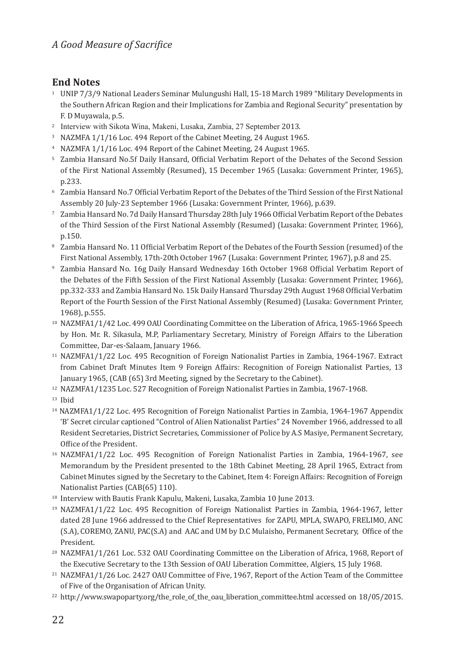# **End Notes**

- <sup>1</sup> UNIP 7/3/9 National Leaders Seminar Mulungushi Hall, 15-18 March 1989 "Military Developments in the Southern African Region and their Implications for Zambia and Regional Security" presentation by F. D Muyawala, p.5.
- <sup>2</sup> Interview with Sikota Wina, Makeni, Lusaka, Zambia, 27 September 2013.
- <sup>3</sup> NAZMFA 1/1/16 Loc. 494 Report of the Cabinet Meeting, 24 August 1965.
- <sup>4</sup> NAZMFA 1/1/16 Loc. 494 Report of the Cabinet Meeting, 24 August 1965.
- <sup>5</sup> Zambia Hansard No.5f Daily Hansard, Official Verbatim Report of the Debates of the Second Session of the First National Assembly (Resumed), 15 December 1965 (Lusaka: Government Printer, 1965), p.233.
- <sup>6</sup> Zambia Hansard No.7 Official Verbatim Report of the Debates of the Third Session of the First National Assembly 20 July-23 September 1966 (Lusaka: Government Printer, 1966), p.639.
- <sup>7</sup> Zambia Hansard No. 7d Daily Hansard Thursday 28th July 1966 Official Verbatim Report of the Debates of the Third Session of the First National Assembly (Resumed) (Lusaka: Government Printer, 1966), p.150.
- <sup>8</sup> Zambia Hansard No. 11 Official Verbatim Report of the Debates of the Fourth Session (resumed) of the First National Assembly, 17th-20th October 1967 (Lusaka: Government Printer, 1967), p.8 and 25.
- <sup>9</sup> Zambia Hansard No. 16g Daily Hansard Wednesday 16th October 1968 Official Verbatim Report of the Debates of the Fifth Session of the First National Assembly (Lusaka: Government Printer, 1966), pp.332-333 and Zambia Hansard No. 15k Daily Hansard Thursday 29th August 1968 Official Verbatim Report of the Fourth Session of the First National Assembly (Resumed) (Lusaka: Government Printer, 1968), p.555.
- <sup>10</sup> NAZMFA1/1/42 Loc. 499 OAU Coordinating Committee on the Liberation of Africa, 1965-1966 Speech by Hon. Mr. R. Sikasula, M.P, Parliamentary Secretary, Ministry of Foreign Affairs to the Liberation Committee, Dar-es-Salaam, January 1966.
- <sup>11</sup> NAZMFA1/1/22 Loc. 495 Recognition of Foreign Nationalist Parties in Zambia, 1964-1967. Extract from Cabinet Draft Minutes Item 9 Foreign Affairs: Recognition of Foreign Nationalist Parties, 13 January 1965, (CAB (65) 3rd Meeting, signed by the Secretary to the Cabinet).
- <sup>12</sup> NAZMFA1/1235 Loc. 527 Recognition of Foreign Nationalist Parties in Zambia, 1967-1968.
- <sup>13</sup> Ibid
- 14 NAZMFA1/1/22 Loc. 495 Recognition of Foreign Nationalist Parties in Zambia, 1964-1967 Appendix 'B' Secret circular captioned "Control of Alien Nationalist Parties" 24 November 1966, addressed to all Resident Secretaries, District Secretaries, Commissioner of Police by A.S Masiye, Permanent Secretary, Office of the President.
- <sup>16</sup> NAZMFA1/1/22 Loc. 495 Recognition of Foreign Nationalist Parties in Zambia, 1964-1967, see Memorandum by the President presented to the 18th Cabinet Meeting, 28 April 1965, Extract from Cabinet Minutes signed by the Secretary to the Cabinet, Item 4: Foreign Affairs: Recognition of Foreign Nationalist Parties (CAB(65) 110).
- <sup>18</sup> Interview with Bautis Frank Kapulu, Makeni, Lusaka, Zambia 10 June 2013.
- <sup>19</sup> NAZMFA1/1/22 Loc. 495 Recognition of Foreign Nationalist Parties in Zambia, 1964-1967, letter dated 28 June 1966 addressed to the Chief Representatives for ZAPU, MPLA, SWAPO, FRELIMO, ANC (S.A), COREMO, ZANU, PAC(S.A) and AAC and UM by D.C Mulaisho, Permanent Secretary, Office of the President.
- <sup>20</sup> NAZMFA1/1/261 Loc. 532 OAU Coordinating Committee on the Liberation of Africa, 1968, Report of the Executive Secretary to the 13th Session of OAU Liberation Committee, Algiers, 15 July 1968.
- <sup>21</sup> NAZMFA1/1/26 Loc. 2427 OAU Committee of Five, 1967, Report of the Action Team of the Committee of Five of the Organisation of African Unity.
- <sup>22</sup> http://www.swapoparty.org/the\_role\_of\_the\_oau\_liberation\_committee.html accessed on 18/05/2015.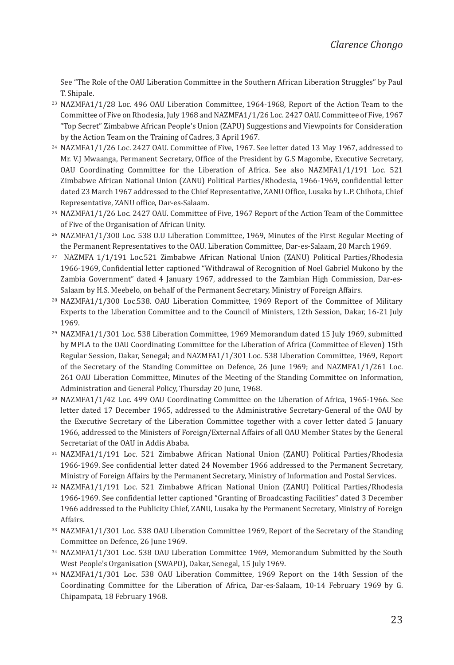See "The Role of the OAU Liberation Committee in the Southern African Liberation Struggles" by Paul T. Shipale.

- <sup>23</sup> NAZMFA1/1/28 Loc. 496 OAU Liberation Committee, 1964-1968, Report of the Action Team to the Committee of Five on Rhodesia, July 1968 and NAZMFA1/1/26 Loc. 2427 OAU. Committee of Five, 1967 "Top Secret" Zimbabwe African People's Union (ZAPU) Suggestions and Viewpoints for Consideration by the Action Team on the Training of Cadres, 3 April 1967.
- <sup>24</sup> NAZMFA1/1/26 Loc. 2427 OAU. Committee of Five, 1967. See letter dated 13 May 1967, addressed to Mr. V.J Mwaanga, Permanent Secretary, Office of the President by G.S Magombe, Executive Secretary, OAU Coordinating Committee for the Liberation of Africa. See also NAZMFA1/1/191 Loc. 521 Zimbabwe African National Union (ZANU) Political Parties/Rhodesia, 1966-1969, confidential letter dated 23 March 1967 addressed to the Chief Representative, ZANU Office, Lusaka by L.P. Chihota, Chief Representative, ZANU office, Dar-es-Salaam.
- <sup>25</sup> NAZMFA1/1/26 Loc. 2427 OAU. Committee of Five, 1967 Report of the Action Team of the Committee of Five of the Organisation of African Unity.
- <sup>26</sup> NAZMFA1/1/300 Loc. 538 O.U Liberation Committee, 1969, Minutes of the First Regular Meeting of the Permanent Representatives to the OAU. Liberation Committee, Dar-es-Salaam, 20 March 1969.
- 27 NAZMFA 1/1/191 Loc.521 Zimbabwe African National Union (ZANU) Political Parties/Rhodesia 1966-1969, Confidential letter captioned "Withdrawal of Recognition of Noel Gabriel Mukono by the Zambia Government" dated 4 January 1967, addressed to the Zambian High Commission, Dar-es-Salaam by H.S. Meebelo, on behalf of the Permanent Secretary, Ministry of Foreign Affairs.
- <sup>28</sup> NAZMFA1/1/300 Loc.538. OAU Liberation Committee, 1969 Report of the Committee of Military Experts to the Liberation Committee and to the Council of Ministers, 12th Session, Dakar, 16-21 July 1969.
- <sup>29</sup> NAZMFA1/1/301 Loc. 538 Liberation Committee, 1969 Memorandum dated 15 July 1969, submitted by MPLA to the OAU Coordinating Committee for the Liberation of Africa (Committee of Eleven) 15th Regular Session, Dakar, Senegal; and NAZMFA1/1/301 Loc. 538 Liberation Committee, 1969, Report of the Secretary of the Standing Committee on Defence, 26 June 1969; and NAZMFA1/1/261 Loc. 261 OAU Liberation Committee, Minutes of the Meeting of the Standing Committee on Information, Administration and General Policy, Thursday 20 June, 1968.
- <sup>30</sup> NAZMFA1/1/42 Loc. 499 OAU Coordinating Committee on the Liberation of Africa, 1965-1966. See letter dated 17 December 1965, addressed to the Administrative Secretary-General of the OAU by the Executive Secretary of the Liberation Committee together with a cover letter dated 5 January 1966, addressed to the Ministers of Foreign/External Affairs of all OAU Member States by the General Secretariat of the OAU in Addis Ababa.
- <sup>31</sup> NAZMFA1/1/191 Loc. 521 Zimbabwe African National Union (ZANU) Political Parties/Rhodesia 1966-1969. See confidential letter dated 24 November 1966 addressed to the Permanent Secretary, Ministry of Foreign Affairs by the Permanent Secretary, Ministry of Information and Postal Services.
- <sup>32</sup> NAZMFA1/1/191 Loc. 521 Zimbabwe African National Union (ZANU) Political Parties/Rhodesia 1966-1969. See confidential letter captioned "Granting of Broadcasting Facilities" dated 3 December 1966 addressed to the Publicity Chief, ZANU, Lusaka by the Permanent Secretary, Ministry of Foreign Affairs.
- <sup>33</sup> NAZMFA1/1/301 Loc. 538 OAU Liberation Committee 1969, Report of the Secretary of the Standing Committee on Defence, 26 June 1969.
- <sup>34</sup> NAZMFA1/1/301 Loc. 538 OAU Liberation Committee 1969, Memorandum Submitted by the South West People's Organisation (SWAPO), Dakar, Senegal, 15 July 1969.
- <sup>35</sup> NAZMFA1/1/301 Loc. 538 OAU Liberation Committee, 1969 Report on the 14th Session of the Coordinating Committee for the Liberation of Africa, Dar-es-Salaam, 10-14 February 1969 by G. Chipampata, 18 February 1968.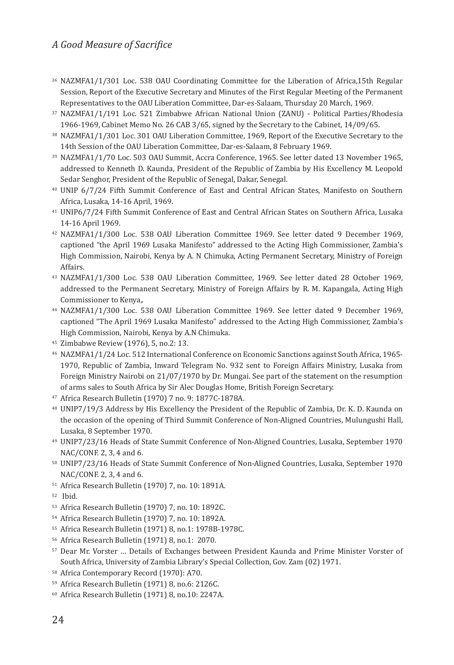#### *A Good Measure of Sacrifice*

- <sup>36</sup> NAZMFA1/1/301 Loc. 538 OAU Coordinating Committee for the Liberation of Africa,15th Regular Session, Report of the Executive Secretary and Minutes of the First Regular Meeting of the Permanent Representatives to the OAU Liberation Committee, Dar-es-Salaam, Thursday 20 March, 1969.
- <sup>37</sup> NAZMFA1/1/191 Loc. 521 Zimbabwe African National Union (ZANU) Political Parties/Rhodesia 1966-1969, Cabinet Memo No. 26 CAB 3/65, signed by the Secretary to the Cabinet, 14/09/65.
- <sup>38</sup> NAZMFA1/1/301 Loc. 301 OAU Liberation Committee, 1969, Report of the Executive Secretary to the 14th Session of the OAU Liberation Committee, Dar-es-Salaam, 8 February 1969.
- <sup>39</sup> NAZMFA1/1/70 Loc. 503 OAU Summit, Accra Conference, 1965. See letter dated 13 November 1965, addressed to Kenneth D. Kaunda, President of the Republic of Zambia by His Excellency M. Leopold Sedar Senghor, President of the Republic of Senegal, Dakar, Senegal.
- <sup>40</sup> UNIP 6/7/24 Fifth Summit Conference of East and Central African States, Manifesto on Southern Africa, Lusaka, 14-16 April, 1969.
- <sup>41</sup> UNIP6/7/24 Fifth Summit Conference of East and Central African States on Southern Africa, Lusaka 14-16 April 1969.
- <sup>42</sup> NAZMFA1/1/300 Loc. 538 OAU Liberation Committee 1969. See letter dated 9 December 1969, captioned "the April 1969 Lusaka Manifesto" addressed to the Acting High Commissioner, Zambia's High Commission, Nairobi, Kenya by A. N Chimuka, Acting Permanent Secretary, Ministry of Foreign Affairs.
- <sup>43</sup> NAZMFA1/1/300 Loc. 538 OAU Liberation Committee, 1969. See letter dated 28 October 1969, addressed to the Permanent Secretary, Ministry of Foreign Affairs by R. M. Kapangala, Acting High Commissioner to Kenya,.
- <sup>44</sup> NAZMFA1/1/300 Loc. 538 OAU Liberation Committee 1969. See letter dated 9 December 1969, captioned "The April 1969 Lusaka Manifesto" addressed to the Acting High Commissioner, Zambia's High Commission, Nairobi, Kenya by A.N Chimuka.
- <sup>45</sup> Zimbabwe Review (1976), 5, no.2: 13.
- <sup>46</sup> NAZMFA1/1/24 Loc. 512 International Conference on Economic Sanctions against South Africa, 1965- 1970, Republic of Zambia, Inward Telegram No. 932 sent to Foreign Affairs Ministry, Lusaka from Foreign Ministry Nairobi on 21/07/1970 by Dr. Mungai. See part of the statement on the resumption of arms sales to South Africa by Sir Alec Douglas Home, British Foreign Secretary.
- <sup>47</sup> Africa Research Bulletin (1970) 7 no. 9: 1877C-1878A.
- <sup>48</sup> UNIP7/19/3 Address by His Excellency the President of the Republic of Zambia, Dr. K. D. Kaunda on the occasion of the opening of Third Summit Conference of Non-Aligned Countries, Mulungushi Hall, Lusaka, 8 September 1970.
- <sup>49</sup> UNIP7/23/16 Heads of State Summit Conference of Non-Aligned Countries, Lusaka, September 1970 NAC/CONF. 2, 3, 4 and 6.
- <sup>50</sup> UNIP7/23/16 Heads of State Summit Conference of Non-Aligned Countries, Lusaka, September 1970 NAC/CONF. 2, 3, 4 and 6.
- <sup>51</sup> Africa Research Bulletin (1970) 7, no. 10: 1891A.
- 52 Ibid.
- <sup>53</sup> Africa Research Bulletin (1970) 7, no. 10: 1892C.
- <sup>54</sup> Africa Research Bulletin (1970) 7, no. 10: 1892A.
- <sup>55</sup> Africa Research Bulletin (1971) 8, no.1: 1978B-1978C.
- <sup>56</sup> Africa Research Bulletin (1971) 8, no.1: 2070.
- <sup>57</sup> Dear Mr. Vorster … Details of Exchanges between President Kaunda and Prime Minister Vorster of South Africa, University of Zambia Library's Special Collection, Gov. Zam (02) 1971.
- <sup>58</sup> Africa Contemporary Record (1970): A70.
- <sup>59</sup> Africa Research Bulletin (1971) 8, no.6: 2126C.
- <sup>60</sup> Africa Research Bulletin (1971) 8, no.10: 2247A.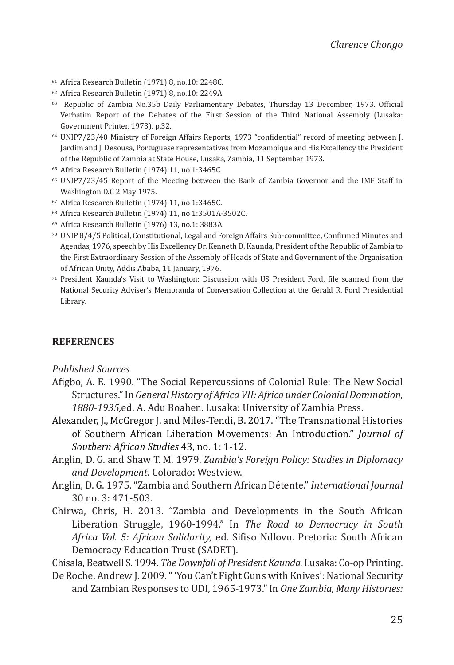- <sup>61</sup> Africa Research Bulletin (1971) 8, no.10: 2248C.
- <sup>62</sup> Africa Research Bulletin (1971) 8, no.10: 2249A.
- <sup>63</sup> Republic of Zambia No.35b Daily Parliamentary Debates, Thursday 13 December, 1973. Official Verbatim Report of the Debates of the First Session of the Third National Assembly (Lusaka: Government Printer, 1973), p.32.
- <sup>64</sup> UNIP7/23/40 Ministry of Foreign Affairs Reports, 1973 "confidential" record of meeting between J. Jardim and J. Desousa, Portuguese representatives from Mozambique and His Excellency the President of the Republic of Zambia at State House, Lusaka, Zambia, 11 September 1973.
- <sup>65</sup> Africa Research Bulletin (1974) 11, no 1:3465C.
- <sup>66</sup> UNIP7/23/45 Report of the Meeting between the Bank of Zambia Governor and the IMF Staff in Washington D.C 2 May 1975.
- <sup>67</sup> Africa Research Bulletin (1974) 11, no 1:3465C.
- <sup>68</sup> Africa Research Bulletin (1974) 11, no 1:3501A-3502C.
- <sup>69</sup> Africa Research Bulletin (1976) 13, no.1: 3883A.
- <sup>70</sup> UNIP 8/4/5 Political, Constitutional, Legal and Foreign Affairs Sub-committee, Confirmed Minutes and Agendas, 1976, speech by His Excellency Dr. Kenneth D. Kaunda, President of the Republic of Zambia to the First Extraordinary Session of the Assembly of Heads of State and Government of the Organisation of African Unity, Addis Ababa, 11 January, 1976.
- <sup>71</sup> President Kaunda's Visit to Washington: Discussion with US President Ford, file scanned from the National Security Adviser's Memoranda of Conversation Collection at the Gerald R. Ford Presidential Library.

#### **REFERENCES**

#### *Published Sources*

- Afigbo, A. E. 1990. "The Social Repercussions of Colonial Rule: The New Social Structures." In *General History of Africa VII: Africa under Colonial Domination, 1880-1935,*ed. A. Adu Boahen. Lusaka: University of Zambia Press.
- Alexander, J., McGregor J. and Miles-Tendi, B. 2017. "The Transnational Histories of Southern African Liberation Movements: An Introduction." *Journal of Southern African Studies* 43, no. 1: 1-12.
- Anglin, D. G. and Shaw T. M. 1979. *Zambia's Foreign Policy: Studies in Diplomacy and Development.* Colorado: Westview.
- Anglin, D. G. 1975. "Zambia and Southern African Détente." *International Journal* 30 no. 3: 471-503.
- Chirwa, Chris, H. 2013. "Zambia and Developments in the South African Liberation Struggle, 1960-1994." In *The Road to Democracy in South Africa Vol. 5: African Solidarity,* ed. Sifiso Ndlovu. Pretoria: South African Democracy Education Trust (SADET).

Chisala, Beatwell S. 1994. *The Downfall of President Kaunda.* Lusaka: Co-op Printing.

De Roche, Andrew J. 2009. " 'You Can't Fight Guns with Knives': National Security and Zambian Responses to UDI, 1965-1973." In *One Zambia, Many Histories:*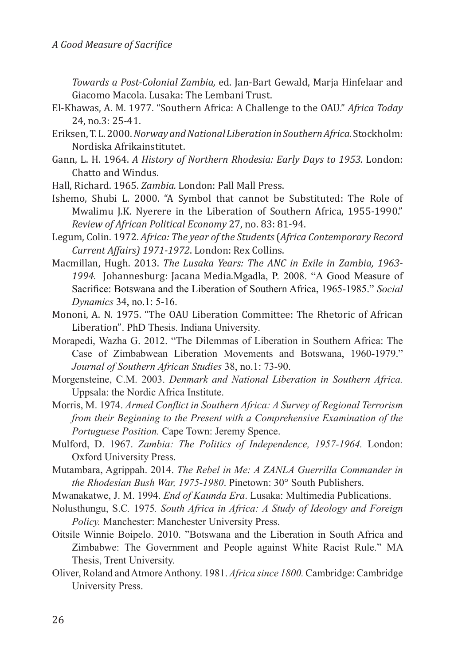*Towards a Post-Colonial Zambia,* ed. Jan-Bart Gewald, Marja Hinfelaar and Giacomo Macola. Lusaka: The Lembani Trust.

- El-Khawas, A. M. 1977. "Southern Africa: A Challenge to the OAU." *Africa Today* 24, no.3: 25-41.
- Eriksen, T. L. 2000. *Norway and National Liberation in Southern Africa.* Stockholm: Nordiska Afrikainstitutet.
- Gann, L. H. 1964. *A History of Northern Rhodesia: Early Days to 1953.* London: Chatto and Windus.
- Hall, Richard. 1965. *Zambia.* London: Pall Mall Press.
- Ishemo, Shubi L. 2000. "A Symbol that cannot be Substituted: The Role of Mwalimu J.K. Nyerere in the Liberation of Southern Africa, 1955-1990." *Review of African Political Economy* 27, no. 83: 81-94.
- Legum, Colin. 1972. *Africa: The year of the Students* (*Africa Contemporary Record Current Affairs) 1971-1972*. London: Rex Collins.
- Macmillan, Hugh. 2013. *The Lusaka Years: The ANC in Exile in Zambia, 1963- 1994.* Johannesburg: Jacana Media.Mgadla, P. 2008. "A Good Measure of Sacrifice: Botswana and the Liberation of Southern Africa, 1965-1985." *Social Dynamics* 34, no.1: 5-16.
- Mononi, A. N. 1975. "The OAU Liberation Committee: The Rhetoric of African Liberation". PhD Thesis. Indiana University.
- Morapedi, Wazha G. 2012. "The Dilemmas of Liberation in Southern Africa: The Case of Zimbabwean Liberation Movements and Botswana, 1960-1979." *Journal of Southern African Studies* 38, no.1: 73-90.
- Morgensteine, C.M. 2003. *Denmark and National Liberation in Southern Africa.*  Uppsala: the Nordic Africa Institute.
- Morris, M. 1974. *Armed Conflict in Southern Africa: A Survey of Regional Terrorism from their Beginning to the Present with a Comprehensive Examination of the Portuguese Position.* Cape Town: Jeremy Spence.
- Mulford, D. 1967. *Zambia: The Politics of Independence, 1957-1964.* London: Oxford University Press.
- Mutambara, Agrippah. 2014. *The Rebel in Me: A ZANLA Guerrilla Commander in the Rhodesian Bush War, 1975-1980*. Pinetown: 30° South Publishers.
- Mwanakatwe, J. M. 1994. *End of Kaunda Era*. Lusaka: Multimedia Publications.
- Nolusthungu, S.C*.* 1975*. South Africa in Africa: A Study of Ideology and Foreign Policy.* Manchester: Manchester University Press.
- Oitsile Winnie Boipelo. 2010. "Botswana and the Liberation in South Africa and Zimbabwe: The Government and People against White Racist Rule." MA Thesis, Trent University.
- Oliver, Roland and Atmore Anthony. 1981. *Africa since 1800.* Cambridge: Cambridge University Press.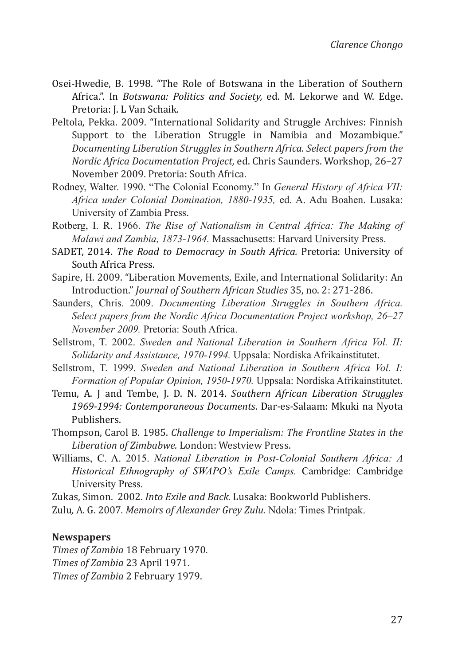- Osei-Hwedie, B. 1998. "The Role of Botswana in the Liberation of Southern Africa.". In *Botswana: Politics and Society,* ed. M. Lekorwe and W. Edge. Pretoria: J. L Van Schaik.
- Peltola, Pekka. 2009. "International Solidarity and Struggle Archives: Finnish Support to the Liberation Struggle in Namibia and Mozambique." *Documenting Liberation Struggles in Southern Africa. Select papers from the Nordic Africa Documentation Project,* ed. Chris Saunders. Workshop, 26–27 November 2009. Pretoria: South Africa.
- Rodney, Walter. 1990. "The Colonial Economy." In *General History of Africa VII: Africa under Colonial Domination, 1880-1935,* ed. A. Adu Boahen. Lusaka: University of Zambia Press.
- Rotberg, I. R. 1966. *The Rise of Nationalism in Central Africa: The Making of Malawi and Zambia, 1873-1964.* Massachusetts: Harvard University Press.
- SADET, 2014. *The Road to Democracy in South Africa.* Pretoria: University of South Africa Press.
- Sapire, H. 2009. "Liberation Movements, Exile, and International Solidarity: An Introduction." *Journal of Southern African Studies* 35, no. 2: 271-286.
- Saunders, Chris. 2009. *Documenting Liberation Struggles in Southern Africa. Select papers from the Nordic Africa Documentation Project workshop, 26–27 November 2009.* Pretoria: South Africa.
- Sellstrom, T. 2002. *Sweden and National Liberation in Southern Africa Vol. II: Solidarity and Assistance, 1970-1994.* Uppsala: Nordiska Afrikainstitutet.
- Sellstrom, T. 1999. *Sweden and National Liberation in Southern Africa Vol. I: Formation of Popular Opinion, 1950-1970.* Uppsala: Nordiska Afrikainstitutet.
- Temu, A. J and Tembe, J. D. N. 2014. *Southern African Liberation Struggles 1969-1994: Contemporaneous Documents*. Dar-es-Salaam: Mkuki na Nyota Publishers.
- Thompson, Carol B. 1985. *Challenge to Imperialism: The Frontline States in the Liberation of Zimbabwe.* London: Westview Press.
- Williams, C. A. 2015. *National Liberation in Post-Colonial Southern Africa: A Historical Ethnography of SWAPO's Exile Camps.* Cambridge: Cambridge University Press.

Zukas, Simon. 2002. *Into Exile and Back.* Lusaka: Bookworld Publishers. Zulu*,* A. G. 2007*. Memoirs of Alexander Grey Zulu.* Ndola: Times Printpak.

#### **Newspapers**

*Times of Zambia* 18 February 1970*. Times of Zambia* 23 April 1971. *Times of Zambia* 2 February 1979.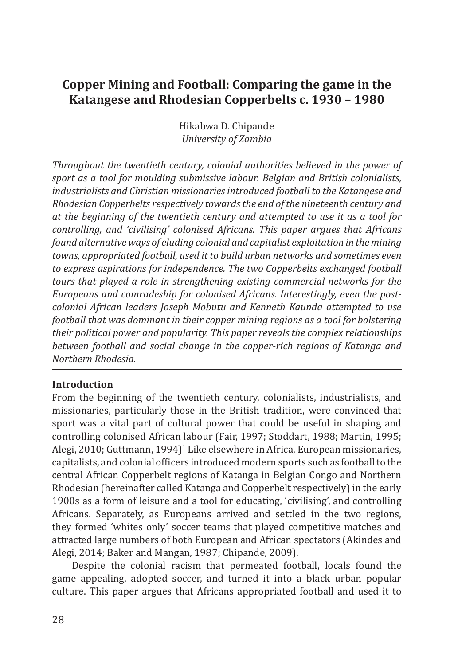# **Copper Mining and Football: Comparing the game in the Katangese and Rhodesian Copperbelts c. 1930 – 1980**

Hikabwa D. Chipande *University of Zambia*

*Throughout the twentieth century, colonial authorities believed in the power of sport as a tool for moulding submissive labour. Belgian and British colonialists, industrialists and Christian missionaries introduced football to the Katangese and Rhodesian Copperbelts respectively towards the end of the nineteenth century and at the beginning of the twentieth century and attempted to use it as a tool for controlling, and 'civilising' colonised Africans. This paper argues that Africans found alternative ways of eluding colonial and capitalist exploitation in the mining towns, appropriated football, used it to build urban networks and sometimes even to express aspirations for independence. The two Copperbelts exchanged football tours that played a role in strengthening existing commercial networks for the Europeans and comradeship for colonised Africans. Interestingly, even the postcolonial African leaders Joseph Mobutu and Kenneth Kaunda attempted to use football that was dominant in their copper mining regions as a tool for bolstering their political power and popularity. This paper reveals the complex relationships between football and social change in the copper-rich regions of Katanga and Northern Rhodesia.*

# **Introduction**

From the beginning of the twentieth century, colonialists, industrialists, and missionaries, particularly those in the British tradition, were convinced that sport was a vital part of cultural power that could be useful in shaping and controlling colonised African labour (Fair, 1997; Stoddart, 1988; Martin, 1995; Alegi, 2010; Guttmann, 1994)<sup>1</sup> Like elsewhere in Africa, European missionaries, capitalists, and colonial officers introduced modern sports such as football to the central African Copperbelt regions of Katanga in Belgian Congo and Northern Rhodesian (hereinafter called Katanga and Copperbelt respectively) in the early 1900s as a form of leisure and a tool for educating, 'civilising', and controlling Africans. Separately, as Europeans arrived and settled in the two regions, they formed 'whites only' soccer teams that played competitive matches and attracted large numbers of both European and African spectators (Akindes and Alegi, 2014; Baker and Mangan, 1987; Chipande, 2009).

Despite the colonial racism that permeated football, locals found the game appealing, adopted soccer, and turned it into a black urban popular culture. This paper argues that Africans appropriated football and used it to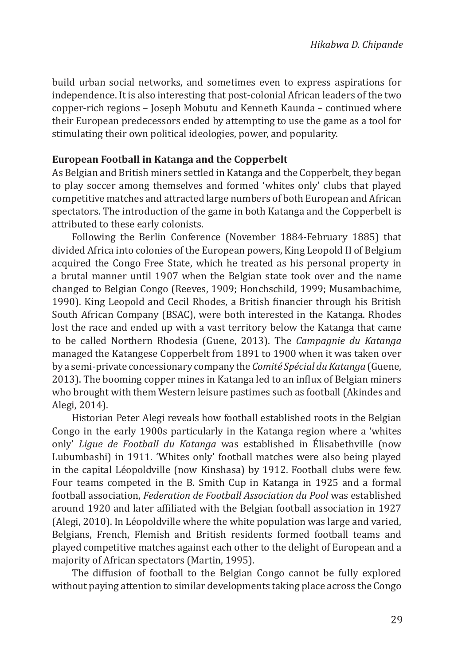build urban social networks, and sometimes even to express aspirations for independence. It is also interesting that post-colonial African leaders of the two copper-rich regions – Joseph Mobutu and Kenneth Kaunda – continued where their European predecessors ended by attempting to use the game as a tool for stimulating their own political ideologies, power, and popularity.

# **European Football in Katanga and the Copperbelt**

As Belgian and British miners settled in Katanga and the Copperbelt, they began to play soccer among themselves and formed 'whites only' clubs that played competitive matches and attracted large numbers of both European and African spectators. The introduction of the game in both Katanga and the Copperbelt is attributed to these early colonists.

Following the Berlin Conference (November 1884-February 1885) that divided Africa into colonies of the European powers, King Leopold II of Belgium acquired the Congo Free State, which he treated as his personal property in a brutal manner until 1907 when the Belgian state took over and the name changed to Belgian Congo (Reeves, 1909; Honchschild, 1999; Musambachime, 1990). King Leopold and Cecil Rhodes, a British financier through his British South African Company (BSAC), were both interested in the Katanga. Rhodes lost the race and ended up with a vast territory below the Katanga that came to be called Northern Rhodesia (Guene, 2013). The *Campagnie du Katanga* managed the Katangese Copperbelt from 1891 to 1900 when it was taken over by a semi-private concessionary company the *Comité Spécial du Katanga* (Guene, 2013). The booming copper mines in Katanga led to an influx of Belgian miners who brought with them Western leisure pastimes such as football (Akindes and Alegi, 2014).

Historian Peter Alegi reveals how football established roots in the Belgian Congo in the early 1900s particularly in the Katanga region where a 'whites only' *Ligue de Football du Katanga* was established in Élisabethville (now Lubumbashi) in 1911. 'Whites only' football matches were also being played in the capital Léopoldville (now Kinshasa) by 1912. Football clubs were few. Four teams competed in the B. Smith Cup in Katanga in 1925 and a formal football association, *Federation de Football Association du Pool* was established around 1920 and later affiliated with the Belgian football association in 1927 (Alegi, 2010). In Léopoldville where the white population was large and varied, Belgians, French, Flemish and British residents formed football teams and played competitive matches against each other to the delight of European and a majority of African spectators (Martin, 1995).

The diffusion of football to the Belgian Congo cannot be fully explored without paying attention to similar developments taking place across the Congo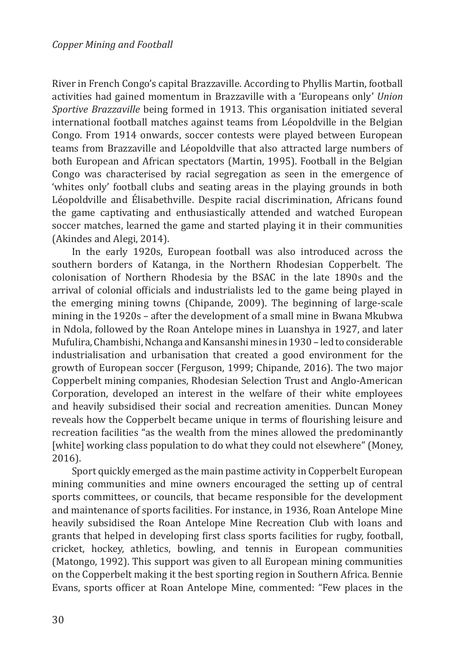River in French Congo's capital Brazzaville. According to Phyllis Martin, football activities had gained momentum in Brazzaville with a 'Europeans only' *Union Sportive Brazzaville* being formed in 1913. This organisation initiated several international football matches against teams from Léopoldville in the Belgian Congo. From 1914 onwards, soccer contests were played between European teams from Brazzaville and Léopoldville that also attracted large numbers of both European and African spectators (Martin, 1995). Football in the Belgian Congo was characterised by racial segregation as seen in the emergence of 'whites only' football clubs and seating areas in the playing grounds in both Léopoldville and Élisabethville. Despite racial discrimination, Africans found the game captivating and enthusiastically attended and watched European soccer matches, learned the game and started playing it in their communities (Akindes and Alegi, 2014).

In the early 1920s, European football was also introduced across the southern borders of Katanga, in the Northern Rhodesian Copperbelt. The colonisation of Northern Rhodesia by the BSAC in the late 1890s and the arrival of colonial officials and industrialists led to the game being played in the emerging mining towns (Chipande, 2009). The beginning of large-scale mining in the 1920s – after the development of a small mine in Bwana Mkubwa in Ndola, followed by the Roan Antelope mines in Luanshya in 1927, and later Mufulira, Chambishi, Nchanga and Kansanshi mines in 1930 – led to considerable industrialisation and urbanisation that created a good environment for the growth of European soccer (Ferguson, 1999; Chipande, 2016). The two major Copperbelt mining companies, Rhodesian Selection Trust and Anglo-American Corporation, developed an interest in the welfare of their white employees and heavily subsidised their social and recreation amenities. Duncan Money reveals how the Copperbelt became unique in terms of flourishing leisure and recreation facilities "as the wealth from the mines allowed the predominantly [white] working class population to do what they could not elsewhere" (Money, 2016).

Sport quickly emerged as the main pastime activity in Copperbelt European mining communities and mine owners encouraged the setting up of central sports committees, or councils, that became responsible for the development and maintenance of sports facilities. For instance, in 1936, Roan Antelope Mine heavily subsidised the Roan Antelope Mine Recreation Club with loans and grants that helped in developing first class sports facilities for rugby, football, cricket, hockey, athletics, bowling, and tennis in European communities (Matongo, 1992). This support was given to all European mining communities on the Copperbelt making it the best sporting region in Southern Africa. Bennie Evans, sports officer at Roan Antelope Mine, commented: "Few places in the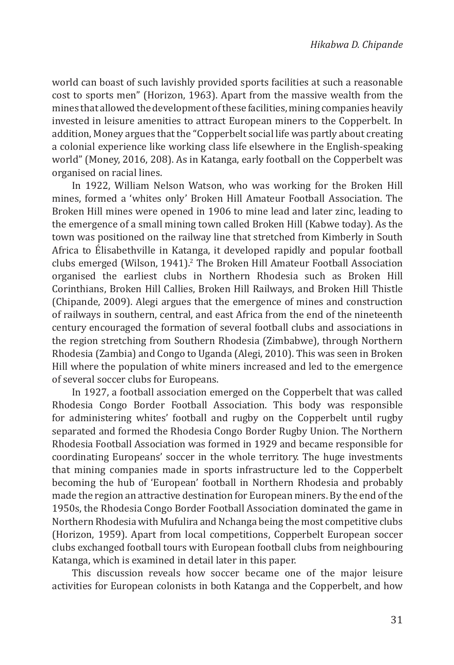world can boast of such lavishly provided sports facilities at such a reasonable cost to sports men" (Horizon, 1963). Apart from the massive wealth from the mines that allowed the development of these facilities, mining companies heavily invested in leisure amenities to attract European miners to the Copperbelt. In addition, Money argues that the "Copperbelt social life was partly about creating a colonial experience like working class life elsewhere in the English-speaking world" (Money, 2016, 208). As in Katanga, early football on the Copperbelt was organised on racial lines.

In 1922, William Nelson Watson, who was working for the Broken Hill mines, formed a 'whites only' Broken Hill Amateur Football Association. The Broken Hill mines were opened in 1906 to mine lead and later zinc, leading to the emergence of a small mining town called Broken Hill (Kabwe today). As the town was positioned on the railway line that stretched from Kimberly in South Africa to Élisabethville in Katanga, it developed rapidly and popular football clubs emerged (Wilson, 1941).<sup>2</sup> The Broken Hill Amateur Football Association organised the earliest clubs in Northern Rhodesia such as Broken Hill Corinthians, Broken Hill Callies, Broken Hill Railways, and Broken Hill Thistle (Chipande, 2009). Alegi argues that the emergence of mines and construction of railways in southern, central, and east Africa from the end of the nineteenth century encouraged the formation of several football clubs and associations in the region stretching from Southern Rhodesia (Zimbabwe), through Northern Rhodesia (Zambia) and Congo to Uganda (Alegi, 2010). This was seen in Broken Hill where the population of white miners increased and led to the emergence of several soccer clubs for Europeans.

In 1927, a football association emerged on the Copperbelt that was called Rhodesia Congo Border Football Association. This body was responsible for administering whites' football and rugby on the Copperbelt until rugby separated and formed the Rhodesia Congo Border Rugby Union. The Northern Rhodesia Football Association was formed in 1929 and became responsible for coordinating Europeans' soccer in the whole territory. The huge investments that mining companies made in sports infrastructure led to the Copperbelt becoming the hub of 'European' football in Northern Rhodesia and probably made the region an attractive destination for European miners. By the end of the 1950s, the Rhodesia Congo Border Football Association dominated the game in Northern Rhodesia with Mufulira and Nchanga being the most competitive clubs (Horizon, 1959). Apart from local competitions, Copperbelt European soccer clubs exchanged football tours with European football clubs from neighbouring Katanga, which is examined in detail later in this paper.

This discussion reveals how soccer became one of the major leisure activities for European colonists in both Katanga and the Copperbelt, and how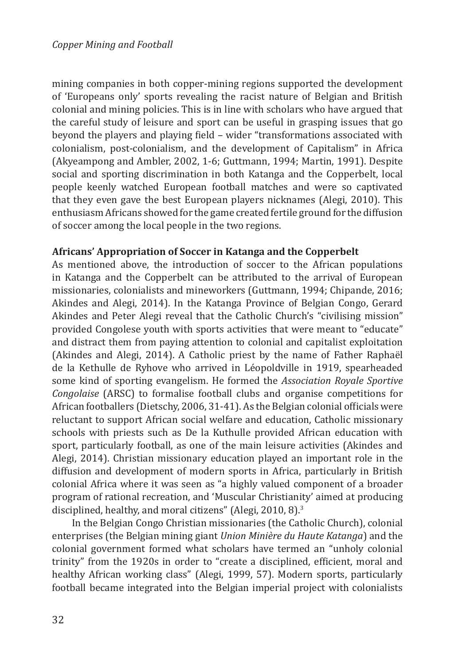mining companies in both copper-mining regions supported the development of 'Europeans only' sports revealing the racist nature of Belgian and British colonial and mining policies. This is in line with scholars who have argued that the careful study of leisure and sport can be useful in grasping issues that go beyond the players and playing field – wider "transformations associated with colonialism, post-colonialism, and the development of Capitalism" in Africa (Akyeampong and Ambler, 2002, 1-6; Guttmann, 1994; Martin, 1991). Despite social and sporting discrimination in both Katanga and the Copperbelt, local people keenly watched European football matches and were so captivated that they even gave the best European players nicknames (Alegi, 2010). This enthusiasm Africans showed for the game created fertile ground for the diffusion of soccer among the local people in the two regions.

# **Africans' Appropriation of Soccer in Katanga and the Copperbelt**

As mentioned above, the introduction of soccer to the African populations in Katanga and the Copperbelt can be attributed to the arrival of European missionaries, colonialists and mineworkers (Guttmann, 1994; Chipande, 2016; Akindes and Alegi, 2014). In the Katanga Province of Belgian Congo, Gerard Akindes and Peter Alegi reveal that the Catholic Church's "civilising mission" provided Congolese youth with sports activities that were meant to "educate" and distract them from paying attention to colonial and capitalist exploitation (Akindes and Alegi, 2014). A Catholic priest by the name of Father Raphaël de la Kethulle de Ryhove who arrived in Léopoldville in 1919, spearheaded some kind of sporting evangelism. He formed the *Association Royale Sportive Congolaise* (ARSC) to formalise football clubs and organise competitions for African footballers (Dietschy, 2006, 31-41). As the Belgian colonial officials were reluctant to support African social welfare and education, Catholic missionary schools with priests such as De la Kuthulle provided African education with sport, particularly football, as one of the main leisure activities (Akindes and Alegi, 2014). Christian missionary education played an important role in the diffusion and development of modern sports in Africa, particularly in British colonial Africa where it was seen as "a highly valued component of a broader program of rational recreation, and 'Muscular Christianity' aimed at producing disciplined, healthy, and moral citizens" (Alegi, 2010, 8).3

In the Belgian Congo Christian missionaries (the Catholic Church), colonial enterprises (the Belgian mining giant *Union Minière du Haute Katanga*) and the colonial government formed what scholars have termed an "unholy colonial trinity" from the 1920s in order to "create a disciplined, efficient, moral and healthy African working class" (Alegi, 1999, 57). Modern sports, particularly football became integrated into the Belgian imperial project with colonialists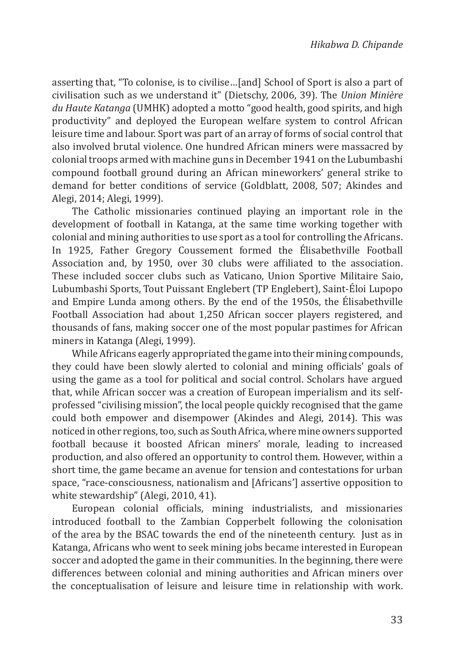asserting that, "To colonise, is to civilise…[and] School of Sport is also a part of civilisation such as we understand it" (Dietschy, 2006, 39). The *Union Minière du Haute Katanga* (UMHK) adopted a motto "good health, good spirits, and high productivity" and deployed the European welfare system to control African leisure time and labour. Sport was part of an array of forms of social control that also involved brutal violence. One hundred African miners were massacred by colonial troops armed with machine guns in December 1941 on the Lubumbashi compound football ground during an African mineworkers' general strike to demand for better conditions of service (Goldblatt, 2008, 507; Akindes and Alegi, 2014; Alegi, 1999).

The Catholic missionaries continued playing an important role in the development of football in Katanga, at the same time working together with colonial and mining authorities to use sport as a tool for controlling the Africans. In 1925, Father Gregory Coussement formed the Élisabethville Football Association and, by 1950, over 30 clubs were affiliated to the association. These included soccer clubs such as Vaticano, Union Sportive Militaire Saio, Lubumbashi Sports, Tout Puissant Englebert (TP Englebert), Saint-Éloi Lupopo and Empire Lunda among others. By the end of the 1950s, the Élisabethville Football Association had about 1,250 African soccer players registered, and thousands of fans, making soccer one of the most popular pastimes for African miners in Katanga (Alegi, 1999).

While Africans eagerly appropriated the game into their mining compounds, they could have been slowly alerted to colonial and mining officials' goals of using the game as a tool for political and social control. Scholars have argued that, while African soccer was a creation of European imperialism and its selfprofessed "civilising mission", the local people quickly recognised that the game could both empower and disempower (Akindes and Alegi, 2014). This was noticed in other regions, too, such as South Africa, where mine owners supported football because it boosted African miners' morale, leading to increased production, and also offered an opportunity to control them. However, within a short time, the game became an avenue for tension and contestations for urban space, "race-consciousness, nationalism and [Africans'] assertive opposition to white stewardship" (Alegi, 2010, 41).

European colonial officials, mining industrialists, and missionaries introduced football to the Zambian Copperbelt following the colonisation of the area by the BSAC towards the end of the nineteenth century. Just as in Katanga, Africans who went to seek mining jobs became interested in European soccer and adopted the game in their communities. In the beginning, there were differences between colonial and mining authorities and African miners over the conceptualisation of leisure and leisure time in relationship with work.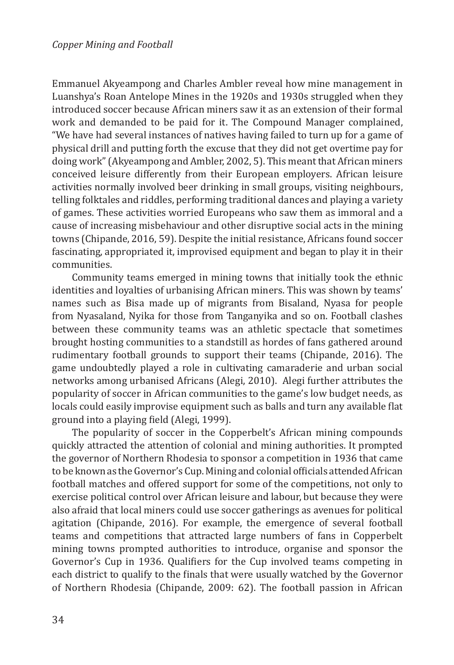Emmanuel Akyeampong and Charles Ambler reveal how mine management in Luanshya's Roan Antelope Mines in the 1920s and 1930s struggled when they introduced soccer because African miners saw it as an extension of their formal work and demanded to be paid for it. The Compound Manager complained, "We have had several instances of natives having failed to turn up for a game of physical drill and putting forth the excuse that they did not get overtime pay for doing work" (Akyeampong and Ambler, 2002, 5). This meant that African miners conceived leisure differently from their European employers. African leisure activities normally involved beer drinking in small groups, visiting neighbours, telling folktales and riddles, performing traditional dances and playing a variety of games. These activities worried Europeans who saw them as immoral and a cause of increasing misbehaviour and other disruptive social acts in the mining towns (Chipande, 2016, 59). Despite the initial resistance, Africans found soccer fascinating, appropriated it, improvised equipment and began to play it in their communities.

Community teams emerged in mining towns that initially took the ethnic identities and loyalties of urbanising African miners. This was shown by teams' names such as Bisa made up of migrants from Bisaland, Nyasa for people from Nyasaland, Nyika for those from Tanganyika and so on. Football clashes between these community teams was an athletic spectacle that sometimes brought hosting communities to a standstill as hordes of fans gathered around rudimentary football grounds to support their teams (Chipande, 2016). The game undoubtedly played a role in cultivating camaraderie and urban social networks among urbanised Africans (Alegi, 2010). Alegi further attributes the popularity of soccer in African communities to the game's low budget needs, as locals could easily improvise equipment such as balls and turn any available flat ground into a playing field (Alegi, 1999).

The popularity of soccer in the Copperbelt's African mining compounds quickly attracted the attention of colonial and mining authorities. It prompted the governor of Northern Rhodesia to sponsor a competition in 1936 that came to be known as the Governor's Cup. Mining and colonial officials attended African football matches and offered support for some of the competitions, not only to exercise political control over African leisure and labour, but because they were also afraid that local miners could use soccer gatherings as avenues for political agitation (Chipande, 2016). For example, the emergence of several football teams and competitions that attracted large numbers of fans in Copperbelt mining towns prompted authorities to introduce, organise and sponsor the Governor's Cup in 1936. Qualifiers for the Cup involved teams competing in each district to qualify to the finals that were usually watched by the Governor of Northern Rhodesia (Chipande, 2009: 62). The football passion in African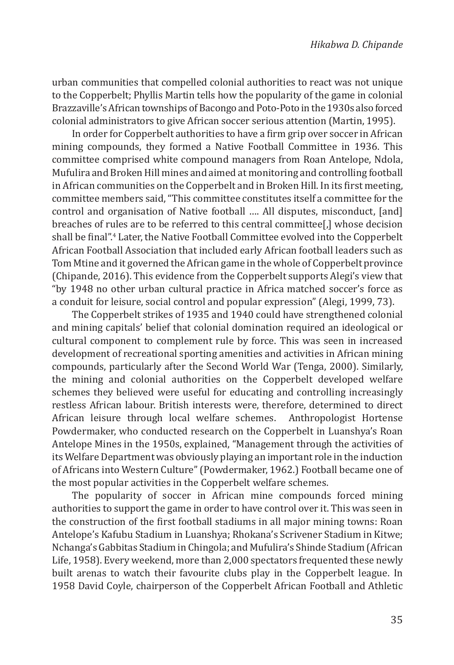urban communities that compelled colonial authorities to react was not unique to the Copperbelt; Phyllis Martin tells how the popularity of the game in colonial Brazzaville's African townships of Bacongo and Poto-Poto in the 1930s also forced colonial administrators to give African soccer serious attention (Martin, 1995).

In order for Copperbelt authorities to have a firm grip over soccer in African mining compounds, they formed a Native Football Committee in 1936. This committee comprised white compound managers from Roan Antelope, Ndola, Mufulira and Broken Hill mines and aimed at monitoring and controlling football in African communities on the Copperbelt and in Broken Hill. In its first meeting, committee members said, "This committee constitutes itself a committee for the control and organisation of Native football …. All disputes, misconduct, [and] breaches of rules are to be referred to this central committee[,] whose decision shall be final".<sup>4</sup> Later, the Native Football Committee evolved into the Copperbelt African Football Association that included early African football leaders such as Tom Mtine and it governed the African game in the whole of Copperbelt province (Chipande, 2016). This evidence from the Copperbelt supports Alegi's view that "by 1948 no other urban cultural practice in Africa matched soccer's force as a conduit for leisure, social control and popular expression" (Alegi, 1999, 73).

The Copperbelt strikes of 1935 and 1940 could have strengthened colonial and mining capitals' belief that colonial domination required an ideological or cultural component to complement rule by force. This was seen in increased development of recreational sporting amenities and activities in African mining compounds, particularly after the Second World War (Tenga, 2000). Similarly, the mining and colonial authorities on the Copperbelt developed welfare schemes they believed were useful for educating and controlling increasingly restless African labour. British interests were, therefore, determined to direct African leisure through local welfare schemes. Anthropologist Hortense Powdermaker, who conducted research on the Copperbelt in Luanshya's Roan Antelope Mines in the 1950s, explained, "Management through the activities of its Welfare Department was obviously playing an important role in the induction of Africans into Western Culture" (Powdermaker, 1962.) Football became one of the most popular activities in the Copperbelt welfare schemes.

The popularity of soccer in African mine compounds forced mining authorities to support the game in order to have control over it. This was seen in the construction of the first football stadiums in all major mining towns: Roan Antelope's Kafubu Stadium in Luanshya; Rhokana's Scrivener Stadium in Kitwe; Nchanga's Gabbitas Stadium in Chingola; and Mufulira's Shinde Stadium (African Life, 1958). Every weekend, more than 2,000 spectators frequented these newly built arenas to watch their favourite clubs play in the Copperbelt league. In 1958 David Coyle, chairperson of the Copperbelt African Football and Athletic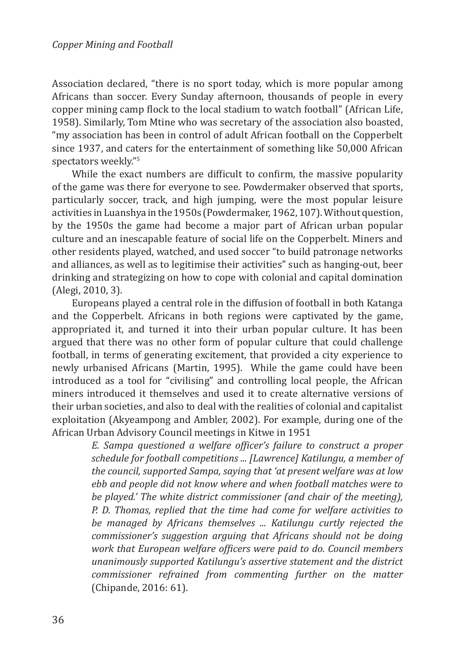Association declared, "there is no sport today, which is more popular among Africans than soccer. Every Sunday afternoon, thousands of people in every copper mining camp flock to the local stadium to watch football" (African Life, 1958). Similarly, Tom Mtine who was secretary of the association also boasted, "my association has been in control of adult African football on the Copperbelt since 1937, and caters for the entertainment of something like 50,000 African spectators weekly"<sup>5</sup>

While the exact numbers are difficult to confirm, the massive popularity of the game was there for everyone to see. Powdermaker observed that sports, particularly soccer, track, and high jumping, were the most popular leisure activities in Luanshya in the 1950s (Powdermaker, 1962, 107). Without question, by the 1950s the game had become a major part of African urban popular culture and an inescapable feature of social life on the Copperbelt. Miners and other residents played, watched, and used soccer "to build patronage networks and alliances, as well as to legitimise their activities" such as hanging-out, beer drinking and strategizing on how to cope with colonial and capital domination (Alegi, 2010, 3).

Europeans played a central role in the diffusion of football in both Katanga and the Copperbelt. Africans in both regions were captivated by the game, appropriated it, and turned it into their urban popular culture. It has been argued that there was no other form of popular culture that could challenge football, in terms of generating excitement, that provided a city experience to newly urbanised Africans (Martin, 1995). While the game could have been introduced as a tool for "civilising" and controlling local people, the African miners introduced it themselves and used it to create alternative versions of their urban societies, and also to deal with the realities of colonial and capitalist exploitation (Akyeampong and Ambler, 2002). For example, during one of the African Urban Advisory Council meetings in Kitwe in 1951

*E. Sampa questioned a welfare officer's failure to construct a proper schedule for football competitions ... [Lawrence] Katilungu, a member of the council, supported Sampa, saying that 'at present welfare was at low ebb and people did not know where and when football matches were to be played.' The white district commissioner (and chair of the meeting), P. D. Thomas, replied that the time had come for welfare activities to be managed by Africans themselves ... Katilungu curtly rejected the commissioner's suggestion arguing that Africans should not be doing work that European welfare officers were paid to do. Council members unanimously supported Katilungu's assertive statement and the district commissioner refrained from commenting further on the matter*  (Chipande, 2016: 61).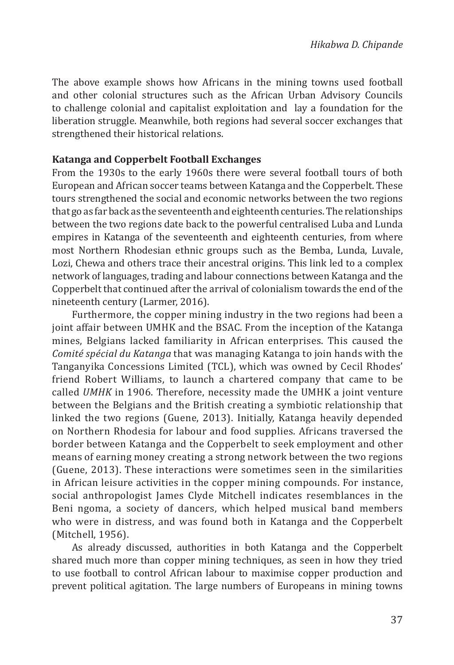The above example shows how Africans in the mining towns used football and other colonial structures such as the African Urban Advisory Councils to challenge colonial and capitalist exploitation and lay a foundation for the liberation struggle. Meanwhile, both regions had several soccer exchanges that strengthened their historical relations.

#### **Katanga and Copperbelt Football Exchanges**

From the 1930s to the early 1960s there were several football tours of both European and African soccer teams between Katanga and the Copperbelt. These tours strengthened the social and economic networks between the two regions that go as far back as the seventeenth and eighteenth centuries. The relationships between the two regions date back to the powerful centralised Luba and Lunda empires in Katanga of the seventeenth and eighteenth centuries, from where most Northern Rhodesian ethnic groups such as the Bemba, Lunda, Luvale, Lozi, Chewa and others trace their ancestral origins. This link led to a complex network of languages, trading and labour connections between Katanga and the Copperbelt that continued after the arrival of colonialism towards the end of the nineteenth century (Larmer, 2016).

Furthermore, the copper mining industry in the two regions had been a joint affair between UMHK and the BSAC. From the inception of the Katanga mines, Belgians lacked familiarity in African enterprises. This caused the *Comité spécial du Katanga* that was managing Katanga to join hands with the Tanganyika Concessions Limited (TCL), which was owned by Cecil Rhodes' friend Robert Williams, to launch a chartered company that came to be called *UMHK* in 1906. Therefore, necessity made the UMHK a joint venture between the Belgians and the British creating a symbiotic relationship that linked the two regions (Guene, 2013). Initially, Katanga heavily depended on Northern Rhodesia for labour and food supplies. Africans traversed the border between Katanga and the Copperbelt to seek employment and other means of earning money creating a strong network between the two regions (Guene, 2013). These interactions were sometimes seen in the similarities in African leisure activities in the copper mining compounds. For instance, social anthropologist James Clyde Mitchell indicates resemblances in the Beni ngoma, a society of dancers, which helped musical band members who were in distress, and was found both in Katanga and the Copperbelt (Mitchell, 1956).

As already discussed, authorities in both Katanga and the Copperbelt shared much more than copper mining techniques, as seen in how they tried to use football to control African labour to maximise copper production and prevent political agitation. The large numbers of Europeans in mining towns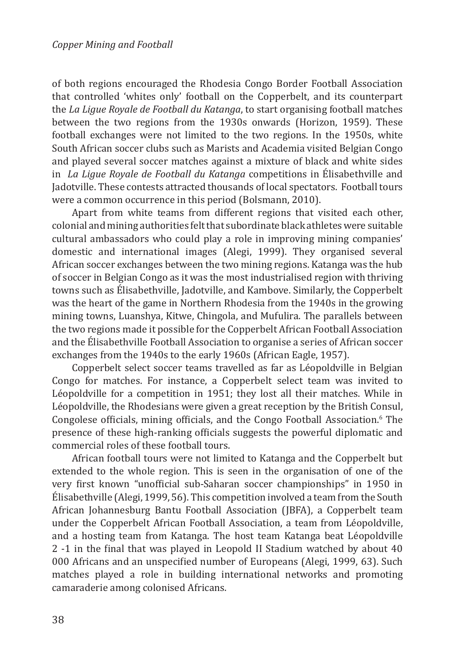of both regions encouraged the Rhodesia Congo Border Football Association that controlled 'whites only' football on the Copperbelt, and its counterpart the *La Ligue Royale de Football du Katanga*, to start organising football matches between the two regions from the 1930s onwards (Horizon, 1959). These football exchanges were not limited to the two regions. In the 1950s, white South African soccer clubs such as Marists and Academia visited Belgian Congo and played several soccer matches against a mixture of black and white sides in *La Ligue Royale de Football du Katanga* competitions in Élisabethville and Jadotville. These contests attracted thousands of local spectators. Football tours were a common occurrence in this period (Bolsmann, 2010).

Apart from white teams from different regions that visited each other, colonial and mining authorities felt that subordinate black athletes were suitable cultural ambassadors who could play a role in improving mining companies' domestic and international images (Alegi, 1999). They organised several African soccer exchanges between the two mining regions. Katanga was the hub of soccer in Belgian Congo as it was the most industrialised region with thriving towns such as Élisabethville, Jadotville, and Kambove. Similarly, the Copperbelt was the heart of the game in Northern Rhodesia from the 1940s in the growing mining towns, Luanshya, Kitwe, Chingola, and Mufulira. The parallels between the two regions made it possible for the Copperbelt African Football Association and the Élisabethville Football Association to organise a series of African soccer exchanges from the 1940s to the early 1960s (African Eagle, 1957).

Copperbelt select soccer teams travelled as far as Léopoldville in Belgian Congo for matches. For instance, a Copperbelt select team was invited to Léopoldville for a competition in 1951; they lost all their matches. While in Léopoldville, the Rhodesians were given a great reception by the British Consul, Congolese officials, mining officials, and the Congo Football Association.<sup>6</sup> The presence of these high-ranking officials suggests the powerful diplomatic and commercial roles of these football tours.

African football tours were not limited to Katanga and the Copperbelt but extended to the whole region. This is seen in the organisation of one of the very first known "unofficial sub-Saharan soccer championships" in 1950 in Élisabethville (Alegi, 1999, 56). This competition involved a team from the South African Johannesburg Bantu Football Association (JBFA), a Copperbelt team under the Copperbelt African Football Association, a team from Léopoldville, and a hosting team from Katanga. The host team Katanga beat Léopoldville 2 -1 in the final that was played in Leopold II Stadium watched by about 40 000 Africans and an unspecified number of Europeans (Alegi, 1999, 63). Such matches played a role in building international networks and promoting camaraderie among colonised Africans.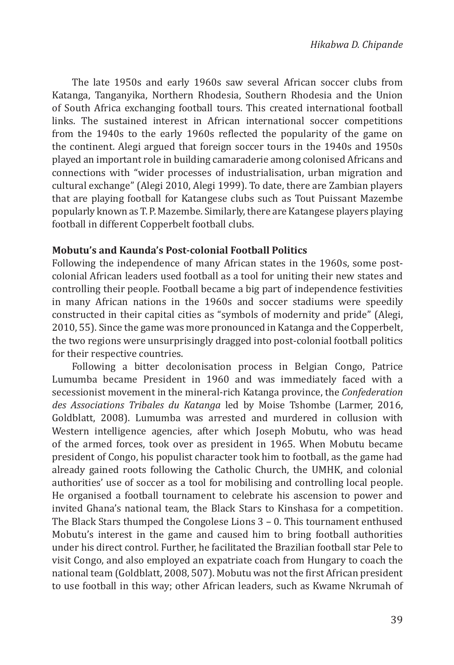The late 1950s and early 1960s saw several African soccer clubs from Katanga, Tanganyika, Northern Rhodesia, Southern Rhodesia and the Union of South Africa exchanging football tours. This created international football links. The sustained interest in African international soccer competitions from the 1940s to the early 1960s reflected the popularity of the game on the continent. Alegi argued that foreign soccer tours in the 1940s and 1950s played an important role in building camaraderie among colonised Africans and connections with "wider processes of industrialisation, urban migration and cultural exchange" (Alegi 2010, Alegi 1999). To date, there are Zambian players that are playing football for Katangese clubs such as Tout Puissant Mazembe popularly known as T. P. Mazembe. Similarly, there are Katangese players playing football in different Copperbelt football clubs.

#### **Mobutu's and Kaunda's Post-colonial Football Politics**

Following the independence of many African states in the 1960s, some postcolonial African leaders used football as a tool for uniting their new states and controlling their people. Football became a big part of independence festivities in many African nations in the 1960s and soccer stadiums were speedily constructed in their capital cities as "symbols of modernity and pride" (Alegi, 2010, 55). Since the game was more pronounced in Katanga and the Copperbelt, the two regions were unsurprisingly dragged into post-colonial football politics for their respective countries.

Following a bitter decolonisation process in Belgian Congo, Patrice Lumumba became President in 1960 and was immediately faced with a secessionist movement in the mineral-rich Katanga province, the *Confederation des Associations Tribales du Katanga* led by Moise Tshombe (Larmer, 2016, Goldblatt, 2008). Lumumba was arrested and murdered in collusion with Western intelligence agencies, after which Joseph Mobutu, who was head of the armed forces, took over as president in 1965. When Mobutu became president of Congo, his populist character took him to football, as the game had already gained roots following the Catholic Church, the UMHK, and colonial authorities' use of soccer as a tool for mobilising and controlling local people. He organised a football tournament to celebrate his ascension to power and invited Ghana's national team, the Black Stars to Kinshasa for a competition. The Black Stars thumped the Congolese Lions 3 – 0. This tournament enthused Mobutu's interest in the game and caused him to bring football authorities under his direct control. Further, he facilitated the Brazilian football star Pele to visit Congo, and also employed an expatriate coach from Hungary to coach the national team (Goldblatt, 2008, 507). Mobutu was not the first African president to use football in this way; other African leaders, such as Kwame Nkrumah of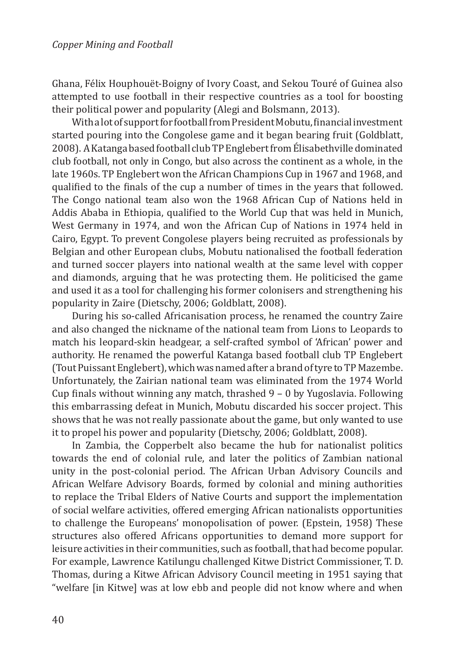Ghana, Félix Houphouët-Boigny of Ivory Coast, and Sekou Touré of Guinea also attempted to use football in their respective countries as a tool for boosting their political power and popularity (Alegi and Bolsmann, 2013).

With a lot of support for football from President Mobutu, financial investment started pouring into the Congolese game and it began bearing fruit (Goldblatt, 2008). A Katanga based football club TP Englebert from Élisabethville dominated club football, not only in Congo, but also across the continent as a whole, in the late 1960s. TP Englebert won the African Champions Cup in 1967 and 1968, and qualified to the finals of the cup a number of times in the years that followed. The Congo national team also won the 1968 African Cup of Nations held in Addis Ababa in Ethiopia, qualified to the World Cup that was held in Munich, West Germany in 1974, and won the African Cup of Nations in 1974 held in Cairo, Egypt. To prevent Congolese players being recruited as professionals by Belgian and other European clubs, Mobutu nationalised the football federation and turned soccer players into national wealth at the same level with copper and diamonds, arguing that he was protecting them. He politicised the game and used it as a tool for challenging his former colonisers and strengthening his popularity in Zaire (Dietschy, 2006; Goldblatt, 2008).

During his so-called Africanisation process, he renamed the country Zaire and also changed the nickname of the national team from Lions to Leopards to match his leopard-skin headgear, a self-crafted symbol of 'African' power and authority. He renamed the powerful Katanga based football club TP Englebert (Tout Puissant Englebert), which was named after a brand of tyre to TP Mazembe. Unfortunately, the Zairian national team was eliminated from the 1974 World Cup finals without winning any match, thrashed 9 – 0 by Yugoslavia. Following this embarrassing defeat in Munich, Mobutu discarded his soccer project. This shows that he was not really passionate about the game, but only wanted to use it to propel his power and popularity (Dietschy, 2006; Goldblatt, 2008).

In Zambia, the Copperbelt also became the hub for nationalist politics towards the end of colonial rule, and later the politics of Zambian national unity in the post-colonial period. The African Urban Advisory Councils and African Welfare Advisory Boards, formed by colonial and mining authorities to replace the Tribal Elders of Native Courts and support the implementation of social welfare activities, offered emerging African nationalists opportunities to challenge the Europeans' monopolisation of power. (Epstein, 1958) These structures also offered Africans opportunities to demand more support for leisure activities in their communities, such as football, that had become popular. For example, Lawrence Katilungu challenged Kitwe District Commissioner, T. D. Thomas, during a Kitwe African Advisory Council meeting in 1951 saying that "welfare [in Kitwe] was at low ebb and people did not know where and when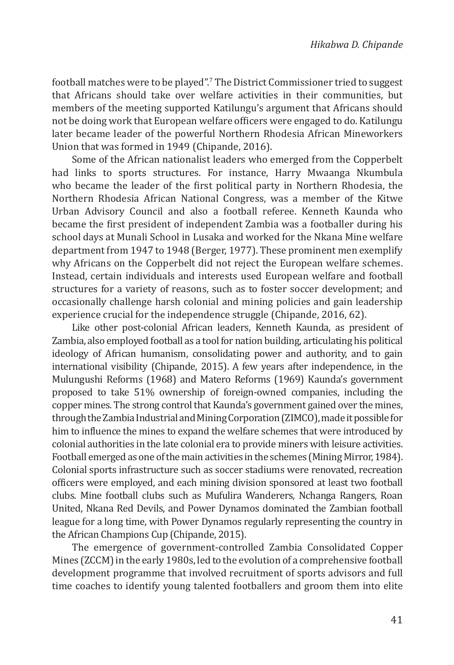football matches were to be played".<sup>7</sup> The District Commissioner tried to suggest that Africans should take over welfare activities in their communities, but members of the meeting supported Katilungu's argument that Africans should not be doing work that European welfare officers were engaged to do. Katilungu later became leader of the powerful Northern Rhodesia African Mineworkers Union that was formed in 1949 (Chipande, 2016).

Some of the African nationalist leaders who emerged from the Copperbelt had links to sports structures. For instance, Harry Mwaanga Nkumbula who became the leader of the first political party in Northern Rhodesia, the Northern Rhodesia African National Congress, was a member of the Kitwe Urban Advisory Council and also a football referee. Kenneth Kaunda who became the first president of independent Zambia was a footballer during his school days at Munali School in Lusaka and worked for the Nkana Mine welfare department from 1947 to 1948 (Berger, 1977). These prominent men exemplify why Africans on the Copperbelt did not reject the European welfare schemes. Instead, certain individuals and interests used European welfare and football structures for a variety of reasons, such as to foster soccer development; and occasionally challenge harsh colonial and mining policies and gain leadership experience crucial for the independence struggle (Chipande, 2016, 62).

Like other post-colonial African leaders, Kenneth Kaunda, as president of Zambia, also employed football as a tool for nation building, articulating his political ideology of African humanism, consolidating power and authority, and to gain international visibility (Chipande, 2015). A few years after independence, in the Mulungushi Reforms (1968) and Matero Reforms (1969) Kaunda's government proposed to take 51% ownership of foreign-owned companies, including the copper mines. The strong control that Kaunda's government gained over the mines, through the Zambia Industrial and Mining Corporation (ZIMCO), made it possible for him to influence the mines to expand the welfare schemes that were introduced by colonial authorities in the late colonial era to provide miners with leisure activities. Football emerged as one of the main activities in the schemes (Mining Mirror, 1984). Colonial sports infrastructure such as soccer stadiums were renovated, recreation officers were employed, and each mining division sponsored at least two football clubs. Mine football clubs such as Mufulira Wanderers, Nchanga Rangers, Roan United, Nkana Red Devils, and Power Dynamos dominated the Zambian football league for a long time, with Power Dynamos regularly representing the country in the African Champions Cup (Chipande, 2015).

The emergence of government-controlled Zambia Consolidated Copper Mines (ZCCM) in the early 1980s, led to the evolution of a comprehensive football development programme that involved recruitment of sports advisors and full time coaches to identify young talented footballers and groom them into elite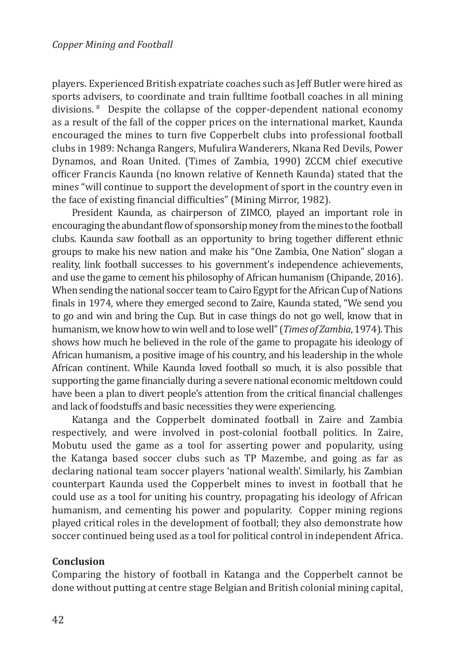players. Experienced British expatriate coaches such as Jeff Butler were hired as sports advisers, to coordinate and train fulltime football coaches in all mining divisions. 8 Despite the collapse of the copper-dependent national economy as a result of the fall of the copper prices on the international market, Kaunda encouraged the mines to turn five Copperbelt clubs into professional football clubs in 1989: Nchanga Rangers, Mufulira Wanderers, Nkana Red Devils, Power Dynamos, and Roan United. (Times of Zambia, 1990) ZCCM chief executive officer Francis Kaunda (no known relative of Kenneth Kaunda) stated that the mines "will continue to support the development of sport in the country even in the face of existing financial difficulties" (Mining Mirror, 1982).

President Kaunda, as chairperson of ZIMCO, played an important role in encouraging the abundant flow of sponsorship money from the mines to the football clubs. Kaunda saw football as an opportunity to bring together different ethnic groups to make his new nation and make his "One Zambia, One Nation" slogan a reality, link football successes to his government's independence achievements, and use the game to cement his philosophy of African humanism (Chipande, 2016). When sending the national soccer team to Cairo Egypt for the African Cup of Nations finals in 1974, where they emerged second to Zaire, Kaunda stated, "We send you to go and win and bring the Cup. But in case things do not go well, know that in humanism, we know how to win well and to lose well" (*Times of Zambia*, 1974). This shows how much he believed in the role of the game to propagate his ideology of African humanism, a positive image of his country, and his leadership in the whole African continent. While Kaunda loved football so much, it is also possible that supporting the game financially during a severe national economic meltdown could have been a plan to divert people's attention from the critical financial challenges and lack of foodstuffs and basic necessities they were experiencing.

Katanga and the Copperbelt dominated football in Zaire and Zambia respectively, and were involved in post-colonial football politics. In Zaire, Mobutu used the game as a tool for asserting power and popularity, using the Katanga based soccer clubs such as TP Mazembe, and going as far as declaring national team soccer players 'national wealth'. Similarly, his Zambian counterpart Kaunda used the Copperbelt mines to invest in football that he could use as a tool for uniting his country, propagating his ideology of African humanism, and cementing his power and popularity. Copper mining regions played critical roles in the development of football; they also demonstrate how soccer continued being used as a tool for political control in independent Africa.

## **Conclusion**

Comparing the history of football in Katanga and the Copperbelt cannot be done without putting at centre stage Belgian and British colonial mining capital,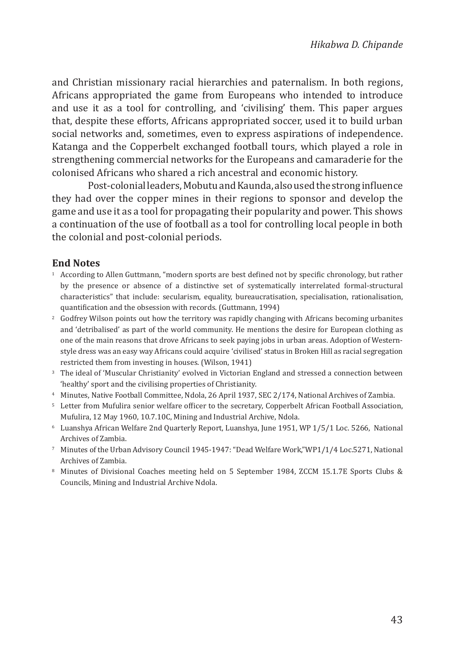and Christian missionary racial hierarchies and paternalism. In both regions, Africans appropriated the game from Europeans who intended to introduce and use it as a tool for controlling, and 'civilising' them. This paper argues that, despite these efforts, Africans appropriated soccer, used it to build urban social networks and, sometimes, even to express aspirations of independence. Katanga and the Copperbelt exchanged football tours, which played a role in strengthening commercial networks for the Europeans and camaraderie for the colonised Africans who shared a rich ancestral and economic history.

Post-colonial leaders, Mobutu and Kaunda, also used the strong influence they had over the copper mines in their regions to sponsor and develop the game and use it as a tool for propagating their popularity and power. This shows a continuation of the use of football as a tool for controlling local people in both the colonial and post-colonial periods.

#### **End Notes**

- <sup>1</sup> According to Allen Guttmann, "modern sports are best defined not by specific chronology, but rather by the presence or absence of a distinctive set of systematically interrelated formal-structural characteristics" that include: secularism, equality, bureaucratisation, specialisation, rationalisation, quantification and the obsession with records. (Guttmann, 1994)
- <sup>2</sup> Godfrey Wilson points out how the territory was rapidly changing with Africans becoming urbanites and 'detribalised' as part of the world community. He mentions the desire for European clothing as one of the main reasons that drove Africans to seek paying jobs in urban areas. Adoption of Westernstyle dress was an easy way Africans could acquire 'civilised' status in Broken Hill as racial segregation restricted them from investing in houses. (Wilson, 1941)
- <sup>3</sup> The ideal of 'Muscular Christianity' evolved in Victorian England and stressed a connection between 'healthy' sport and the civilising properties of Christianity.
- <sup>4</sup> Minutes, Native Football Committee, Ndola, 26 April 1937, SEC 2/174, National Archives of Zambia.
- <sup>5</sup> Letter from Mufulira senior welfare officer to the secretary, Copperbelt African Football Association, Mufulira, 12 May 1960, 10.7.10C, Mining and Industrial Archive, Ndola.
- <sup>6</sup> Luanshya African Welfare 2nd Quarterly Report, Luanshya, June 1951, WP 1/5/1 Loc. 5266, National Archives of Zambia.
- <sup>7</sup> Minutes of the Urban Advisory Council 1945-1947: "Dead Welfare Work,"WP1/1/4 Loc.5271, National Archives of Zambia.
- <sup>8</sup> Minutes of Divisional Coaches meeting held on 5 September 1984, ZCCM 15.1.7E Sports Clubs & Councils, Mining and Industrial Archive Ndola.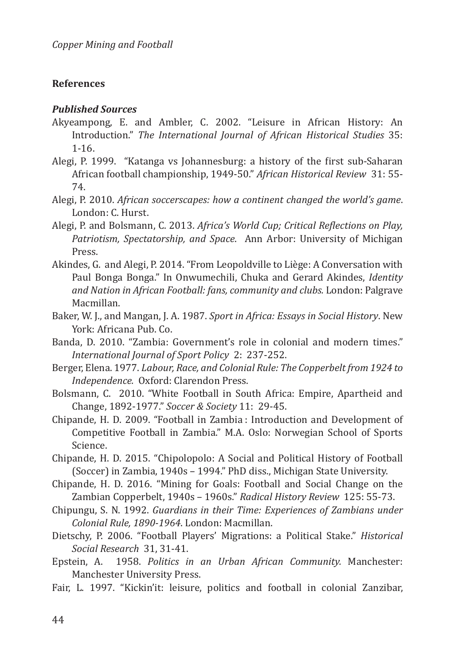## **References**

### *Published Sources*

- Akyeampong, E. and Ambler, C. 2002. "Leisure in African History: An Introduction." *The International Journal of African Historical Studies* 35: 1-16.
- Alegi, P. 1999. "Katanga vs Johannesburg: a history of the first sub-Saharan African football championship, 1949-50." *African Historical Review* 31: 55- 74.
- Alegi, P. 2010. *African soccerscapes: how a continent changed the world's game*. London: C. Hurst.
- Alegi, P. and Bolsmann, C. 2013. *Africa's World Cup; Critical Reflections on Play, Patriotism, Spectatorship, and Space*. Ann Arbor: University of Michigan Press.
- Akindes, G. and Alegi, P. 2014. "From Leopoldville to Liège: A Conversation with Paul Bonga Bonga." In Onwumechili, Chuka and Gerard Akindes, *Identity and Nation in African Football: fans, community and clubs.* London: Palgrave Macmillan.
- Baker, W. J., and Mangan, J. A. 1987. *Sport in Africa: Essays in Social History*. New York: Africana Pub. Co.
- Banda, D. 2010. "Zambia: Government's role in colonial and modern times." *International Journal of Sport Policy* 2: 237-252.
- Berger, Elena. 1977. *Labour, Race, and Colonial Rule: The Copperbelt from 1924 to Independence.* Oxford: Clarendon Press.
- Bolsmann, C. 2010. "White Football in South Africa: Empire, Apartheid and Change, 1892-1977." *Soccer & Society* 11: 29-45.
- Chipande, H. D. 2009. "Football in Zambia : Introduction and Development of Competitive Football in Zambia." M.A. Oslo: Norwegian School of Sports Science.
- Chipande, H. D. 2015. "Chipolopolo: A Social and Political History of Football (Soccer) in Zambia, 1940s – 1994." PhD diss., Michigan State University.
- Chipande, H. D. 2016. "Mining for Goals: Football and Social Change on the Zambian Copperbelt, 1940s – 1960s." *Radical History Review* 125: 55-73.
- Chipungu, S. N. 1992. *Guardians in their Time: Experiences of Zambians under Colonial Rule, 1890-1964*. London: Macmillan.
- Dietschy, P. 2006. "Football Players' Migrations: a Political Stake." *Historical Social Research* 31, 31-41.
- 1958. Politics in an Urban African Community. Manchester: Manchester University Press.
- Fair, L. 1997. "Kickin'it: leisure, politics and football in colonial Zanzibar,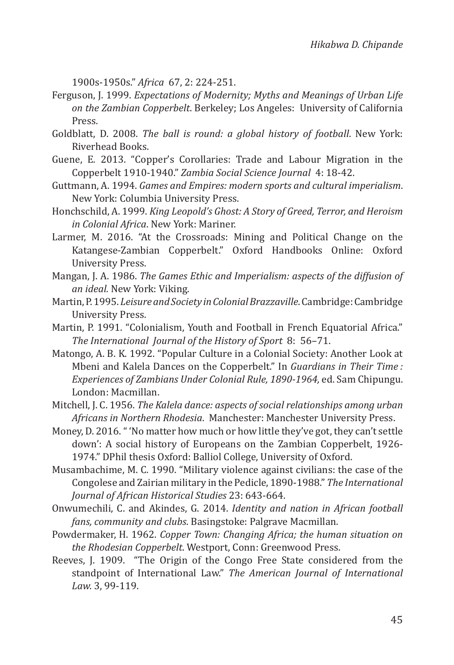1900s-1950s." *Africa* 67, 2: 224-251.

- Ferguson, J. 1999. *Expectations of Modernity; Myths and Meanings of Urban Life on the Zambian Copperbelt*. Berkeley; Los Angeles: University of California Press.
- Goldblatt, D. 2008. *The ball is round: a global history of football*. New York: Riverhead Books.
- Guene, E. 2013. "Copper's Corollaries: Trade and Labour Migration in the Copperbelt 1910-1940." *Zambia Social Science Journal* 4: 18-42.
- Guttmann, A. 1994. *Games and Empires: modern sports and cultural imperialism*. New York: Columbia University Press.
- Honchschild, A. 1999. *King Leopold's Ghost: A Story of Greed, Terror, and Heroism in Colonial Africa*. New York: Mariner.
- Larmer, M. 2016. "At the Crossroads: Mining and Political Change on the Katangese-Zambian Copperbelt." Oxford Handbooks Online: Oxford University Press.
- Mangan, J. A. 1986. *The Games Ethic and Imperialism: aspects of the diffusion of an ideal.* New York: Viking.
- Martin, P. 1995. *Leisure and Society in Colonial Brazzaville*. Cambridge: Cambridge University Press.
- Martin, P. 1991. "Colonialism, Youth and Football in French Equatorial Africa." *The International Journal of the History of Sport* 8: 56–71.
- Matongo, A. B. K. 1992. "Popular Culture in a Colonial Society: Another Look at Mbeni and Kalela Dances on the Copperbelt." In *Guardians in Their Time : Experiences of Zambians Under Colonial Rule, 1890-1964,* ed. Sam Chipungu. London: Macmillan.
- Mitchell, J. C. 1956. *The Kalela dance: aspects of social relationships among urban Africans in Northern Rhodesia*. Manchester: Manchester University Press.
- Money, D. 2016. " 'No matter how much or how little they've got, they can't settle down': A social history of Europeans on the Zambian Copperbelt, 1926- 1974." DPhil thesis Oxford: Balliol College, University of Oxford.
- Musambachime, M. C. 1990. "Military violence against civilians: the case of the Congolese and Zairian military in the Pedicle, 1890-1988." *The International Journal of African Historical Studies* 23: 643-664.
- Onwumechili, C. and Akindes, G. 2014. *Identity and nation in African football fans, community and clubs*. Basingstoke: Palgrave Macmillan.
- Powdermaker, H. 1962. *Copper Town: Changing Africa; the human situation on the Rhodesian Copperbelt*. Westport, Conn: Greenwood Press.
- Reeves, J. 1909. "The Origin of the Congo Free State considered from the standpoint of International Law." *The American Journal of International Law.* 3, 99-119.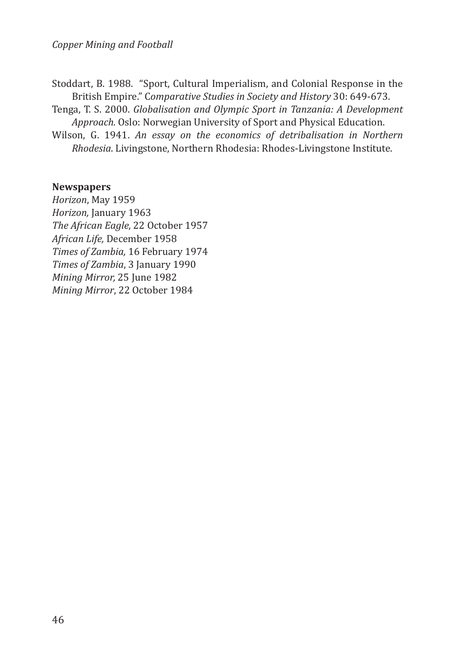Stoddart, B. 1988. "Sport, Cultural Imperialism, and Colonial Response in the British Empire." C*omparative Studies in Society and History* 30: 649-673.

Tenga, T. S. 2000. *Globalisation and Olympic Sport in Tanzania: A Development Approach.* Oslo: Norwegian University of Sport and Physical Education.

Wilson, G. 1941. *An essay on the economics of detribalisation in Northern Rhodesia*. Livingstone, Northern Rhodesia: Rhodes-Livingstone Institute.

### **Newspapers**

*Horizon*, May 1959 *Horizon,* January 1963 *The African Eagle*, 22 October 1957 *African Life,* December 1958 *Times of Zambia,* 16 February 1974 *Times of Zambia*, 3 January 1990 *Mining Mirror,* 25 June 1982 *Mining Mirror*, 22 October 1984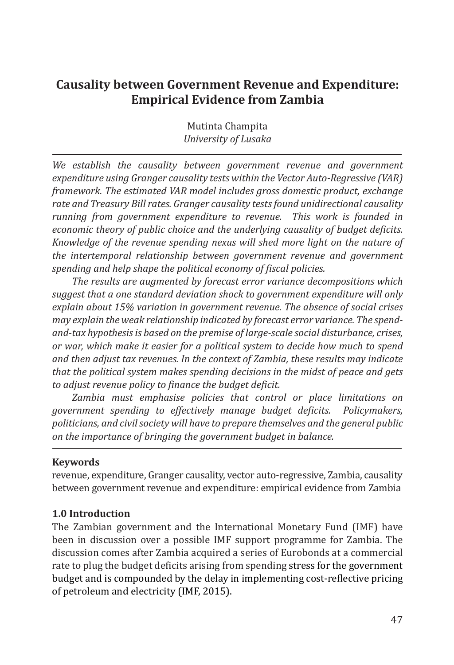# **Causality between Government Revenue and Expenditure: Empirical Evidence from Zambia**

Mutinta Champita *University of Lusaka*

*We establish the causality between government revenue and government expenditure using Granger causality tests within the Vector Auto-Regressive (VAR) framework. The estimated VAR model includes gross domestic product, exchange rate and Treasury Bill rates. Granger causality tests found unidirectional causality running from government expenditure to revenue. This work is founded in economic theory of public choice and the underlying causality of budget deficits. Knowledge of the revenue spending nexus will shed more light on the nature of the intertemporal relationship between government revenue and government spending and help shape the political economy of fiscal policies.*

*The results are augmented by forecast error variance decompositions which suggest that a one standard deviation shock to government expenditure will only explain about 15% variation in government revenue. The absence of social crises may explain the weak relationship indicated by forecast error variance. The spendand-tax hypothesis is based on the premise of large-scale social disturbance, crises, or war, which make it easier for a political system to decide how much to spend and then adjust tax revenues. In the context of Zambia, these results may indicate that the political system makes spending decisions in the midst of peace and gets to adjust revenue policy to finance the budget deficit.* 

*Zambia must emphasise policies that control or place limitations on government spending to effectively manage budget deficits. Policymakers, politicians, and civil society will have to prepare themselves and the general public on the importance of bringing the government budget in balance.*

### **Keywords**

revenue, expenditure, Granger causality, vector auto-regressive, Zambia, causality between government revenue and expenditure: empirical evidence from Zambia

## **1.0 Introduction**

The Zambian government and the International Monetary Fund (IMF) have been in discussion over a possible IMF support programme for Zambia. The discussion comes after Zambia acquired a series of Eurobonds at a commercial rate to plug the budget deficits arising from spending stress for the government budget and is compounded by the delay in implementing cost-reflective pricing of petroleum and electricity (IMF, 2015).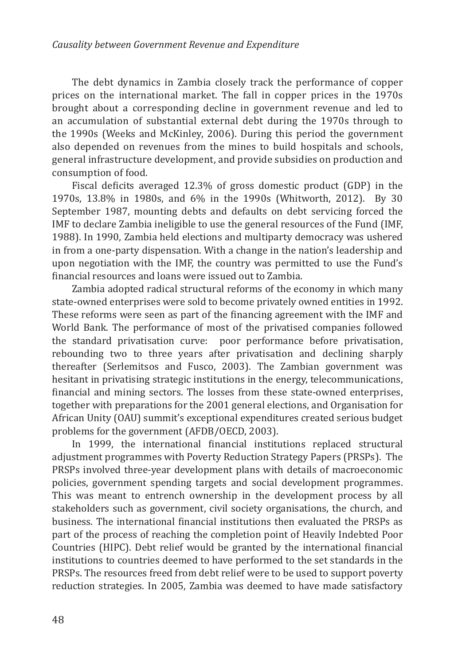The debt dynamics in Zambia closely track the performance of copper prices on the international market. The fall in copper prices in the 1970s brought about a corresponding decline in government revenue and led to an accumulation of substantial external debt during the 1970s through to the 1990s (Weeks and McKinley, 2006). During this period the government also depended on revenues from the mines to build hospitals and schools, general infrastructure development, and provide subsidies on production and consumption of food.

Fiscal deficits averaged 12.3% of gross domestic product (GDP) in the 1970s, 13.8% in 1980s, and 6% in the 1990s (Whitworth, 2012). By 30 September 1987, mounting debts and defaults on debt servicing forced the IMF to declare Zambia ineligible to use the general resources of the Fund (IMF, 1988). In 1990, Zambia held elections and multiparty democracy was ushered in from a one-party dispensation. With a change in the nation's leadership and upon negotiation with the IMF, the country was permitted to use the Fund's financial resources and loans were issued out to Zambia.

Zambia adopted radical structural reforms of the economy in which many state-owned enterprises were sold to become privately owned entities in 1992. These reforms were seen as part of the financing agreement with the IMF and World Bank. The performance of most of the privatised companies followed the standard privatisation curve: poor performance before privatisation, rebounding two to three years after privatisation and declining sharply thereafter (Serlemitsos and Fusco, 2003). The Zambian government was hesitant in privatising strategic institutions in the energy, telecommunications, financial and mining sectors. The losses from these state-owned enterprises, together with preparations for the 2001 general elections, and Organisation for African Unity (OAU) summit's exceptional expenditures created serious budget problems for the government (AFDB/OECD, 2003).

In 1999, the international financial institutions replaced structural adjustment programmes with Poverty Reduction Strategy Papers (PRSPs). The PRSPs involved three-year development plans with details of macroeconomic policies, government spending targets and social development programmes. This was meant to entrench ownership in the development process by all stakeholders such as government, civil society organisations, the church, and business. The international financial institutions then evaluated the PRSPs as part of the process of reaching the completion point of Heavily Indebted Poor Countries (HIPC). Debt relief would be granted by the international financial institutions to countries deemed to have performed to the set standards in the PRSPs. The resources freed from debt relief were to be used to support poverty reduction strategies. In 2005, Zambia was deemed to have made satisfactory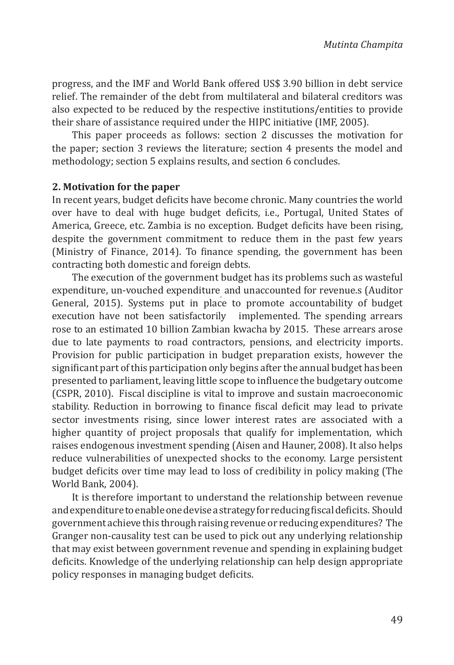progress, and the IMF and World Bank offered US\$ 3.90 billion in debt service relief. The remainder of the debt from multilateral and bilateral creditors was also expected to be reduced by the respective institutions/entities to provide their share of assistance required under the HIPC initiative (IMF, 2005).

This paper proceeds as follows: section 2 discusses the motivation for the paper; section 3 reviews the literature; section 4 presents the model and methodology; section 5 explains results, and section 6 concludes.

### **2. Motivation for the paper**

In recent years, budget deficits have become chronic. Many countries the world over have to deal with huge budget deficits, i.e., Portugal, United States of America, Greece, etc. Zambia is no exception. Budget deficits have been rising, despite the government commitment to reduce them in the past few years (Ministry of Finance, 2014). To finance spending, the government has been contracting both domestic and foreign debts.

The execution of the government budget has its problems such as wasteful expenditure, un-vouched expenditure, and unaccounted for revenue.s (Auditor General, 2015). Systems put in place to promote accountability of budget execution have not been satisfactorily implemented. The spending arrears rose to an estimated 10 billion Zambian kwacha by 2015. These arrears arose due to late payments to road contractors, pensions, and electricity imports. Provision for public participation in budget preparation exists, however the significant part of this participation only begins after the annual budget has been presented to parliament, leaving little scope to influence the budgetary outcome (CSPR, 2010). Fiscal discipline is vital to improve and sustain macroeconomic stability. Reduction in borrowing to finance fiscal deficit may lead to private sector investments rising, since lower interest rates are associated with a higher quantity of project proposals that qualify for implementation, which raises endogenous investment spending (Aisen and Hauner, 2008). It also helps reduce vulnerabilities of unexpected shocks to the economy. Large persistent budget deficits over time may lead to loss of credibility in policy making (The World Bank, 2004).

It is therefore important to understand the relationship between revenue and expenditure to enable one devise a strategy for reducing fiscal deficits. Should government achieve this through raising revenue or reducing expenditures? The Granger non-causality test can be used to pick out any underlying relationship that may exist between government revenue and spending in explaining budget deficits. Knowledge of the underlying relationship can help design appropriate policy responses in managing budget deficits.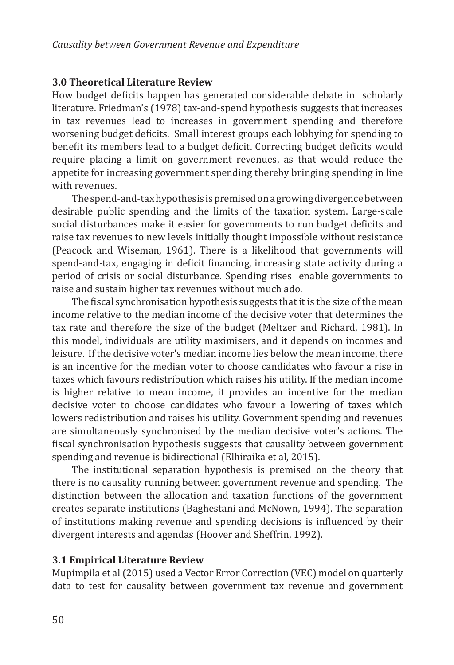## **3.0 Theoretical Literature Review**

How budget deficits happen has generated considerable debate in scholarly literature. Friedman's (1978) tax-and-spend hypothesis suggests that increases in tax revenues lead to increases in government spending and therefore worsening budget deficits. Small interest groups each lobbying for spending to benefit its members lead to a budget deficit. Correcting budget deficits would require placing a limit on government revenues, as that would reduce the appetite for increasing government spending thereby bringing spending in line with revenues.

The spend-and-tax hypothesis is premised on a growing divergence between desirable public spending and the limits of the taxation system. Large-scale social disturbances make it easier for governments to run budget deficits and raise tax revenues to new levels initially thought impossible without resistance (Peacock and Wiseman, 1961). There is a likelihood that governments will spend-and-tax, engaging in deficit financing, increasing state activity during a period of crisis or social disturbance. Spending rises enable governments to raise and sustain higher tax revenues without much ado.

The fiscal synchronisation hypothesis suggests that it is the size of the mean income relative to the median income of the decisive voter that determines the tax rate and therefore the size of the budget (Meltzer and Richard, 1981). In this model, individuals are utility maximisers, and it depends on incomes and leisure. If the decisive voter's median income lies below the mean income, there is an incentive for the median voter to choose candidates who favour a rise in taxes which favours redistribution which raises his utility. If the median income is higher relative to mean income, it provides an incentive for the median decisive voter to choose candidates who favour a lowering of taxes which lowers redistribution and raises his utility. Government spending and revenues are simultaneously synchronised by the median decisive voter's actions. The fiscal synchronisation hypothesis suggests that causality between government spending and revenue is bidirectional (Elhiraika et al, 2015).

The institutional separation hypothesis is premised on the theory that there is no causality running between government revenue and spending. The distinction between the allocation and taxation functions of the government creates separate institutions (Baghestani and McNown, 1994). The separation of institutions making revenue and spending decisions is influenced by their divergent interests and agendas (Hoover and Sheffrin, 1992).

## **3.1 Empirical Literature Review**

Mupimpila et al (2015) used a Vector Error Correction (VEC) model on quarterly data to test for causality between government tax revenue and government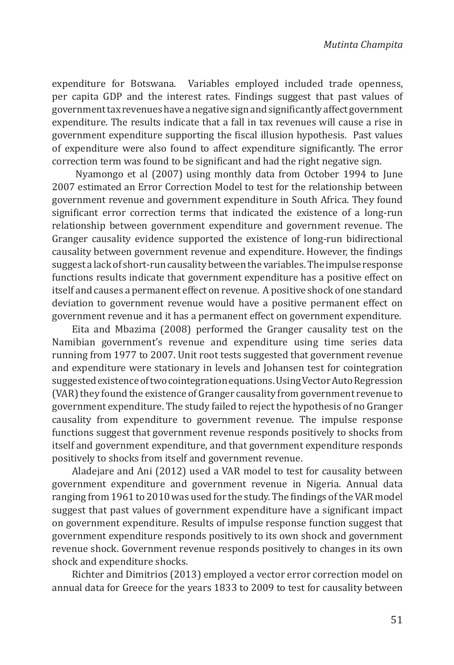expenditure for Botswana. Variables employed included trade openness, per capita GDP and the interest rates. Findings suggest that past values of government tax revenues have a negative sign and significantly affect government expenditure. The results indicate that a fall in tax revenues will cause a rise in government expenditure supporting the fiscal illusion hypothesis. Past values of expenditure were also found to affect expenditure significantly. The error correction term was found to be significant and had the right negative sign.

 Nyamongo et al (2007) using monthly data from October 1994 to June 2007 estimated an Error Correction Model to test for the relationship between government revenue and government expenditure in South Africa. They found significant error correction terms that indicated the existence of a long-run relationship between government expenditure and government revenue. The Granger causality evidence supported the existence of long-run bidirectional causality between government revenue and expenditure. However, the findings suggest a lack of short-run causality between the variables. The impulse response functions results indicate that government expenditure has a positive effect on itself and causes a permanent effect on revenue. A positive shock of one standard deviation to government revenue would have a positive permanent effect on government revenue and it has a permanent effect on government expenditure.

Eita and Mbazima (2008) performed the Granger causality test on the Namibian government's revenue and expenditure using time series data running from 1977 to 2007. Unit root tests suggested that government revenue and expenditure were stationary in levels and Johansen test for cointegration suggested existence of two cointegration equations. Using Vector Auto Regression (VAR) they found the existence of Granger causality from government revenue to government expenditure. The study failed to reject the hypothesis of no Granger causality from expenditure to government revenue. The impulse response functions suggest that government revenue responds positively to shocks from itself and government expenditure, and that government expenditure responds positively to shocks from itself and government revenue.

Aladejare and Ani (2012) used a VAR model to test for causality between government expenditure and government revenue in Nigeria. Annual data ranging from 1961 to 2010 was used for the study. The findings of the VAR model suggest that past values of government expenditure have a significant impact on government expenditure. Results of impulse response function suggest that government expenditure responds positively to its own shock and government revenue shock. Government revenue responds positively to changes in its own shock and expenditure shocks.

Richter and Dimitrios (2013) employed a vector error correction model on annual data for Greece for the years 1833 to 2009 to test for causality between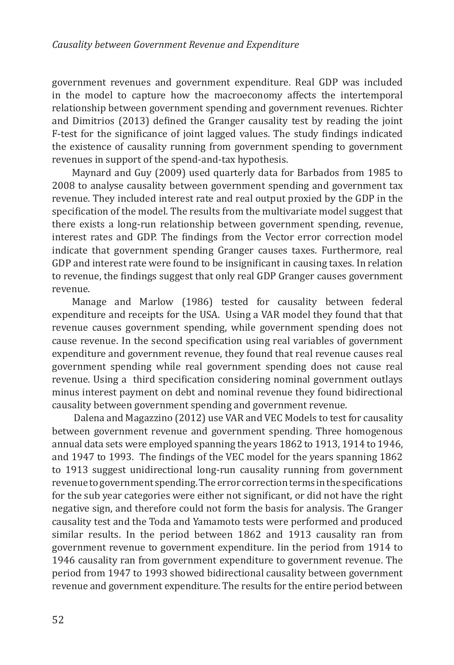government revenues and government expenditure. Real GDP was included in the model to capture how the macroeconomy affects the intertemporal relationship between government spending and government revenues. Richter and Dimitrios (2013) defined the Granger causality test by reading the joint F-test for the significance of joint lagged values. The study findings indicated the existence of causality running from government spending to government revenues in support of the spend-and-tax hypothesis.

Maynard and Guy (2009) used quarterly data for Barbados from 1985 to 2008 to analyse causality between government spending and government tax revenue. They included interest rate and real output proxied by the GDP in the specification of the model. The results from the multivariate model suggest that there exists a long-run relationship between government spending, revenue, interest rates and GDP. The findings from the Vector error correction model indicate that government spending Granger causes taxes. Furthermore, real GDP and interest rate were found to be insignificant in causing taxes. In relation to revenue, the findings suggest that only real GDP Granger causes government revenue.

Manage and Marlow (1986) tested for causality between federal expenditure and receipts for the USA. Using a VAR model they found that that revenue causes government spending, while government spending does not cause revenue. In the second specification using real variables of government expenditure and government revenue, they found that real revenue causes real government spending while real government spending does not cause real revenue. Using a third specification considering nominal government outlays minus interest payment on debt and nominal revenue they found bidirectional causality between government spending and government revenue.

 Dalena and Magazzino (2012) use VAR and VEC Models to test for causality between government revenue and government spending. Three homogenous annual data sets were employed spanning the years 1862 to 1913, 1914 to 1946, and 1947 to 1993. The findings of the VEC model for the years spanning 1862 to 1913 suggest unidirectional long-run causality running from government revenue to government spending. The error correction terms in the specifications for the sub year categories were either not significant, or did not have the right negative sign, and therefore could not form the basis for analysis. The Granger causality test and the Toda and Yamamoto tests were performed and produced similar results. In the period between 1862 and 1913 causality ran from government revenue to government expenditure. Iin the period from 1914 to 1946 causality ran from government expenditure to government revenue. The period from 1947 to 1993 showed bidirectional causality between government revenue and government expenditure. The results for the entire period between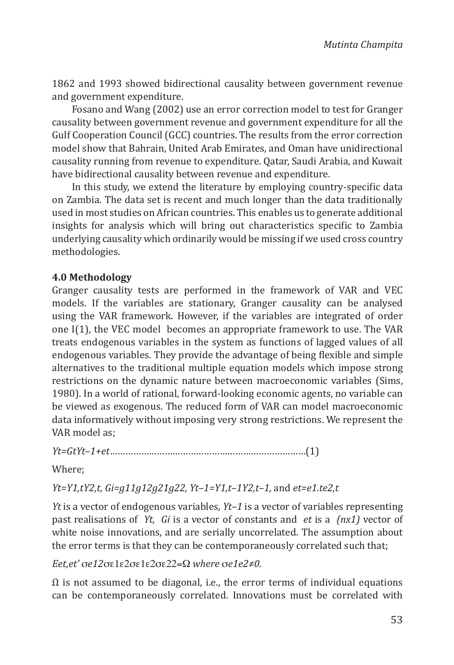1862 and 1993 showed bidirectional causality between government revenue and government expenditure.

Fosano and Wang (2002) use an error correction model to test for Granger causality between government revenue and government expenditure for all the Gulf Cooperation Council (GCC) countries. The results from the error correction model show that Bahrain, United Arab Emirates, and Oman have unidirectional causality running from revenue to expenditure. Qatar, Saudi Arabia, and Kuwait have bidirectional causality between revenue and expenditure.

In this study, we extend the literature by employing country-specific data on Zambia. The data set is recent and much longer than the data traditionally used in most studies on African countries. This enables us to generate additional insights for analysis which will bring out characteristics specific to Zambia underlying causality which ordinarily would be missing if we used cross country methodologies.

## **4.0 Methodology**

Granger causality tests are performed in the framework of VAR and VEC models. If the variables are stationary, Granger causality can be analysed using the VAR framework. However, if the variables are integrated of order one I(1), the VEC model becomes an appropriate framework to use. The VAR treats endogenous variables in the system as functions of lagged values of all endogenous variables. They provide the advantage of being flexible and simple alternatives to the traditional multiple equation models which impose strong restrictions on the dynamic nature between macroeconomic variables (Sims, 1980). In a world of rational, forward-looking economic agents, no variable can be viewed as exogenous. The reduced form of VAR can model macroeconomic data informatively without imposing very strong restrictions. We represent the VAR model as;

*Yt=GtYt–1+et*…………………………………………………………………(1)

Where;

*Yt=Y1,tY2,t, Gi=g11g12g21g22, Yt–1=Y1,t–1Y2,t–1,* and *et=e1.te2,t*

*Yt* is a vector of endogenous variables, *Yt–1* is a vector of variables representing past realisations of *Yt*, *Gi* is a vector of constants and *et* is a *(nx1)* vector of white noise innovations, and are serially uncorrelated. The assumption about the error terms is that they can be contemporaneously correlated such that;

### *Eet,et'* s*e12*se1e2se1e2se22=Ω *where* s*e1e2≠0.*

 $\Omega$  is not assumed to be diagonal, i.e., the error terms of individual equations can be contemporaneously correlated. Innovations must be correlated with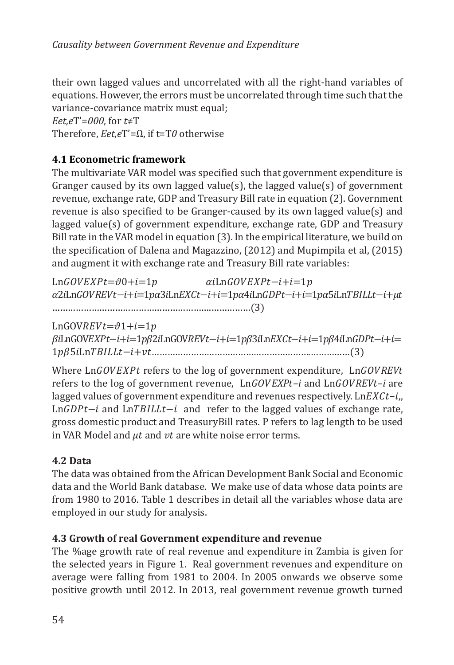their own lagged values and uncorrelated with all the right-hand variables of equations. However, the errors must be uncorrelated through time such that the variance-covariance matrix must equal;

*Eet,e*T'=*000*, for *t*≠T

Therefore, *Eet,e*T'=Ω, if t=T*0* otherwise

# **4.1 Econometric framework**

The multivariate VAR model was specified such that government expenditure is Granger caused by its own lagged value(s), the lagged value(s) of government revenue, exchange rate, GDP and Treasury Bill rate in equation (2). Government revenue is also specified to be Granger-caused by its own lagged value(s) and lagged value(s) of government expenditure, exchange rate, GDP and Treasury Bill rate in the VAR model in equation (3). In the empirical literature, we build on the specification of Dalena and Magazzino, (2012) and Mupimpila et al, (2015) and augment it with exchange rate and Treasury Bill rate variables:

 $LnGOVEXPt=\theta0+i=1p$   $\alpha iLnGOVEXPt-i+i=1p$ a2iLnGOVREVt-i+i=1pα3iLnEXCt-i+i=1pα4iLnGDPt-i+i=1pα5iLnTBILLt-i+μt …………………………………………………….……………(3)

 $LnGOVREVt=\vartheta1+i=1p$ BiLnGOVEXPt-i+i=1pB2iLnGOVREVt-i+i=1pB3iLnEXCt-i+i=1pB4iLnGDPt-i+i= 1 5Ln−+…………………………………………………….……………(3)

Where LnGOVEXPt refers to the log of government expenditure, LnGOVREVt refers to the log of government revenue, LnGOVEXPt-*i* and LnGOVREVt-*i* are lagged values of government expenditure and revenues respectively. Ln $EXC_t-i_n$  $Ln GDPt-i$  and  $Ln TBLLt-i$  and refer to the lagged values of exchange rate, gross domestic product and TreasuryBill rates. P refers to lag length to be used in VAR Model and  $\mu t$  and  $\nu t$  are white noise error terms.

# **4.2 Data**

The data was obtained from the African Development Bank Social and Economic data and the World Bank database. We make use of data whose data points are from 1980 to 2016. Table 1 describes in detail all the variables whose data are employed in our study for analysis.

# **4.3 Growth of real Government expenditure and revenue**

The %age growth rate of real revenue and expenditure in Zambia is given for the selected years in Figure 1. Real government revenues and expenditure on average were falling from 1981 to 2004. In 2005 onwards we observe some positive growth until 2012. In 2013, real government revenue growth turned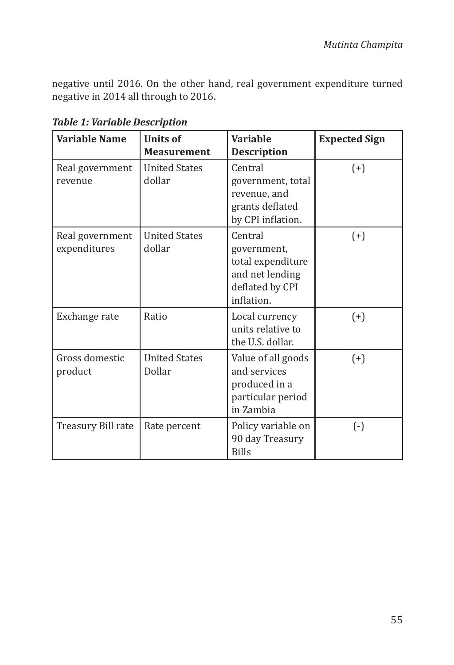negative until 2016. On the other hand, real government expenditure turned negative in 2014 all through to 2016.

| <b>Variable Name</b>            | <b>Units of</b><br><b>Measurement</b> | <b>Variable</b><br><b>Description</b>                                                           | <b>Expected Sign</b> |
|---------------------------------|---------------------------------------|-------------------------------------------------------------------------------------------------|----------------------|
| Real government<br>revenue      | <b>United States</b><br>dollar        | Central<br>government, total<br>revenue, and<br>grants deflated<br>by CPI inflation.            | $(+)$                |
| Real government<br>expenditures | <b>United States</b><br>dollar        | Central<br>government,<br>total expenditure<br>and net lending<br>deflated by CPI<br>inflation. | $(+)$                |
| Exchange rate                   | Ratio                                 | Local currency<br>units relative to<br>the U.S. dollar.                                         | $(+)$                |
| Gross domestic<br>product       | <b>United States</b><br>Dollar        | Value of all goods<br>and services<br>produced in a<br>particular period<br>in Zambia           | $(+)$                |
| Treasury Bill rate              | Rate percent                          | Policy variable on<br>90 day Treasury<br><b>Bills</b>                                           | $(\cdot)$            |

*Table 1: Variable Description*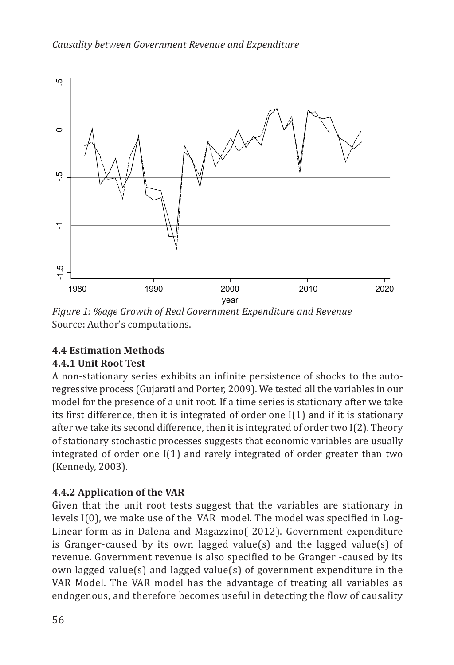

Figure 1: %age Growth of Real Government Expenditure and Revenue<br>S Source: Author's computations.

# **4.4 Estimation Methods**

# **4.4.1 Unit Root Test**

A non-stationary series exhibits an infinite persistence of shocks to the autoregressive process (Gujarati and Porter, 2009). We tested all the variables in our model for the presence of a unit root. If a time series is stationary after we take its first difference, then it is integrated of order one  $I(1)$  and if it is stationary after we take its second difference, then it is integrated of order two I(2). Theory of stationary stochastic processes suggests that economic variables are usually integrated of order one I(1) and rarely integrated of order greater than two (Kennedy, 2003).

# **4.4.2 Application of the VAR**

Given that the unit root tests suggest that the variables are stationary in levels I(0), we make use of the VAR model. The model was specified in Log-Linear form as in Dalena and Magazzino( 2012). Government expenditure is Granger-caused by its own lagged value(s) and the lagged value(s) of revenue. Government revenue is also specified to be Granger -caused by its own lagged value(s) and lagged value(s) of government expenditure in the VAR Model. The VAR model has the advantage of treating all variables as endogenous, and therefore becomes useful in detecting the flow of causality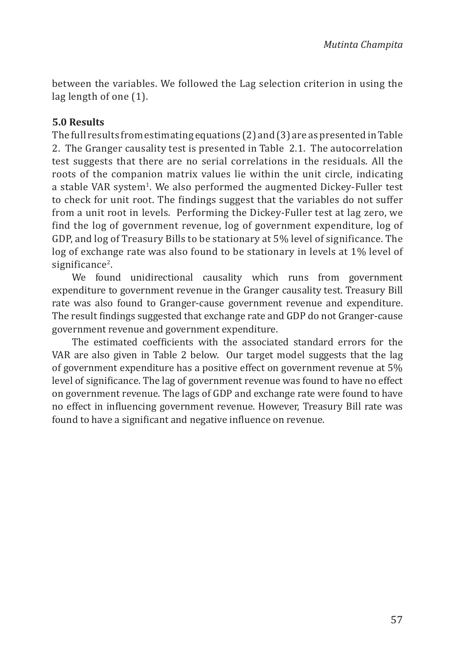between the variables. We followed the Lag selection criterion in using the lag length of one (1).

## **5.0 Results**

The full results from estimating equations (2) and (3) are as presented in Table 2. The Granger causality test is presented in Table 2.1. The autocorrelation test suggests that there are no serial correlations in the residuals. All the roots of the companion matrix values lie within the unit circle, indicating a stable VAR system<sup>1</sup>. We also performed the augmented Dickey-Fuller test to check for unit root. The findings suggest that the variables do not suffer from a unit root in levels. Performing the Dickey-Fuller test at lag zero, we find the log of government revenue, log of government expenditure, log of GDP, and log of Treasury Bills to be stationary at 5% level of significance. The log of exchange rate was also found to be stationary in levels at 1% level of significance<sup>2</sup>.

We found unidirectional causality which runs from government expenditure to government revenue in the Granger causality test. Treasury Bill rate was also found to Granger-cause government revenue and expenditure. The result findings suggested that exchange rate and GDP do not Granger-cause government revenue and government expenditure.

The estimated coefficients with the associated standard errors for the VAR are also given in Table 2 below. Our target model suggests that the lag of government expenditure has a positive effect on government revenue at 5% level of significance. The lag of government revenue was found to have no effect on government revenue. The lags of GDP and exchange rate were found to have no effect in influencing government revenue. However, Treasury Bill rate was found to have a significant and negative influence on revenue.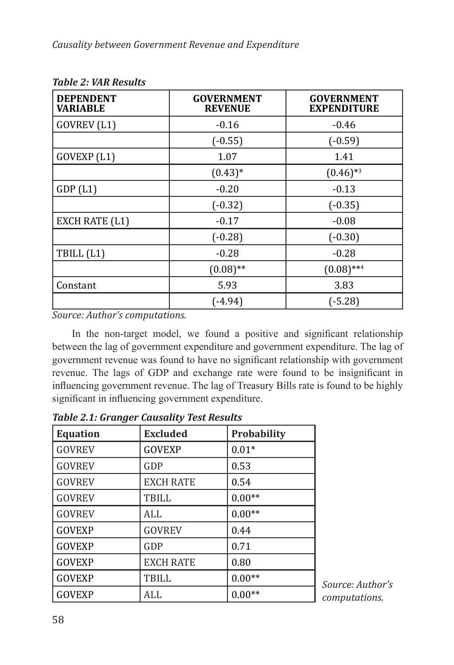| <b>DEPENDENT</b><br><b>VARIABLE</b> | <b>GOVERNMENT</b><br><b>REVENUE</b> | <b>GOVERNMENT</b><br><b>EXPENDITURE</b> |
|-------------------------------------|-------------------------------------|-----------------------------------------|
| GOVREV (L1)                         | $-0.16$                             | $-0.46$                                 |
|                                     | $(-0.55)$                           | $(-0.59)$                               |
| GOVEXP (L1)                         | 1.07                                | 1.41                                    |
|                                     | $(0.43)*$                           | $(0.46)$ *3                             |
| GDP(L1)                             | $-0.20$                             | $-0.13$                                 |
|                                     | $(-0.32)$                           | $(-0.35)$                               |
| EXCH RATE (L1)                      | $-0.17$                             | $-0.08$                                 |
|                                     | $(-0.28)$                           | $(-0.30)$                               |
| TBILL (L1)                          | $-0.28$                             | $-0.28$                                 |
|                                     | $(0.08)$ **                         | $(0.08)$ **4                            |
| Constant                            | 5.93                                | 3.83                                    |
|                                     | (-4.94)                             | $(-5.28)$                               |

*Table 2: VAR Results*

*Source: Author's computations.*

In the non-target model, we found a positive and significant relationship between the lag of government expenditure and government expenditure. The lag of government revenue was found to have no significant relationship with government revenue. The lags of GDP and exchange rate were found to be insignificant in influencing government revenue. The lag of Treasury Bills rate is found to be highly significant in influencing government expenditure.

| <b>Equation</b> | <b>Excluded</b>  | Probability |
|-----------------|------------------|-------------|
| <b>GOVREV</b>   | <b>GOVEXP</b>    | $0.01*$     |
| <b>GOVREV</b>   | GDP              | 0.53        |
| <b>GOVREV</b>   | <b>EXCH RATE</b> | 0.54        |
| <b>GOVREV</b>   | TBILL            | $0.00**$    |
| <b>GOVREV</b>   | ALL              | $0.00**$    |
| <b>GOVEXP</b>   | <b>GOVREV</b>    | 0.44        |
| <b>GOVEXP</b>   | GDP              | 0.71        |
| <b>GOVEXP</b>   | <b>EXCH RATE</b> | 0.80        |
| <b>GOVEXP</b>   | TBILL            | $0.00**$    |
| <b>GOVEXP</b>   | ALL              | $0.00**$    |

*Table 2.1: Granger Causality Test Results*

*Source: Author's computations.*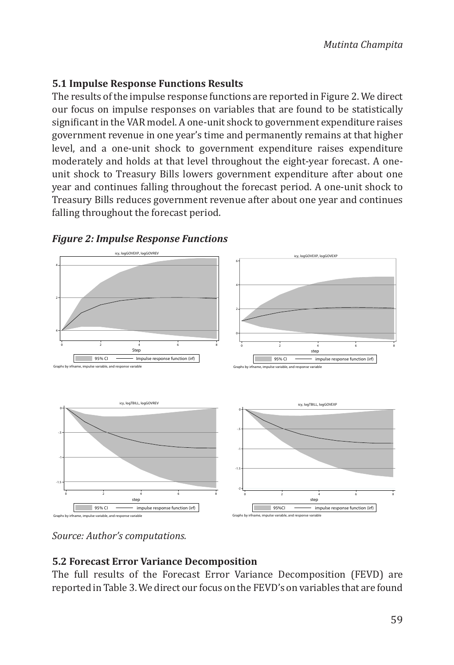# **5.1 Impulse Response Functions Results**

The results of the impulse response functions are reported in Figure 2. We direct our focus on impulse responses on variables that are found to be statistically significant in the VAR model. A one-unit shock to government expenditure raises government revenue in one year's time and permanently remains at that higher level, and a one-unit shock to government expenditure raises expenditure moderately and holds at that level throughout the eight-year forecast. A oneunit shock to Treasury Bills lowers government expenditure after about one year and continues falling throughout the forecast period. A one-unit shock to Treasury Bills reduces government revenue after about one year and continues falling throughout the forecast period.



### *Figure 2: Impulse Response Functions*

*Source: Author's computations.*

# **5.2 Forecast Error Variance Decomposition**

The full results of the Forecast Error Variance Decomposition (FEVD) are reported in Table 3. We direct our focus on the FEVD's on variables that are found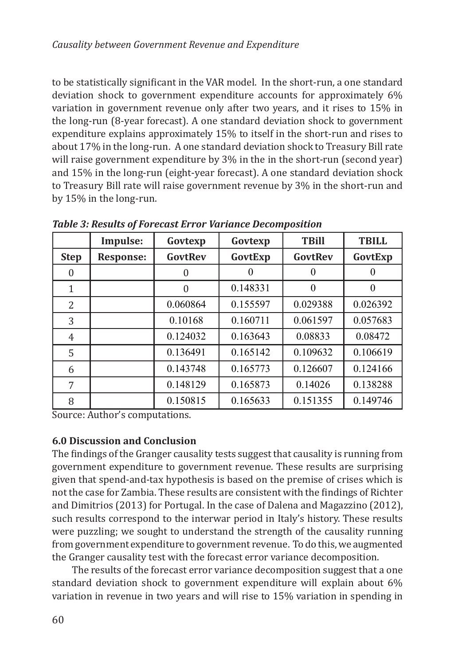to be statistically significant in the VAR model. In the short-run, a one standard deviation shock to government expenditure accounts for approximately 6% variation in government revenue only after two years, and it rises to 15% in the long-run (8-year forecast). A one standard deviation shock to government expenditure explains approximately 15% to itself in the short-run and rises to about 17% in the long-run. A one standard deviation shock to Treasury Bill rate will raise government expenditure by  $3\%$  in the in the short-run (second year) and 15% in the long-run (eight-year forecast). A one standard deviation shock to Treasury Bill rate will raise government revenue by 3% in the short-run and by 15% in the long-run.

|                | Impulse:         | Govtexp  | Govtexp  | <b>TBill</b> | <b>TBILL</b> |
|----------------|------------------|----------|----------|--------------|--------------|
| <b>Step</b>    | <b>Response:</b> | GovtRev  | GovtExp  | GovtRev      | GovtExp      |
| $\Omega$       |                  | 0        |          | 0            |              |
| 1              |                  | $\Omega$ | 0.148331 | $\Omega$     | $\theta$     |
| $\overline{2}$ |                  | 0.060864 | 0.155597 | 0.029388     | 0.026392     |
| 3              |                  | 0.10168  | 0.160711 | 0.061597     | 0.057683     |
| 4              |                  | 0.124032 | 0.163643 | 0.08833      | 0.08472      |
| 5              |                  | 0.136491 | 0.165142 | 0.109632     | 0.106619     |
| 6              |                  | 0.143748 | 0.165773 | 0.126607     | 0.124166     |
| 7              |                  | 0.148129 | 0.165873 | 0.14026      | 0.138288     |
| 8              |                  | 0.150815 | 0.165633 | 0.151355     | 0.149746     |

*Table 3: Results of Forecast Error Variance Decomposition*

Source: Author's computations.

# **6.0 Discussion and Conclusion**

The findings of the Granger causality tests suggest that causality is running from government expenditure to government revenue. These results are surprising given that spend-and-tax hypothesis is based on the premise of crises which is not the case for Zambia. These results are consistent with the findings of Richter and Dimitrios (2013) for Portugal. In the case of Dalena and Magazzino (2012), such results correspond to the interwar period in Italy's history. These results were puzzling; we sought to understand the strength of the causality running from government expenditure to government revenue. To do this, we augmented the Granger causality test with the forecast error variance decomposition.

The results of the forecast error variance decomposition suggest that a one standard deviation shock to government expenditure will explain about 6% variation in revenue in two years and will rise to 15% variation in spending in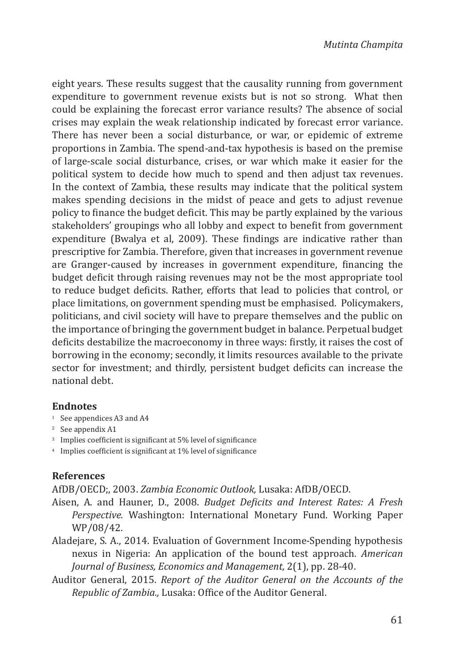eight years. These results suggest that the causality running from government expenditure to government revenue exists but is not so strong. What then could be explaining the forecast error variance results? The absence of social crises may explain the weak relationship indicated by forecast error variance. There has never been a social disturbance, or war, or epidemic of extreme proportions in Zambia. The spend-and-tax hypothesis is based on the premise of large-scale social disturbance, crises, or war which make it easier for the political system to decide how much to spend and then adjust tax revenues. In the context of Zambia, these results may indicate that the political system makes spending decisions in the midst of peace and gets to adjust revenue policy to finance the budget deficit. This may be partly explained by the various stakeholders' groupings who all lobby and expect to benefit from government expenditure (Bwalya et al, 2009). These findings are indicative rather than prescriptive for Zambia. Therefore, given that increases in government revenue are Granger-caused by increases in government expenditure, financing the budget deficit through raising revenues may not be the most appropriate tool to reduce budget deficits. Rather, efforts that lead to policies that control, or place limitations, on government spending must be emphasised. Policymakers, politicians, and civil society will have to prepare themselves and the public on the importance of bringing the government budget in balance. Perpetual budget deficits destabilize the macroeconomy in three ways: firstly, it raises the cost of borrowing in the economy; secondly, it limits resources available to the private sector for investment; and thirdly, persistent budget deficits can increase the national debt.

## **Endnotes**

- <sup>1</sup> See appendices A3 and A4
- <sup>2</sup> See appendix A1
- <sup>3</sup> Implies coefficient is significant at 5% level of significance
- <sup>4</sup> Implies coefficient is significant at 1% level of significance

## **References**

AfDB/OECD;, 2003. *Zambia Economic Outlook,* Lusaka: AfDB/OECD.

- Aisen, A. and Hauner, D., 2008. *Budget Deficits and Interest Rates: A Fresh Perspective.* Washington: International Monetary Fund. Working Paper WP/08/42.
- Aladejare, S. A., 2014. Evaluation of Government Income-Spending hypothesis nexus in Nigeria: An application of the bound test approach. *American Journal of Business, Economics and Management,* 2(1), pp. 28-40.
- Auditor General, 2015. *Report of the Auditor General on the Accounts of the Republic of Zambia.,* Lusaka: Office of the Auditor General.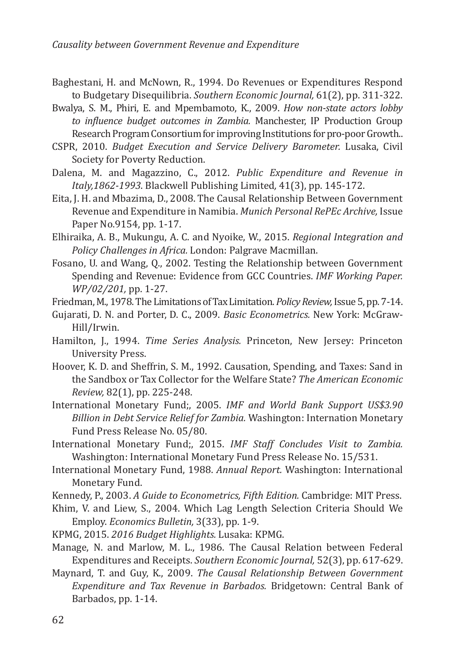- Baghestani, H. and McNown, R., 1994. Do Revenues or Expenditures Respond to Budgetary Disequilibria. *Southern Economic Journal,* 61(2), pp. 311-322.
- Bwalya, S. M., Phiri, E. and Mpembamoto, K., 2009. *How non-state actors lobby to influence budget outcomes in Zambia.* Manchester, IP Production Group Research Program Consortium for improving Institutions for pro-poor Growth..
- CSPR, 2010. *Budget Execution and Service Delivery Barometer.* Lusaka, Civil Society for Poverty Reduction.
- Dalena, M. and Magazzino, C., 2012. *Public Expenditure and Revenue in Italy,1862-1993*. Blackwell Publishing Limited*,* 41(3), pp. 145-172.
- Eita, J. H. and Mbazima, D., 2008. The Causal Relationship Between Government Revenue and Expenditure in Namibia. *Munich Personal RePEc Archive,* Issue Paper No.9154, pp. 1-17.
- Elhiraika, A. B., Mukungu, A. C. and Nyoike, W., 2015. *Regional Integration and Policy Challenges in Africa.* London: Palgrave Macmillan.
- Fosano, U. and Wang, Q., 2002. Testing the Relationship between Government Spending and Revenue: Evidence from GCC Countries. *IMF Working Paper. WP/02/201,* pp. 1-27.
- Friedman, M., 1978. The Limitations of Tax Limitation. *Policy Review,* Issue 5, pp. 7-14.
- Gujarati, D. N. and Porter, D. C., 2009. *Basic Econometrics.* New York: McGraw-Hill/Irwin.
- Hamilton, J., 1994. *Time Series Analysis.* Princeton, New Jersey: Princeton University Press.
- Hoover, K. D. and Sheffrin, S. M., 1992. Causation, Spending, and Taxes: Sand in the Sandbox or Tax Collector for the Welfare State? *The American Economic Review,* 82(1), pp. 225-248.
- International Monetary Fund;, 2005. *IMF and World Bank Support US\$3.90 Billion in Debt Service Relief for Zambia.* Washington: Internation Monetary Fund Press Release No. 05/80.
- International Monetary Fund;, 2015. *IMF Staff Concludes Visit to Zambia.*  Washington: International Monetary Fund Press Release No. 15/531.
- International Monetary Fund, 1988. *Annual Report.* Washington: International Monetary Fund.
- Kennedy, P., 2003. *A Guide to Econometrics, Fifth Edition.* Cambridge: MIT Press.
- Khim, V. and Liew, S., 2004. Which Lag Length Selection Criteria Should We Employ. *Economics Bulletin,* 3(33), pp. 1-9.
- KPMG, 2015. *2016 Budget Highlights.* Lusaka: KPMG.
- Manage, N. and Marlow, M. L., 1986. The Causal Relation between Federal Expenditures and Receipts. *Southern Economic Journal,* 52(3), pp. 617-629.
- Maynard, T. and Guy, K., 2009. *The Causal Relationship Between Government Expenditure and Tax Revenue in Barbados.* Bridgetown: Central Bank of Barbados, pp. 1-14.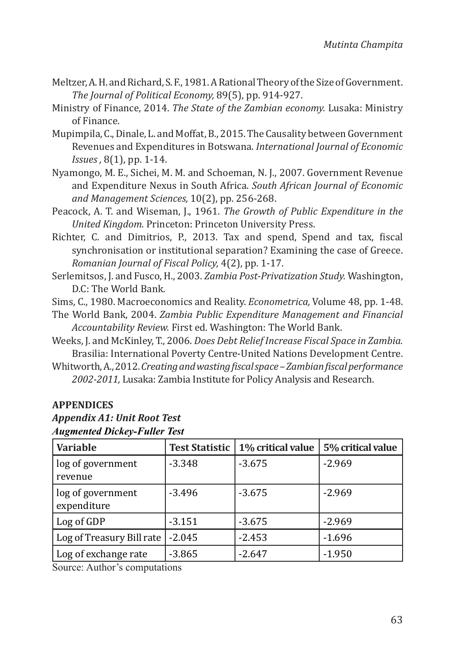- Meltzer, A. H. and Richard, S. F., 1981. A Rational Theory of the Size of Government. *The Journal of Political Economy,* 89(5), pp. 914-927.
- Ministry of Finance, 2014. *The State of the Zambian economy.* Lusaka: Ministry of Finance.
- Mupimpila, C., Dinale, L. and Moffat, B., 2015. The Causality between Government Revenues and Expenditures in Botswana. *International Journal of Economic Issues ,* 8(1), pp. 1-14.
- Nyamongo, M. E., Sichei, M. M. and Schoeman, N. J., 2007. Government Revenue and Expenditure Nexus in South Africa. *South African Journal of Economic and Management Sciences,* 10(2), pp. 256-268.
- Peacock, A. T. and Wiseman, J., 1961. *The Growth of Public Expenditure in the United Kingdom.* Princeton: Princeton University Press.
- Richter, C. and Dimitrios, P., 2013. Tax and spend, Spend and tax, fiscal synchronisation or institutional separation? Examining the case of Greece. *Romanian Journal of Fiscal Policy,* 4(2), pp. 1-17.
- Serlemitsos, J. and Fusco, H., 2003. *Zambia Post-Privatization Study.* Washington, D.C: The World Bank.

Sims, C., 1980. Macroeconomics and Reality. *Econometrica,* Volume 48, pp. 1-48.

- The World Bank, 2004. *Zambia Public Expenditure Management and Financial Accountability Review.* First ed. Washington: The World Bank.
- Weeks, J. and McKinley, T., 2006. *Does Debt Relief Increase Fiscal Space in Zambia.*  Brasilia: International Poverty Centre-United Nations Development Centre.
- Whitworth, A., 2012. *Creating and wasting fiscal space Zambian fiscal performance 2002-2011,* Lusaka: Zambia Institute for Policy Analysis and Research.

## **APPENDICES**

## *Appendix A1: Unit Root Test Augmented Dickey-Fuller Test*

| <b>Variable</b>                  | <b>Test Statistic</b> | 1% critical value | 5% critical value |
|----------------------------------|-----------------------|-------------------|-------------------|
| log of government<br>revenue     | $-3.348$              | $-3.675$          | $-2.969$          |
| log of government<br>expenditure | $-3.496$              | $-3.675$          | $-2.969$          |
| Log of GDP                       | $-3.151$              | $-3.675$          | $-2.969$          |
| Log of Treasury Bill rate        | $-2.045$              | $-2.453$          | $-1.696$          |
| Log of exchange rate             | $-3.865$              | $-2.647$          | $-1.950$          |

Source: Author's computations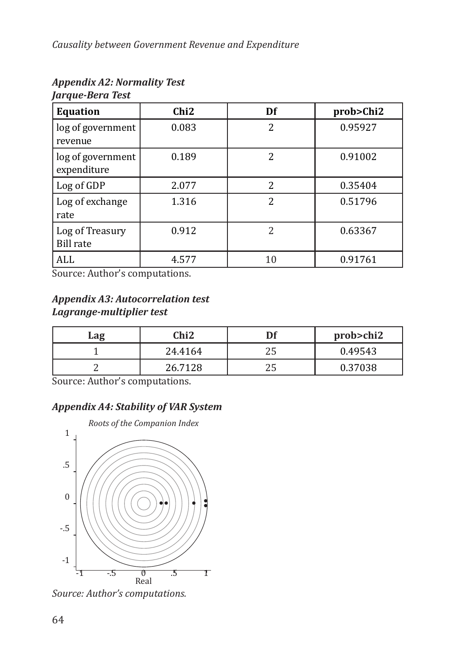| <b>Equation</b>                     | Chi <sub>2</sub> | Df             | prob>Chi2 |
|-------------------------------------|------------------|----------------|-----------|
| log of government<br>revenue        | 0.083            | $\overline{2}$ | 0.95927   |
| log of government<br>expenditure    | 0.189            | $\overline{c}$ | 0.91002   |
| Log of GDP                          | 2.077            | $\overline{c}$ | 0.35404   |
| Log of exchange<br>rate             | 1.316            | $\overline{c}$ | 0.51796   |
| Log of Treasury<br><b>Bill rate</b> | 0.912            | $\overline{2}$ | 0.63367   |
| ALL                                 | 4.577            | 10             | 0.91761   |

#### *Appendix A2: Normality Test Jarque-Bera Test*

Source: Author's computations.

## *Appendix A3: Autocorrelation test Lagrange-multiplier test*

| Lag | Chi2    | Df       | prob>chi2 |
|-----|---------|----------|-----------|
|     | 24.4164 | つに<br>ZJ | 0.49543   |
|     | 26.7128 | つに<br>ZJ | 0.37038   |

Source: Author's computations.

# *Appendix A4: Stability of VAR System*



*Source: Author's computations.*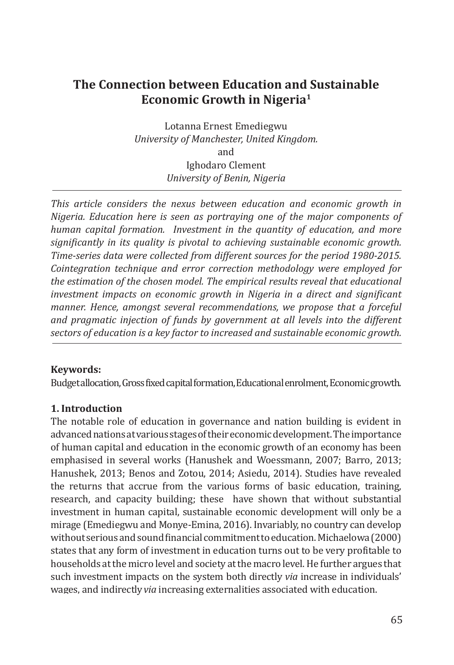# **The Connection between Education and Sustainable Economic Growth in Nigeria<sup>1</sup>**

Lotanna Ernest Emediegwu *University of Manchester, United Kingdom.* and Ighodaro Clement *University of Benin, Nigeria*

*This article considers the nexus between education and economic growth in Nigeria. Education here is seen as portraying one of the major components of human capital formation. Investment in the quantity of education, and more significantly in its quality is pivotal to achieving sustainable economic growth. Time-series data were collected from different sources for the period 1980-2015. Cointegration technique and error correction methodology were employed for the estimation of the chosen model. The empirical results reveal that educational investment impacts on economic growth in Nigeria in a direct and significant manner. Hence, amongst several recommendations, we propose that a forceful and pragmatic injection of funds by government at all levels into the different sectors of education is a key factor to increased and sustainable economic growth.* 

### **Keywords:**

Budget allocation, Gross fixed capital formation, Educational enrolment, Economic growth.

## **1. Introduction**

The notable role of education in governance and nation building is evident in advanced nations at various stages of their economic development. The importance of human capital and education in the economic growth of an economy has been emphasised in several works (Hanushek and Woessmann, 2007; Barro, 2013; Hanushek, 2013; Benos and Zotou, 2014; Asiedu, 2014). Studies have revealed the returns that accrue from the various forms of basic education, training, research, and capacity building; these have shown that without substantial investment in human capital, sustainable economic development will only be a mirage (Emediegwu and Monye-Emina, 2016). Invariably, no country can develop without serious and sound financial commitment to education. Michaelowa (2000) states that any form of investment in education turns out to be very profitable to households at the micro level and society at the macro level. He further argues that such investment impacts on the system both directly *via* increase in individuals' wages, and indirectly*via* increasing externalities associated with education.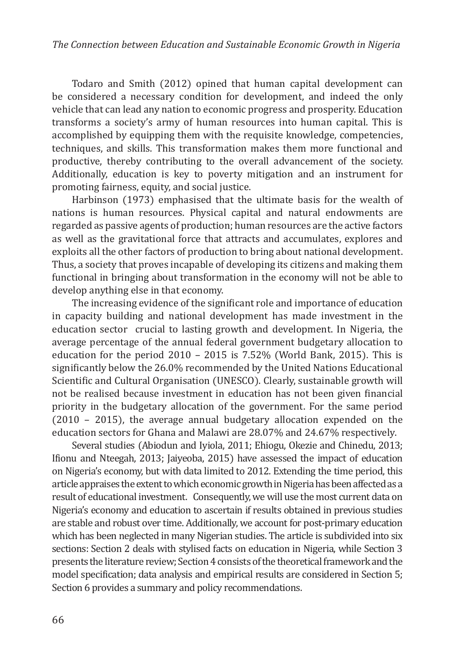Todaro and Smith (2012) opined that human capital development can be considered a necessary condition for development, and indeed the only vehicle that can lead any nation to economic progress and prosperity. Education transforms a society's army of human resources into human capital. This is accomplished by equipping them with the requisite knowledge, competencies, techniques, and skills. This transformation makes them more functional and productive, thereby contributing to the overall advancement of the society. Additionally, education is key to poverty mitigation and an instrument for promoting fairness, equity, and social justice.

Harbinson (1973) emphasised that the ultimate basis for the wealth of nations is human resources. Physical capital and natural endowments are regarded as passive agents of production; human resources are the active factors as well as the gravitational force that attracts and accumulates, explores and exploits all the other factors of production to bring about national development. Thus, a society that proves incapable of developing its citizens and making them functional in bringing about transformation in the economy will not be able to develop anything else in that economy.

The increasing evidence of the significant role and importance of education in capacity building and national development has made investment in the education sector crucial to lasting growth and development. In Nigeria, the average percentage of the annual federal government budgetary allocation to education for the period 2010 – 2015 is 7.52% (World Bank, 2015). This is significantly below the 26.0% recommended by the United Nations Educational Scientific and Cultural Organisation (UNESCO). Clearly, sustainable growth will not be realised because investment in education has not been given financial priority in the budgetary allocation of the government. For the same period (2010 – 2015), the average annual budgetary allocation expended on the education sectors for Ghana and Malawi are 28.07% and 24.67% respectively.

Several studies (Abiodun and Iyiola, 2011; Ehiogu, Okezie and Chinedu, 2013; Ifionu and Nteegah, 2013; Jaiyeoba, 2015) have assessed the impact of education on Nigeria's economy, but with data limited to 2012. Extending the time period, this article appraises the extent to which economic growth in Nigeria has been affected as a result of educational investment. Consequently, we will use the most current data on Nigeria's economy and education to ascertain if results obtained in previous studies are stable and robust over time. Additionally, we account for post-primary education which has been neglected in many Nigerian studies. The article is subdivided into six sections: Section 2 deals with stylised facts on education in Nigeria, while Section 3 presents the literature review; Section 4 consists of the theoretical framework and the model specification; data analysis and empirical results are considered in Section 5; Section 6 provides a summary and policy recommendations.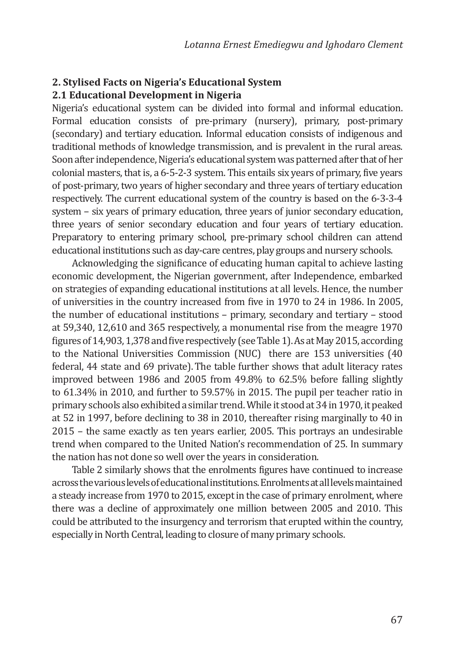### **2. Stylised Facts on Nigeria's Educational System 2.1 Educational Development in Nigeria**

Nigeria's educational system can be divided into formal and informal education. Formal education consists of pre-primary (nursery), primary, post-primary (secondary) and tertiary education. Informal education consists of indigenous and traditional methods of knowledge transmission, and is prevalent in the rural areas. Soon after independence, Nigeria's educational system was patterned after that of her colonial masters, that is, a 6-5-2-3 system. This entails six years of primary, five years of post-primary, two years of higher secondary and three years of tertiary education respectively. The current educational system of the country is based on the 6-3-3-4 system – six years of primary education, three years of junior secondary education, three years of senior secondary education and four years of tertiary education. Preparatory to entering primary school, pre-primary school children can attend educational institutions such as day-care centres, play groups and nursery schools.

Acknowledging the significance of educating human capital to achieve lasting economic development, the Nigerian government, after Independence, embarked on strategies of expanding educational institutions at all levels. Hence, the number of universities in the country increased from five in 1970 to 24 in 1986. In 2005, the number of educational institutions – primary, secondary and tertiary – stood at 59,340, 12,610 and 365 respectively, a monumental rise from the meagre 1970 figures of 14,903, 1,378 and five respectively (see Table 1). As at May 2015, according to the National Universities Commission (NUC) there are 153 universities (40 federal, 44 state and 69 private).The table further shows that adult literacy rates improved between 1986 and 2005 from 49.8% to 62.5% before falling slightly to 61.34% in 2010, and further to 59.57% in 2015. The pupil per teacher ratio in primary schools also exhibited a similar trend. While it stood at 34 in 1970, it peaked at 52 in 1997, before declining to 38 in 2010, thereafter rising marginally to 40 in 2015 – the same exactly as ten years earlier, 2005. This portrays an undesirable trend when compared to the United Nation's recommendation of 25. In summary the nation has not done so well over the years in consideration.

Table 2 similarly shows that the enrolments figures have continued to increase across the various levels of educational institutions. Enrolments at all levels maintained a steady increase from 1970 to 2015, except in the case of primary enrolment, where there was a decline of approximately one million between 2005 and 2010. This could be attributed to the insurgency and terrorism that erupted within the country, especially in North Central, leading to closure of many primary schools.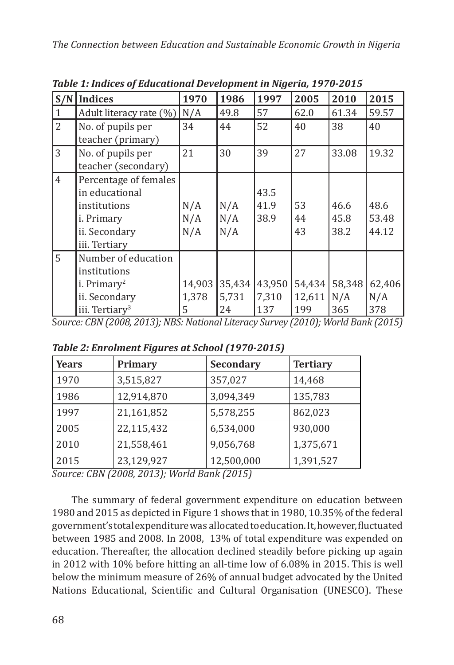| S/N            | Indices                                                                                                       | 1970                 | 1986                  | 1997                   | 2005                    | 2010                 | 2015                   |
|----------------|---------------------------------------------------------------------------------------------------------------|----------------------|-----------------------|------------------------|-------------------------|----------------------|------------------------|
| $\mathbf{1}$   | Adult literacy rate (%)                                                                                       | N/A                  | 49.8                  | 57                     | 62.0                    | 61.34                | 59.57                  |
| $\overline{2}$ | No. of pupils per<br>teacher (primary)                                                                        | 34                   | 44                    | 52                     | 40                      | 38                   | 40                     |
| 3              | No. of pupils per<br>teacher (secondary)                                                                      | 21                   | 30                    | 39                     | 27                      | 33.08                | 19.32                  |
| $\overline{4}$ | Percentage of females<br>in educational<br>institutions<br>i. Primary<br>ii. Secondary<br>iii. Tertiary       | N/A<br>N/A<br>N/A    | N/A<br>N/A<br>N/A     | 43.5<br>41.9<br>38.9   | 53<br>44<br>43          | 46.6<br>45.8<br>38.2 | 48.6<br>53.48<br>44.12 |
| 5              | Number of education<br>institutions<br>i. Primary <sup>2</sup><br>ii. Secondary<br>iii. Tertiary <sup>3</sup> | 14,903<br>1,378<br>5 | 35,434<br>5,731<br>24 | 43,950<br>7,310<br>137 | 54,434<br>12,611<br>199 | 58,348<br>N/A<br>365 | 62,406<br>N/A<br>378   |

*Table 1: Indices of Educational Development in Nigeria, 1970-2015*

S*ource: CBN (2008, 2013); NBS: National Literacy Survey (2010); World Bank (2015)*

|  |  | Table 2: Enrolment Figures at School (1970-2015) |
|--|--|--------------------------------------------------|
|  |  |                                                  |

| <b>Years</b> | Primary    | Secondary  | <b>Tertiary</b> |
|--------------|------------|------------|-----------------|
| 1970         | 3,515,827  | 357,027    | 14,468          |
| 1986         | 12,914,870 | 3,094,349  | 135,783         |
| 1997         | 21,161,852 | 5,578,255  | 862,023         |
| 2005         | 22,115,432 | 6,534,000  | 930,000         |
| 2010         | 21,558,461 | 9,056,768  | 1,375,671       |
| 2015         | 23,129,927 | 12,500,000 | 1,391,527       |

*Source: CBN (2008, 2013); World Bank (2015)*

The summary of federal government expenditure on education between 1980 and 2015 as depicted in Figure 1 shows that in 1980, 10.35% of the federal government's total expenditure was allocated to education. It, however, fluctuated between 1985 and 2008. In 2008, 13% of total expenditure was expended on education. Thereafter, the allocation declined steadily before picking up again in 2012 with 10% before hitting an all-time low of 6.08% in 2015. This is well below the minimum measure of 26% of annual budget advocated by the United Nations Educational, Scientific and Cultural Organisation (UNESCO). These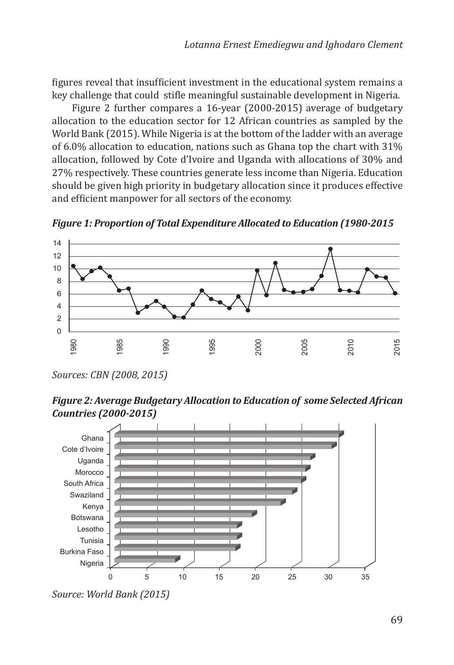figures reveal that insufficient investment in the educational system remains a key challenge that could stifle meaningful sustainable development in Nigeria.

Figure 2 further compares a 16-year (2000-2015) average of budgetary allocation to the education sector for 12 African countries as sampled by the World Bank (2015). While Nigeria is at the bottom of the ladder with an average of 6.0% allocation to education, nations such as Ghana top the chart with 31% allocation, followed by Cote d'Ivoire and Uganda with allocations of 30% and 27% respectively. These countries generate less income than Nigeria. Education should be given high priority in budgetary allocation since it produces effective and efficient manpower for all sectors of the economy.

*Figure 1: Proportion of Total Expenditure Allocated to Education (1980-2015*



*Sources: CBN (2008, 2015)*

*Figure 2: Average Budgetary Allocation to Education of some Selected African Countries (2000-2015)*



*Source: World Bank (2015)*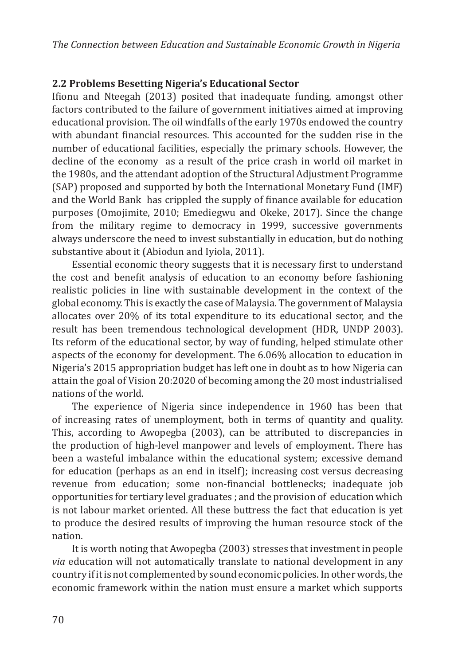# **2.2 Problems Besetting Nigeria's Educational Sector**

Ifionu and Nteegah (2013) posited that inadequate funding, amongst other factors contributed to the failure of government initiatives aimed at improving educational provision. The oil windfalls of the early 1970s endowed the country with abundant financial resources. This accounted for the sudden rise in the number of educational facilities, especially the primary schools. However, the decline of the economy as a result of the price crash in world oil market in the 1980s, and the attendant adoption of the Structural Adjustment Programme (SAP) proposed and supported by both the International Monetary Fund (IMF) and the World Bank has crippled the supply of finance available for education purposes (Omojimite, 2010; Emediegwu and Okeke, 2017). Since the change from the military regime to democracy in 1999, successive governments always underscore the need to invest substantially in education, but do nothing substantive about it (Abiodun and Iyiola, 2011).

Essential economic theory suggests that it is necessary first to understand the cost and benefit analysis of education to an economy before fashioning realistic policies in line with sustainable development in the context of the global economy. This is exactly the case of Malaysia. The government of Malaysia allocates over 20% of its total expenditure to its educational sector, and the result has been tremendous technological development (HDR, UNDP 2003). Its reform of the educational sector, by way of funding, helped stimulate other aspects of the economy for development. The 6.06% allocation to education in Nigeria's 2015 appropriation budget has left one in doubt as to how Nigeria can attain the goal of Vision 20:2020 of becoming among the 20 most industrialised nations of the world.

The experience of Nigeria since independence in 1960 has been that of increasing rates of unemployment, both in terms of quantity and quality. This, according to Awopegba (2003), can be attributed to discrepancies in the production of high-level manpower and levels of employment. There has been a wasteful imbalance within the educational system; excessive demand for education (perhaps as an end in itself); increasing cost versus decreasing revenue from education; some non-financial bottlenecks; inadequate job opportunities for tertiary level graduates ; and the provision of education which is not labour market oriented. All these buttress the fact that education is yet to produce the desired results of improving the human resource stock of the nation.

It is worth noting that Awopegba (2003) stresses that investment in people *via* education will not automatically translate to national development in any country if it is not complemented by sound economic policies. In other words, the economic framework within the nation must ensure a market which supports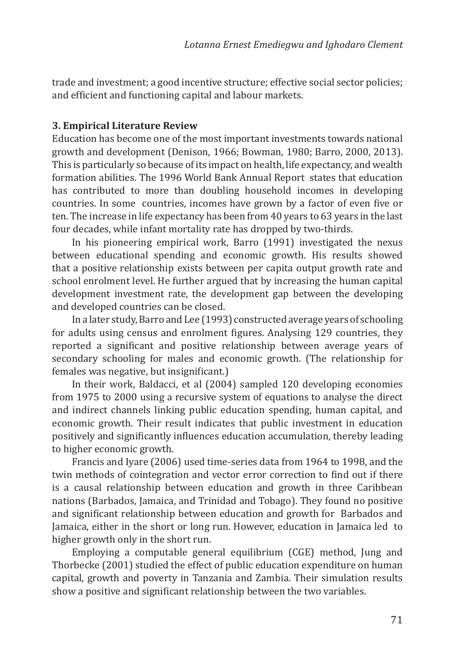trade and investment; a good incentive structure; effective social sector policies; and efficient and functioning capital and labour markets.

#### **3. Empirical Literature Review**

Education has become one of the most important investments towards national growth and development (Denison, 1966; Bowman, 1980; Barro, 2000, 2013). This is particularly so because of its impact on health, life expectancy, and wealth formation abilities. The 1996 World Bank Annual Report states that education has contributed to more than doubling household incomes in developing countries. In some countries, incomes have grown by a factor of even five or ten. The increase in life expectancy has been from 40 years to 63 years in the last four decades, while infant mortality rate has dropped by two-thirds.

In his pioneering empirical work, Barro (1991) investigated the nexus between educational spending and economic growth. His results showed that a positive relationship exists between per capita output growth rate and school enrolment level. He further argued that by increasing the human capital development investment rate, the development gap between the developing and developed countries can be closed.

In a later study, Barro and Lee (1993) constructed average years of schooling for adults using census and enrolment figures. Analysing 129 countries, they reported a significant and positive relationship between average years of secondary schooling for males and economic growth. (The relationship for females was negative, but insignificant.)

In their work, Baldacci, et al (2004) sampled 120 developing economies from 1975 to 2000 using a recursive system of equations to analyse the direct and indirect channels linking public education spending, human capital, and economic growth. Their result indicates that public investment in education positively and significantly influences education accumulation, thereby leading to higher economic growth.

Francis and Iyare (2006) used time-series data from 1964 to 1998, and the twin methods of cointegration and vector error correction to find out if there is a causal relationship between education and growth in three Caribbean nations (Barbados, Jamaica, and Trinidad and Tobago). They found no positive and significant relationship between education and growth for Barbados and Jamaica, either in the short or long run. However, education in Jamaica led to higher growth only in the short run.

Employing a computable general equilibrium (CGE) method, Jung and Thorbecke (2001) studied the effect of public education expenditure on human capital, growth and poverty in Tanzania and Zambia. Their simulation results show a positive and significant relationship between the two variables.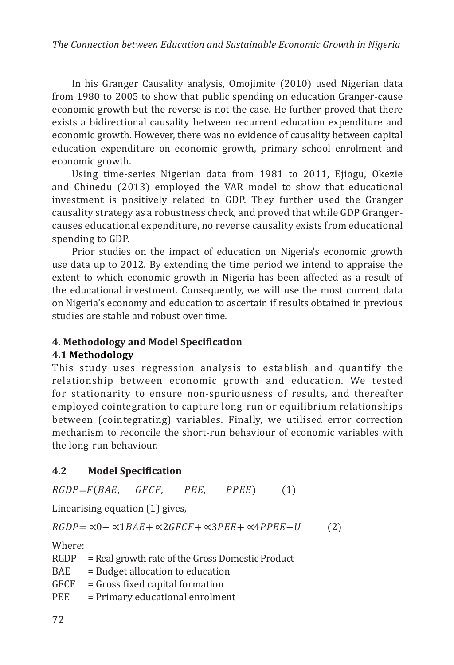In his Granger Causality analysis, Omojimite (2010) used Nigerian data from 1980 to 2005 to show that public spending on education Granger-cause economic growth but the reverse is not the case. He further proved that there exists a bidirectional causality between recurrent education expenditure and economic growth. However, there was no evidence of causality between capital education expenditure on economic growth, primary school enrolment and economic growth.

Using time-series Nigerian data from 1981 to 2011, Ejiogu, Okezie and Chinedu (2013) employed the VAR model to show that educational investment is positively related to GDP. They further used the Granger causality strategy as a robustness check, and proved that while GDP Grangercauses educational expenditure, no reverse causality exists from educational spending to GDP.

Prior studies on the impact of education on Nigeria's economic growth use data up to 2012. By extending the time period we intend to appraise the extent to which economic growth in Nigeria has been affected as a result of the educational investment. Consequently, we will use the most current data on Nigeria's economy and education to ascertain if results obtained in previous studies are stable and robust over time.

# **4. Methodology and Model Specification**

## **4.1 Methodology**

This study uses regression analysis to establish and quantify the relationship between economic growth and education. We tested for stationarity to ensure non-spuriousness of results, and thereafter employed cointegration to capture long-run or equilibrium relationships between (cointegrating) variables. Finally, we utilised error correction mechanism to reconcile the short-run behaviour of economic variables with the long-run behaviour.

# **4.2 Model Specification**

 $RGDP = F(BAE, GFCF, PEE, PPEE)$  (1)

Linearising equation (1) gives,

 $RGDP = \alpha 0 + \alpha 1BAE + \alpha 2GFCF + \alpha 3PEE + \alpha 4PPEE + U$  (2)

Where:<br>RGDP

 $=$  Real growth rate of the Gross Domestic Product

- $BAE$  = Budget allocation to education<br>GFCF = Gross fixed capital formation
- $GFCF = Gross fixed capital formation  
\nPEE = Primary educational enrolme$
- $=$  Primary educational enrolment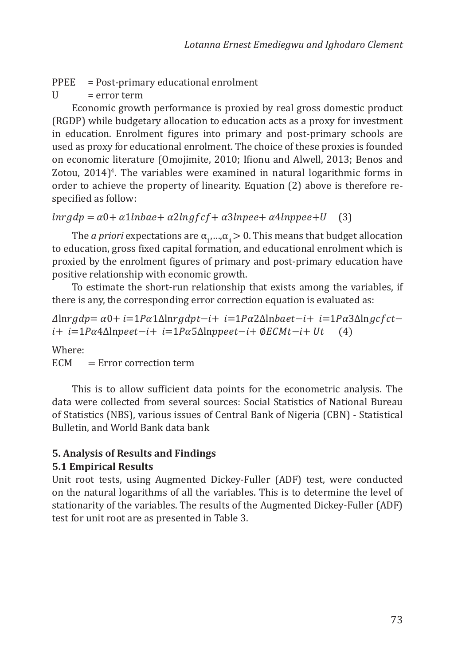- PPEE = Post-primary educational enrolment<br> $U = error term$
- $=$  error term

Economic growth performance is proxied by real gross domestic product (RGDP) while budgetary allocation to education acts as a proxy for investment in education. Enrolment figures into primary and post-primary schools are used as proxy for educational enrolment. The choice of these proxies is founded on economic literature (Omojimite, 2010; Ifionu and Alwell, 2013; Benos and Zotou, 2014)<sup>4</sup>. The variables were examined in natural logarithmic forms in order to achieve the property of linearity. Equation (2) above is therefore respecified as follow:

```
\ln r g dp = \alpha 0 + \alpha 1 \ln b a e + \alpha 2 \ln g f c f + \alpha 3 \ln p e e + \alpha 4 \ln p e e + U (3)
```
The *a priori* expectations are  $\alpha_1, ..., \alpha_4 > 0$ . This means that budget allocation to education, gross fixed capital formation, and educational enrolment which is proxied by the enrolment figures of primary and post-primary education have positive relationship with economic growth.

To estimate the short-run relationship that exists among the variables, if there is any, the corresponding error correction equation is evaluated as:

 $\Delta$ lnrgdp=  $\alpha$ 0+ i=1P $\alpha$ 1 $\Delta$ lnrgdpt−i+ i=1P $\alpha$ 2 $\Delta$ lnbaet−i+ i=1P $\alpha$ 3 $\Delta$ lngcfct−  $i+ i=1P\alpha 4\Delta$ ln  $peet-i+ i=1P\alpha 5\Delta$ ln  $peet-i+ \emptyset ECMt-i+ Ut$  (4)

Where:<br>ECM

 $=$  Error correction term

This is to allow sufficient data points for the econometric analysis. The data were collected from several sources: Social Statistics of National Bureau of Statistics (NBS), various issues of Central Bank of Nigeria (CBN) - Statistical Bulletin, and World Bank data bank

## **5. Analysis of Results and Findings**

#### **5.1 Empirical Results**

Unit root tests, using Augmented Dickey-Fuller (ADF) test, were conducted on the natural logarithms of all the variables. This is to determine the level of stationarity of the variables. The results of the Augmented Dickey-Fuller (ADF) test for unit root are as presented in Table 3.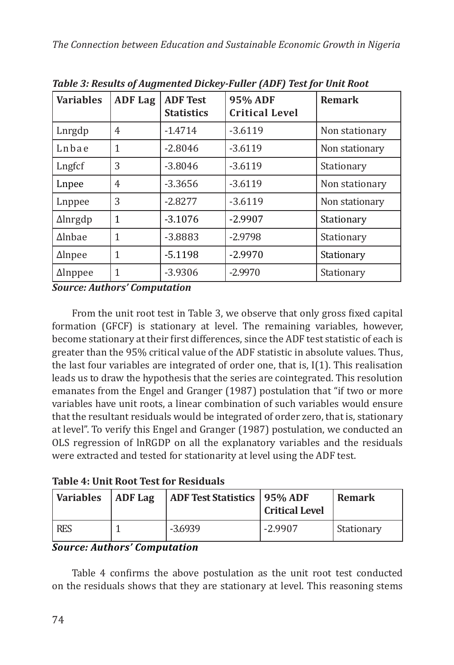| <b>Variables</b> | <b>ADF Lag</b> | <b>ADF Test</b><br><b>Statistics</b> | 95% ADF<br><b>Critical Level</b> | <b>Remark</b>  |
|------------------|----------------|--------------------------------------|----------------------------------|----------------|
| Lnrgdp           | 4              | $-1.4714$                            | $-3.6119$                        | Non stationary |
| Lnbae            | 1              | $-2.8046$                            | $-3.6119$                        | Non stationary |
| Lngfcf           | 3              | $-3.8046$                            | $-3.6119$                        | Stationary     |
| Lnpee            | 4              | $-3.3656$                            | $-3.6119$                        | Non stationary |
| Lnppee           | 3              | $-2.8277$                            | $-3.6119$                        | Non stationary |
| $\Delta$ lnrgdp  | 1              | $-3.1076$                            | $-2.9907$                        | Stationary     |
| $\Delta$ lnbae   | 1              | $-3.8883$                            | $-2.9798$                        | Stationary     |
| $\Delta$ lnpee   | 1              | $-5.1198$                            | $-2.9970$                        | Stationary     |
| $\Delta$ Inppee  |                | $-3.9306$                            | $-2.9970$                        | Stationary     |

*Table 3: Results of Augmented Dickey-Fuller (ADF) Test for Unit Root*

*Source: Authors' Computation*

From the unit root test in Table 3, we observe that only gross fixed capital formation (GFCF) is stationary at level. The remaining variables, however, become stationary at their first differences, since the ADF test statistic of each is greater than the 95% critical value of the ADF statistic in absolute values. Thus, the last four variables are integrated of order one, that is, I(1). This realisation leads us to draw the hypothesis that the series are cointegrated. This resolution emanates from the Engel and Granger (1987) postulation that "if two or more variables have unit roots, a linear combination of such variables would ensure that the resultant residuals would be integrated of order zero, that is, stationary at level". To verify this Engel and Granger (1987) postulation, we conducted an OLS regression of lnRGDP on all the explanatory variables and the residuals were extracted and tested for stationarity at level using the ADF test.

|  |  | <b>Table 4: Unit Root Test for Residuals</b> |
|--|--|----------------------------------------------|
|  |  |                                              |

| <b>Variables</b> | <b>ADF</b> Lag | <b>ADF Test Statistics   95% ADF</b> | <b>Critical Level</b> | <b>Remark</b> |
|------------------|----------------|--------------------------------------|-----------------------|---------------|
| <b>RES</b>       |                | $-3.6939$                            | $-2.9907$             | Stationary    |

## *Source: Authors' Computation*

Table 4 confirms the above postulation as the unit root test conducted on the residuals shows that they are stationary at level. This reasoning stems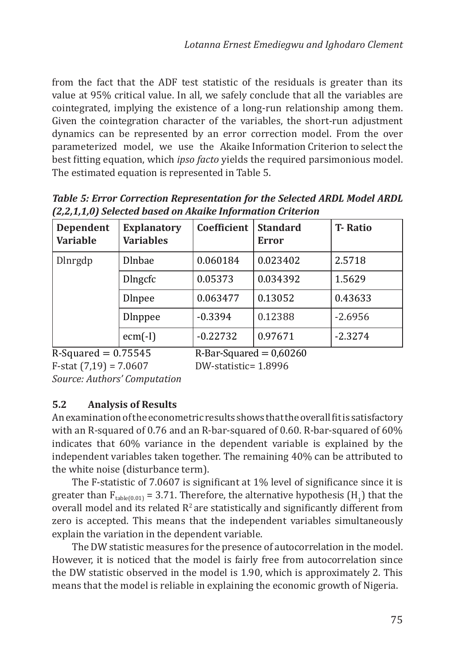from the fact that the ADF test statistic of the residuals is greater than its value at 95% critical value. In all, we safely conclude that all the variables are cointegrated, implying the existence of a long-run relationship among them. Given the cointegration character of the variables, the short-run adjustment dynamics can be represented by an error correction model. From the over parameterized model, we use the Akaike Information Criterion to select the best fitting equation, which *ipso facto* yields the required parsimonious model. The estimated equation is represented in Table 5.

*Table 5: Error Correction Representation for the Selected ARDL Model ARDL (2,2,1,1,0) Selected based on Akaike Information Criterion*

| <b>Dependent</b><br><b>Variable</b> | <b>Explanatory</b><br><b>Variables</b> | Coefficient | <b>Standard</b><br><b>Error</b> | <b>T-Ratio</b> |
|-------------------------------------|----------------------------------------|-------------|---------------------------------|----------------|
| <b>D</b> lnrgdp                     | <b>D</b> Inbae                         | 0.060184    | 0.023402                        | 2.5718         |
|                                     | <b>D</b> lngcfc                        | 0.05373     | 0.034392                        | 1.5629         |
|                                     | <b>D</b> Inpee                         | 0.063477    | 0.13052                         | 0.43633        |
|                                     | <b>D</b> Inppee                        | $-0.3394$   | 0.12388                         | $-2.6956$      |
|                                     | $ecm(-I)$                              | $-0.22732$  | 0.97671                         | $-2.3274$      |

 $R-Squared = 0.75545$ <br> $R-Squared = 0.60260$ <br> $R-Sstatistic = 1.8996$ <br> $R-Satistic = 1.8996$  $F-stat (7.19) = 7.0607$ *Source: Authors' Computation*

# **5.2 Analysis of Results**

An examination of the econometric results shows that the overall fit is satisfactory with an R-squared of 0.76 and an R-bar-squared of 0.60. R-bar-squared of 60% indicates that 60% variance in the dependent variable is explained by the independent variables taken together. The remaining 40% can be attributed to the white noise (disturbance term).

The F-statistic of 7.0607 is significant at 1% level of significance since it is greater than  $F_{table(0.01)} = 3.71$ . Therefore, the alternative hypothesis (H<sub>1</sub>) that the overall model and its related  $R^2$  are statistically and significantly different from zero is accepted. This means that the independent variables simultaneously explain the variation in the dependent variable.

The DW statistic measures for the presence of autocorrelation in the model. However, it is noticed that the model is fairly free from autocorrelation since the DW statistic observed in the model is 1.90, which is approximately 2. This means that the model is reliable in explaining the economic growth of Nigeria.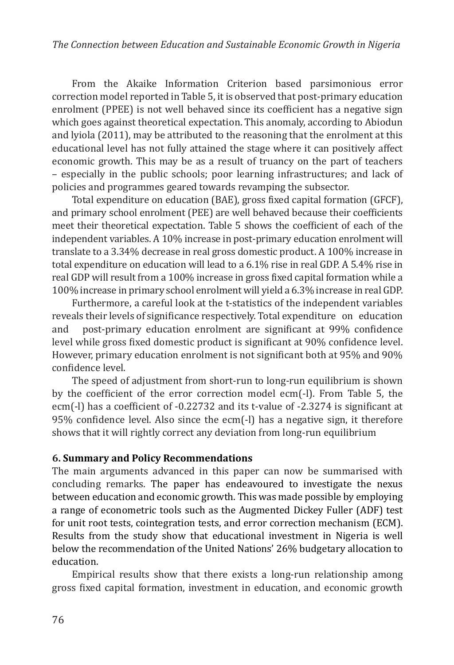From the Akaike Information Criterion based parsimonious error correction model reported in Table 5, it is observed that post-primary education enrolment (PPEE) is not well behaved since its coefficient has a negative sign which goes against theoretical expectation. This anomaly, according to Abiodun and lyiola (2011), may be attributed to the reasoning that the enrolment at this educational level has not fully attained the stage where it can positively affect economic growth. This may be as a result of truancy on the part of teachers – especially in the public schools; poor learning infrastructures; and lack of policies and programmes geared towards revamping the subsector.

Total expenditure on education (BAE), gross fixed capital formation (GFCF), and primary school enrolment (PEE) are well behaved because their coefficients meet their theoretical expectation. Table 5 shows the coefficient of each of the independent variables. A 10% increase in post-primary education enrolment will translate to a 3.34% decrease in real gross domestic product. A 100% increase in total expenditure on education will lead to a 6.1% rise in real GDP. A 5.4% rise in real GDP will result from a 100% increase in gross fixed capital formation while a 100% increase in primary school enrolment will yield a 6.3% increase in real GDP.

Furthermore, a careful look at the t-statistics of the independent variables reveals their levels of significance respectively. Total expenditure on education and post-primary education enrolment are significant at 99% confidence level while gross fixed domestic product is significant at 90% confidence level. However, primary education enrolment is not significant both at 95% and 90% confidence level.

The speed of adjustment from short-run to long-run equilibrium is shown by the coefficient of the error correction model ecm(-l). From Table 5, the ecm(-l) has a coefficient of -0.22732 and its t-value of -2.3274 is significant at 95% confidence level. Also since the ecm(-l) has a negative sign, it therefore shows that it will rightly correct any deviation from long-run equilibrium

## **6. Summary and Policy Recommendations**

The main arguments advanced in this paper can now be summarised with concluding remarks. The paper has endeavoured to investigate the nexus between education and economic growth. This was made possible by employing a range of econometric tools such as the Augmented Dickey Fuller (ADF) test for unit root tests, cointegration tests, and error correction mechanism (ECM). Results from the study show that educational investment in Nigeria is well below the recommendation of the United Nations' 26% budgetary allocation to education.

Empirical results show that there exists a long-run relationship among gross fixed capital formation, investment in education, and economic growth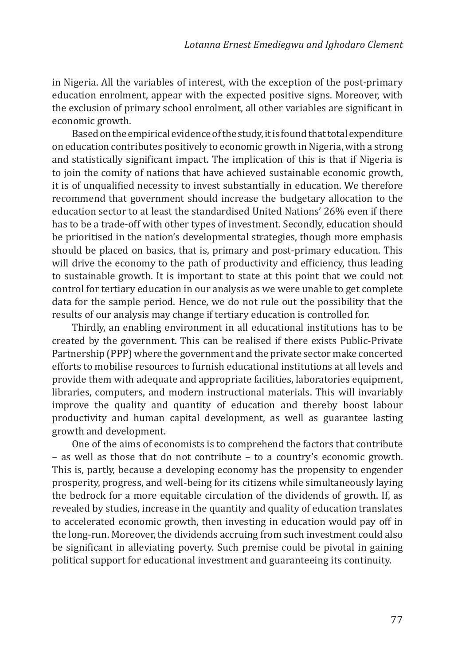in Nigeria. All the variables of interest, with the exception of the post-primary education enrolment, appear with the expected positive signs. Moreover, with the exclusion of primary school enrolment, all other variables are significant in economic growth.

Based on the empirical evidence of the study, it is found that total expenditure on education contributes positively to economic growth in Nigeria, with a strong and statistically significant impact. The implication of this is that if Nigeria is to join the comity of nations that have achieved sustainable economic growth, it is of unqualified necessity to invest substantially in education. We therefore recommend that government should increase the budgetary allocation to the education sector to at least the standardised United Nations' 26% even if there has to be a trade-off with other types of investment. Secondly, education should be prioritised in the nation's developmental strategies, though more emphasis should be placed on basics, that is, primary and post-primary education. This will drive the economy to the path of productivity and efficiency, thus leading to sustainable growth. It is important to state at this point that we could not control for tertiary education in our analysis as we were unable to get complete data for the sample period. Hence, we do not rule out the possibility that the results of our analysis may change if tertiary education is controlled for.

Thirdly, an enabling environment in all educational institutions has to be created by the government. This can be realised if there exists Public-Private Partnership (PPP) where the government and the private sector make concerted efforts to mobilise resources to furnish educational institutions at all levels and provide them with adequate and appropriate facilities, laboratories equipment, libraries, computers, and modern instructional materials. This will invariably improve the quality and quantity of education and thereby boost labour productivity and human capital development, as well as guarantee lasting growth and development.

One of the aims of economists is to comprehend the factors that contribute – as well as those that do not contribute – to a country's economic growth. This is, partly, because a developing economy has the propensity to engender prosperity, progress, and well-being for its citizens while simultaneously laying the bedrock for a more equitable circulation of the dividends of growth. If, as revealed by studies, increase in the quantity and quality of education translates to accelerated economic growth, then investing in education would pay off in the long-run. Moreover, the dividends accruing from such investment could also be significant in alleviating poverty. Such premise could be pivotal in gaining political support for educational investment and guaranteeing its continuity.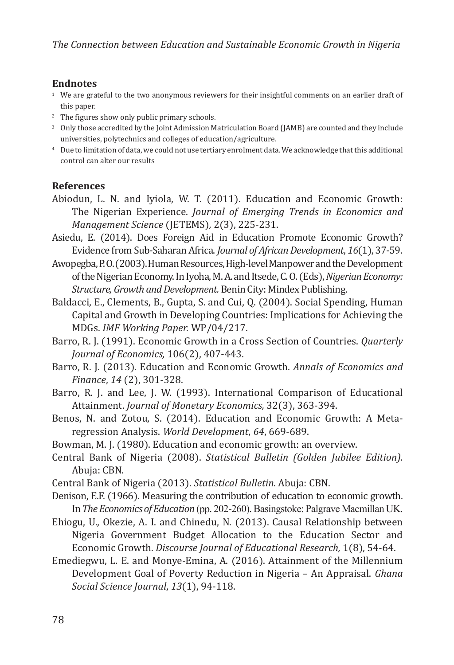#### **Endnotes**

- <sup>1</sup> We are grateful to the two anonymous reviewers for their insightful comments on an earlier draft of this paper.
- <sup>2</sup> The figures show only public primary schools.
- <sup>3</sup> Only those accredited by the Joint Admission Matriculation Board (JAMB) are counted and they include universities, polytechnics and colleges of education/agriculture.
- <sup>4</sup> Due to limitation of data, we could not use tertiary enrolment data. We acknowledge that this additional control can alter our results

### **References**

- Abiodun, L. N. and Iyiola, W. T. (2011). Education and Economic Growth: The Nigerian Experience. *Journal of Emerging Trends in Economics and Management Science* (JETEMS)*,* 2(3), 225-231.
- Asiedu, E. (2014). Does Foreign Aid in Education Promote Economic Growth? Evidence from Sub-Saharan Africa. *Journal of African Development*, *16*(1), 37-59.
- Awopegba, P. O. (2003). Human Resources, High-level Manpower and the Development of the Nigerian Economy. In Iyoha, M. A. and Itsede, C. O. (Eds), *Nigerian Economy: Structure, Growth and Development.* Benin City: Mindex Publishing.
- Baldacci, E., Clements, B., Gupta, S. and Cui, Q. (2004). Social Spending, Human Capital and Growth in Developing Countries: Implications for Achieving the MDGs. *IMF Working Paper.* WP/04/217.
- Barro, R. J. (1991). Economic Growth in a Cross Section of Countries. *Quarterly Journal of Economics,* 106(2), 407-443.
- Barro, R. J. (2013). Education and Economic Growth. *Annals of Economics and Finance*, *14* (2), 301-328.
- Barro, R. J. and Lee, J. W. (1993). International Comparison of Educational Attainment. *Journal of Monetary Economics,* 32(3), 363-394.
- Benos, N. and Zotou, S. (2014). Education and Economic Growth: A Metaregression Analysis. *World Development*, *64*, 669-689.
- Bowman, M. J. (1980). Education and economic growth: an overview.
- Central Bank of Nigeria (2008). *Statistical Bulletin (Golden Jubilee Edition).*  Abuja: CBN.
- Central Bank of Nigeria (2013). *Statistical Bulletin.* Abuja: CBN.
- Denison, E.F. (1966). Measuring the contribution of education to economic growth. In*The Economics of Education* (pp. 202-260). Basingstoke: Palgrave Macmillan UK.
- Ehiogu, U., Okezie, A. I. and Chinedu, N. (2013). Causal Relationship between Nigeria Government Budget Allocation to the Education Sector and Economic Growth. *Discourse Journal of Educational Research,* 1(8), 54-64.
- Emediegwu, L. E. and Monye-Emina, A. (2016). Attainment of the Millennium Development Goal of Poverty Reduction in Nigeria – An Appraisal. *Ghana Social Science Journal*, *13*(1), 94-118.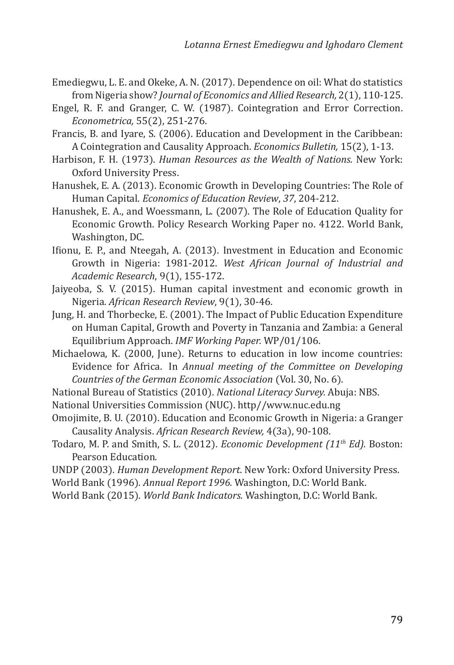- Emediegwu, L. E. and Okeke, A. N. (2017). Dependence on oil: What do statistics from Nigeria show? *Journal of Economics and Allied Research,* 2(1), 110-125.
- Engel, R. F. and Granger, C. W. (1987). Cointegration and Error Correction. *Econometrica,* 55(2), 251-276.
- Francis, B. and Iyare, S. (2006). Education and Development in the Caribbean: A Cointegration and Causality Approach. *Economics Bulletin,* 15(2), 1-13.
- Harbison, F. H. (1973). *Human Resources as the Wealth of Nations.* New York: Oxford University Press.
- Hanushek, E. A. (2013). Economic Growth in Developing Countries: The Role of Human Capital. *Economics of Education Review*, *37*, 204-212.
- Hanushek, E. A., and Woessmann, L. (2007). The Role of Education Quality for Economic Growth. Policy Research Working Paper no. 4122. World Bank, Washington, DC.
- Ifionu, E. P., and Nteegah, A. (2013). Investment in Education and Economic Growth in Nigeria: 1981-2012. *West African Journal of Industrial and Academic Research*, 9(1), 155-172.
- Jaiyeoba, S. V. (2015). Human capital investment and economic growth in Nigeria. *African Research Review*, 9(1), 30-46.
- Jung, H. and Thorbecke, E. (2001). The Impact of Public Education Expenditure on Human Capital, Growth and Poverty in Tanzania and Zambia: a General Equilibrium Approach. *IMF Working Paper.* WP/01/106.
- Michaelowa, K. (2000, June). Returns to education in low income countries: Evidence for Africa. In *Annual meeting of the Committee on Developing Countries of the German Economic Association* (Vol. 30, No. 6).
- National Bureau of Statistics (2010). *National Literacy Survey.* Abuja: NBS.
- National Universities Commission (NUC). http//www.nuc.edu.ng
- Omojimite, B. U. (2010). Education and Economic Growth in Nigeria: a Granger Causality Analysis. *African Research Review,* 4(3a), 90-108.
- Todaro, M. P. and Smith, S. L. (2012). *Economic Development (11th Ed).* Boston: Pearson Education*.*
- UNDP (2003)*. Human Development Report*. New York: Oxford University Press.
- World Bank (1996). *Annual Report 1996.* Washington, D.C: World Bank.
- World Bank (2015). *World Bank Indicators.* Washington, D.C: World Bank.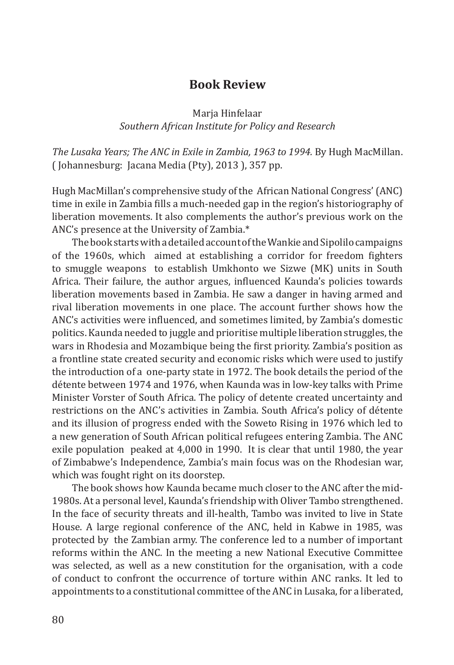# **Book Review**

#### Marja Hinfelaar *Southern African Institute for Policy and Research*

*The Lusaka Years; The ANC in Exile in Zambia, 1963 to 1994.* By Hugh MacMillan. ( Johannesburg: Jacana Media (Pty), 2013 ), 357 pp.

Hugh MacMillan's comprehensive study of the African National Congress' (ANC) time in exile in Zambia fills a much-needed gap in the region's historiography of liberation movements. It also complements the author's previous work on the ANC's presence at the University of Zambia.\*

The book starts with a detailed account of the Wankie and Sipolilo campaigns of the 1960s, which aimed at establishing a corridor for freedom fighters to smuggle weapons to establish Umkhonto we Sizwe (MK) units in South Africa. Their failure, the author argues, influenced Kaunda's policies towards liberation movements based in Zambia. He saw a danger in having armed and rival liberation movements in one place. The account further shows how the ANC's activities were influenced, and sometimes limited, by Zambia's domestic politics. Kaunda needed to juggle and prioritise multiple liberation struggles, the wars in Rhodesia and Mozambique being the first priority. Zambia's position as a frontline state created security and economic risks which were used to justify the introduction of a one-party state in 1972. The book details the period of the détente between 1974 and 1976, when Kaunda was in low-key talks with Prime Minister Vorster of South Africa. The policy of detente created uncertainty and restrictions on the ANC's activities in Zambia. South Africa's policy of détente and its illusion of progress ended with the Soweto Rising in 1976 which led to a new generation of South African political refugees entering Zambia. The ANC exile population peaked at 4,000 in 1990. It is clear that until 1980, the year of Zimbabwe's Independence, Zambia's main focus was on the Rhodesian war, which was fought right on its doorstep.

The book shows how Kaunda became much closer to the ANC after the mid-1980s. At a personal level, Kaunda's friendship with Oliver Tambo strengthened. In the face of security threats and ill-health, Tambo was invited to live in State House. A large regional conference of the ANC, held in Kabwe in 1985, was protected by the Zambian army. The conference led to a number of important reforms within the ANC. In the meeting a new National Executive Committee was selected, as well as a new constitution for the organisation, with a code of conduct to confront the occurrence of torture within ANC ranks. It led to appointments to a constitutional committee of the ANC in Lusaka, for a liberated,